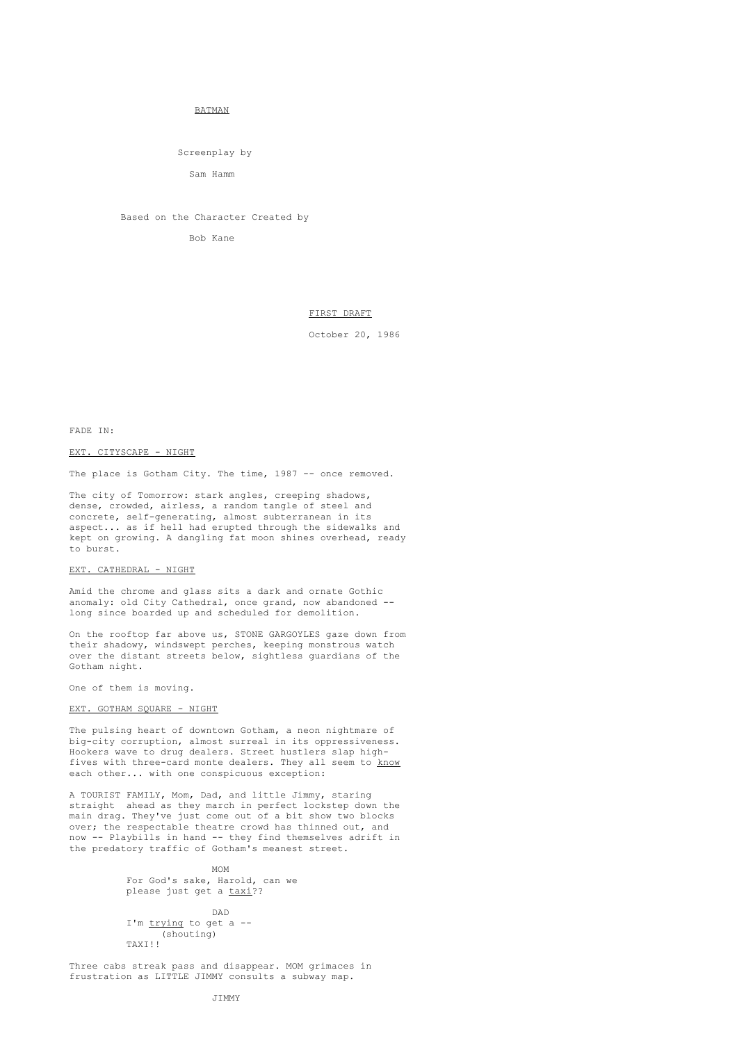## BATMAN

Screenplay by

Sam Hamm

Based on the Character Created by

Bob Kane

# FIRST DRAFT

October 20, 1986

FADE IN:

# EXT. CITYSCAPE - NIGHT

The place is Gotham City. The time, 1987 -- once removed.

The city of Tomorrow: stark angles, creeping shadows, dense, crowded, airless, a random tangle of steel and concrete, self-generating, almost subterranean in its aspect... as if hell had erupted through the sidewalks and kept on growing. A dangling fat moon shines overhead, ready to burst.

# EXT. CATHEDRAL - NIGHT

Amid the chrome and glass sits a dark and ornate Gothic anomaly: old City Cathedral, once grand, now abandoned -long since boarded up and scheduled for demolition.

On the rooftop far above us, STONE GARGOYLES gaze down from their shadowy, windswept perches, keeping monstrous watch over the distant streets below, sightless guardians of the Gotham night.

One of them is moving.

# EXT. GOTHAM SQUARE - NIGHT

The pulsing heart of downtown Gotham, a neon nightmare of big-city corruption, almost surreal in its oppressiveness. Hookers wave to drug dealers. Street hustlers slap highfives with three-card monte dealers. They all seem to know each other... with one conspicuous exception:

A TOURIST FAMILY, Mom, Dad, and little Jimmy, staring straight ahead as they march in perfect lockstep down the main drag. They've just come out of a bit show two blocks over; the respectable theatre crowd has thinned out, and now -- Playbills in hand -- they find themselves adrift in the predatory traffic of Gotham's meanest street.

> MOM For God's sake, Harold, can we please just get a taxi??

DAD I'm trying to get a --(shouting) TAXI!!

Three cabs streak pass and disappear. MOM grimaces in frustration as LITTLE JIMMY consults a subway map.

JIMMY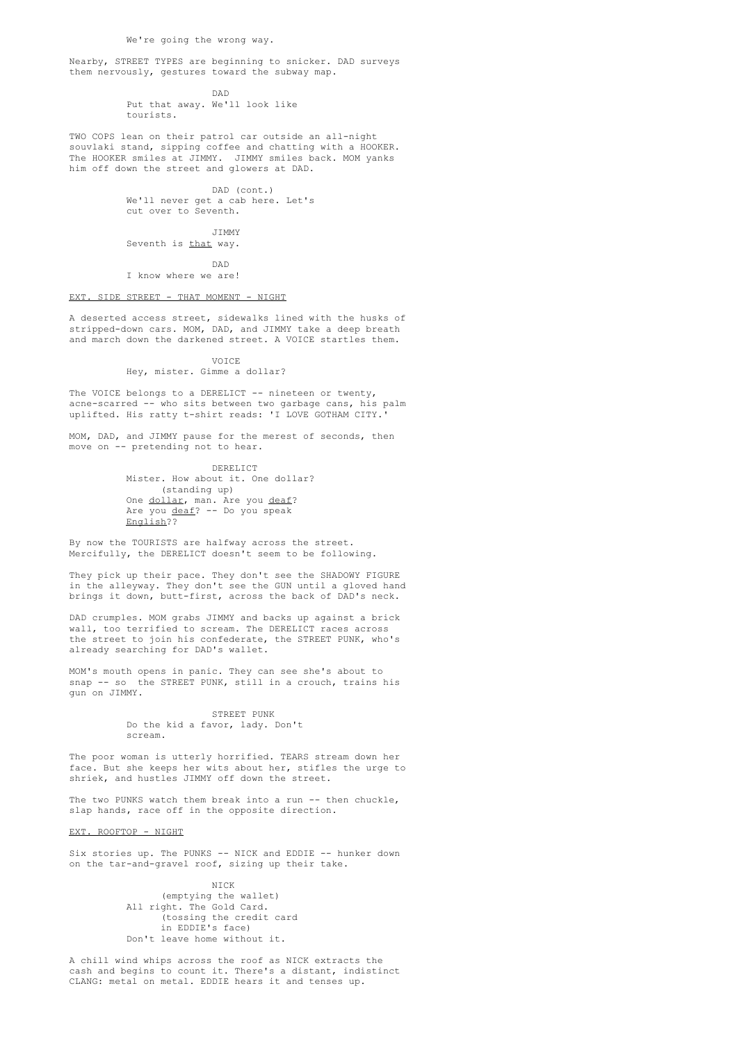We're going the wrong way.

Nearby, STREET TYPES are beginning to snicker. DAD surveys them nervously, gestures toward the subway map.

> DAD Put that away. We'll look like tourists.

TWO COPS lean on their patrol car outside an all-night souvlaki stand, sipping coffee and chatting with a HOOKER. The HOOKER smiles at JIMMY. JIMMY smiles back. MOM yanks him off down the street and glowers at DAD.

> DAD (cont.) We'll never get a cab here. Let's cut over to Seventh.

> > JIMMY

Seventh is that way.

DAD I know where we are!

### EXT. SIDE STREET - THAT MOMENT - NIGHT

A deserted access street, sidewalks lined with the husks of stripped-down cars. MOM, DAD, and JIMMY take a deep breath and march down the darkened street. A VOICE startles them.

VOICE

Hey, mister. Gimme a dollar?

The VOICE belongs to a DERELICT -- nineteen or twenty, acne-scarred -- who sits between two garbage cans, his palm uplifted. His ratty t-shirt reads: 'I LOVE GOTHAM CITY.'

MOM, DAD, and JIMMY pause for the merest of seconds, then move on -- pretending not to hear.

> DERELICT Mister. How about it. One dollar? (standing up) One dollar, man. Are you deaf? Are you deaf? -- Do you speak English??

By now the TOURISTS are halfway across the street. Mercifully, the DERELICT doesn't seem to be following.

They pick up their pace. They don't see the SHADOWY FIGURE in the alleyway. They don't see the GUN until a gloved hand brings it down, butt-first, across the back of DAD's neck.

DAD crumples. MOM grabs JIMMY and backs up against a brick wall, too terrified to scream. The DERELICT races across the street to join his confederate, the STREET PUNK, who's already searching for DAD's wallet.

MOM's mouth opens in panic. They can see she's about to snap -- so the STREET PUNK, still in a crouch, trains his gun on JIMMY.

> STREET PUNK Do the kid a favor, lady. Don't scream.

The poor woman is utterly horrified. TEARS stream down her face. But she keeps her wits about her, stifles the urge to shriek, and hustles JIMMY off down the street.

The two PUNKS watch them break into a run -- then chuckle, slap hands, race off in the opposite direction.

EXT. ROOFTOP - NIGHT

Six stories up. The PUNKS -- NICK and EDDIE -- hunker down on the tar-and-gravel roof, sizing up their take.

> NICK (emptying the wallet) All right. The Gold Card. (tossing the credit card in EDDIE's face) Don't leave home without it.

A chill wind whips across the roof as NICK extracts the cash and begins to count it. There's a distant, indistinct CLANG: metal on metal. EDDIE hears it and tenses up.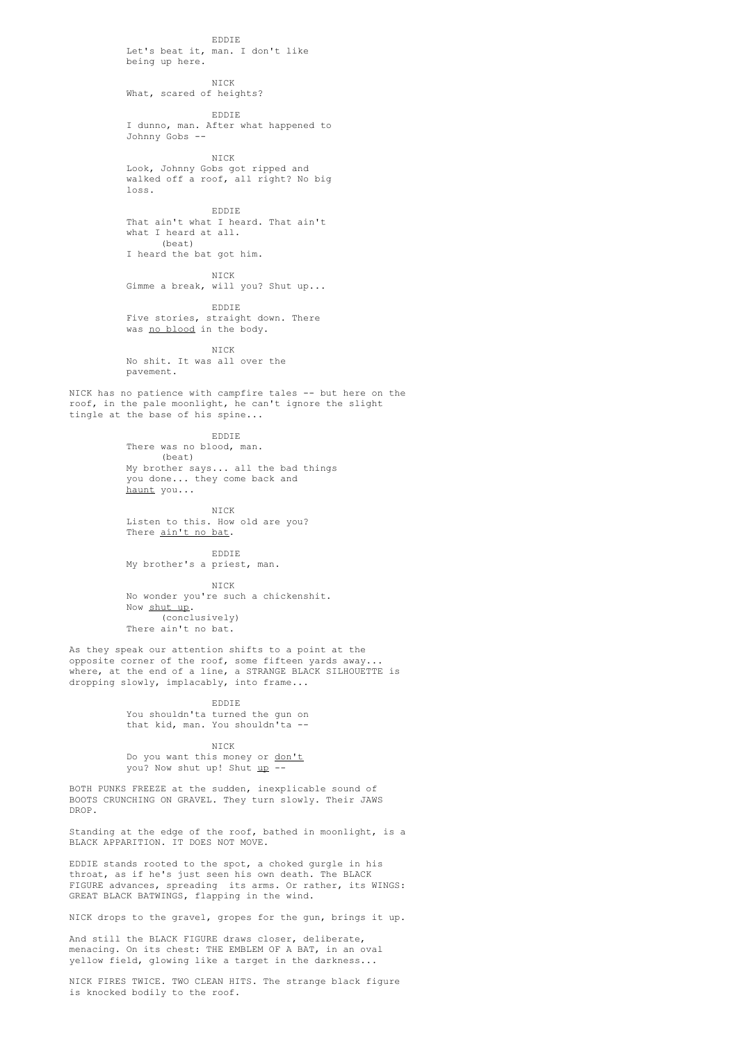EDDIE Let's beat it, man. I don't like being up here. NICK What, scared of heights? EDDIE I dunno, man. After what happened to Johnny Gobs -- NICK Look, Johnny Gobs got ripped and walked off a roof, all right? No big loss. EDDIE That ain't what I heard. That ain't what I heard at all. (beat) I heard the bat got him. NICK Gimme a break, will you? Shut up... EDDIE Five stories, straight down. There was no blood in the body. NICK No shit. It was all over the pavement. NICK has no patience with campfire tales -- but here on the roof, in the pale moonlight, he can't ignore the slight tingle at the base of his spine... EDDIE There was no blood, man. (beat) My brother says... all the bad things you done... they come back and haunt you... NICK Listen to this. How old are you? There ain't no bat. EDDIE My brother's a priest, man. NICK No wonder you're such a chickenshit. Now shut up. (conclusively) There ain't no bat. As they speak our attention shifts to a point at the opposite corner of the roof, some fifteen yards away... where, at the end of a line, a STRANGE BLACK SILHOUETTE is dropping slowly, implacably, into frame... EDDIE You shouldn'ta turned the gun on that kid, man. You shouldn'ta -- NICK Do you want this money or don't you? Now shut up! Shut up --BOTH PUNKS FREEZE at the sudden, inexplicable sound of BOOTS CRUNCHING ON GRAVEL. They turn slowly. Their JAWS Standing at the edge of the roof, bathed in moonlight, is a BLACK APPARITION. IT DOES NOT MOVE. EDDIE stands rooted to the spot, a choked gurgle in his

throat, as if he's just seen his own death. The BLACK FIGURE advances, spreading its arms. Or rather, its WINGS: GREAT BLACK BATWINGS, flapping in the wind.

DROP.

NICK drops to the gravel, gropes for the gun, brings it up.

And still the BLACK FIGURE draws closer, deliberate, menacing. On its chest: THE EMBLEM OF A BAT, in an oval yellow field, glowing like a target in the darkness...

NICK FIRES TWICE. TWO CLEAN HITS. The strange black figure is knocked bodily to the roof.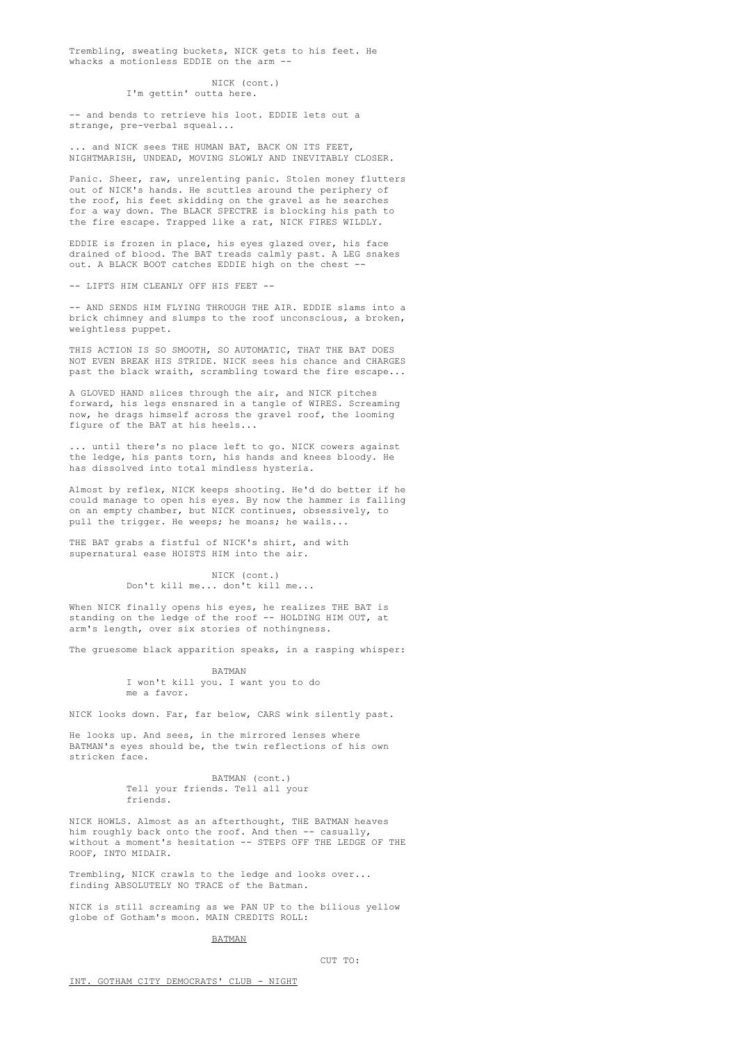Trembling, sweating buckets, NICK gets to his feet. He whacks a motionless EDDIE on the arm --

### NICK (cont.) I'm gettin' outta here.

-- and bends to retrieve his loot. EDDIE lets out a strange, pre-verbal squeal...

... and NICK sees THE HUMAN BAT, BACK ON ITS FEET, NIGHTMARISH, UNDEAD, MOVING SLOWLY AND INEVITABLY CLOSER.

Panic. Sheer, raw, unrelenting panic. Stolen money flutters out of NICK's hands. He scuttles around the periphery of the roof, his feet skidding on the gravel as he searches for a way down. The BLACK SPECTRE is blocking his path to the fire escape. Trapped like a rat, NICK FIRES WILDLY.

EDDIE is frozen in place, his eyes glazed over, his face drained of blood. The BAT treads calmly past. A LEG snakes out. A BLACK BOOT catches EDDIE high on the chest -

-- LIFTS HIM CLEANLY OFF HIS FEET --

-- AND SENDS HIM FLYING THROUGH THE AIR. EDDIE slams into a brick chimney and slumps to the roof unconscious, a broken, weightless puppet.

THIS ACTION IS SO SMOOTH, SO AUTOMATIC, THAT THE BAT DOES NOT EVEN BREAK HIS STRIDE. NICK sees his chance and CHARGES past the black wraith, scrambling toward the fire escape...

A GLOVED HAND slices through the air, and NICK pitches forward, his legs ensnared in a tangle of WIRES. Screaming now, he drags himself across the gravel roof, the looming figure of the BAT at his heels...

... until there's no place left to go. NICK cowers against the ledge, his pants torn, his hands and knees bloody. He has dissolved into total mindless hysteria.

Almost by reflex, NICK keeps shooting. He'd do better if he could manage to open his eyes. By now the hammer is falling on an empty chamber, but NICK continues, obsessively, to pull the trigger. He weeps; he moans; he wails...

THE BAT grabs a fistful of NICK's shirt, and with supernatural ease HOISTS HIM into the air.

> NICK (cont.) Don't kill me... don't kill me...

When NICK finally opens his eyes, he realizes THE BAT is standing on the ledge of the roof -- HOLDING HIM OUT, at arm's length, over six stories of nothingness.

The gruesome black apparition speaks, in a rasping whisper:

BATMAN I won't kill you. I want you to do me a favor.

NICK looks down. Far, far below, CARS wink silently past.

He looks up. And sees, in the mirrored lenses where BATMAN's eyes should be, the twin reflections of his own stricken face.

> BATMAN (cont.) Tell your friends. Tell all your friends.

NICK HOWLS. Almost as an afterthought, THE BATMAN heaves him roughly back onto the roof. And then -- casually, without a moment's hesitation -- STEPS OFF THE LEDGE OF THE ROOF, INTO MIDAIR.

Trembling, NICK crawls to the ledge and looks over... finding ABSOLUTELY NO TRACE of the Batman.

NICK is still screaming as we PAN UP to the bilious yellow globe of Gotham's moon. MAIN CREDITS ROLL:

# BATMAN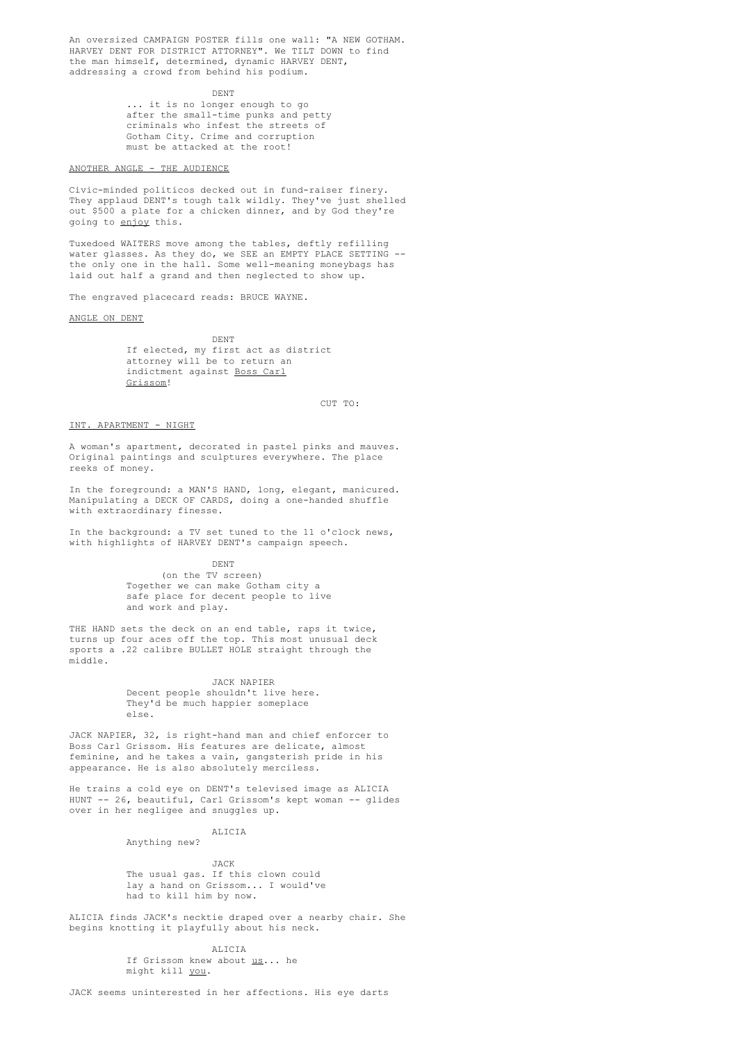An oversized CAMPAIGN POSTER fills one wall: "A NEW GOTHAM. HARVEY DENT FOR DISTRICT ATTORNEY". We TILT DOWN to find the man himself, determined, dynamic HARVEY DENT, addressing a crowd from behind his podium.

DENT

... it is no longer enough to go after the small-time punks and petty criminals who infest the streets of Gotham City. Crime and corruption must be attacked at the root!

ANOTHER ANGLE - THE AUDIENCE

Civic-minded politicos decked out in fund-raiser finery. They applaud DENT's tough talk wildly. They've just shelled out \$500 a plate for a chicken dinner, and by God they're going to enjoy this.

Tuxedoed WAITERS move among the tables, deftly refilling water glasses. As they do, we SEE an EMPTY PLACE SETTING - the only one in the hall. Some well-meaning moneybags has laid out half a grand and then neglected to show up.

The engraved placecard reads: BRUCE WAYNE.

ANGLE ON DENT

DENT If elected, my first act as district attorney will be to return an indictment against Boss Carl Grissom!

 $C \text{H} \mathbb{T}$  TO:

### INT. APARTMENT - NIGHT

A woman's apartment, decorated in pastel pinks and mauves. Original paintings and sculptures everywhere. The place reeks of money.

In the foreground: a MAN'S HAND, long, elegant, manicured. Manipulating a DECK OF CARDS, doing a one-handed shuffle with extraordinary finesse.

In the background: a TV set tuned to the 11 o'clock news, with highlights of HARVEY DENT's campaign speech.

> DENT (on the TV screen) Together we can make Gotham city a safe place for decent people to live and work and play.

THE HAND sets the deck on an end table, raps it twice, turns up four aces off the top. This most unusual deck sports a .22 calibre BULLET HOLE straight through the middle.

# JACK NAPIER

Decent people shouldn't live here. They'd be much happier someplace else.

JACK NAPIER, 32, is right-hand man and chief enforcer to Boss Carl Grissom. His features are delicate, almost feminine, and he takes a vain, gangsterish pride in his appearance. He is also absolutely merciless.

He trains a cold eye on DENT's televised image as ALICIA HUNT -- 26, beautiful, Carl Grissom's kept woman -- glides over in her negligee and snuggles up.

> ALICIA Anything new?

> > JACK

The usual gas. If this clown could lay a hand on Grissom... I would've had to kill him by now.

ALICIA finds JACK's necktie draped over a nearby chair. She begins knotting it playfully about his neck.

ALICIA

If Grissom knew about <u>us</u>... he might kill you.

JACK seems uninterested in her affections. His eye darts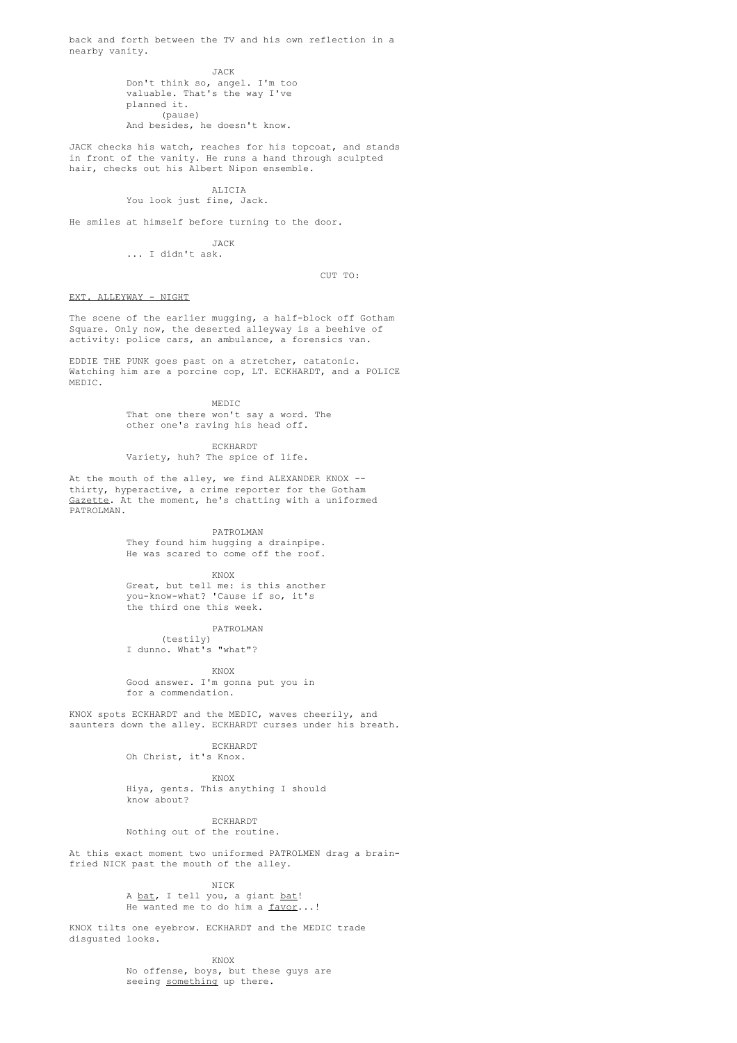back and forth between the TV and his own reflection in a nearby vanity.

> JACK Don't think so, angel. I'm too valuable. That's the way I've planned it. (pause) And besides, he doesn't know.

JACK checks his watch, reaches for his topcoat, and stands in front of the vanity. He runs a hand through sculpted hair, checks out his Albert Nipon ensemble.

### ALICIA

You look just fine, Jack.

He smiles at himself before turning to the door.

JACK

... I didn't ask.

CUT TO:

# EXT. ALLEYWAY - NIGHT

The scene of the earlier mugging, a half-block off Gotham Square. Only now, the deserted alleyway is a beehive of activity: police cars, an ambulance, a forensics van.

EDDIE THE PUNK goes past on a stretcher, catatonic. Watching him are a porcine cop, LT. ECKHARDT, and a POLICE MEDIC.

> MEDIC That one there won't say a word. The other one's raving his head off.

ECKHARDT Variety, huh? The spice of life.

At the mouth of the alley, we find ALEXANDER KNOX -thirty, hyperactive, a crime reporter for the Gotham Gazette. At the moment, he's chatting with a uniformed PATROLMAN.

PATROLMAN

They found him hugging a drainpipe. He was scared to come off the roof.

KNOX

Great, but tell me: is this another you-know-what? 'Cause if so, it's the third one this week.

PATROLMAN (testily) I dunno. What's "what"?

KNOX Good answer. I'm gonna put you in for a commendation.

KNOX spots ECKHARDT and the MEDIC, waves cheerily, and saunters down the alley. ECKHARDT curses under his breath.

> ECKHARDT Oh Christ, it's Knox.

> > KNOX

Hiya, gents. This anything I should know about?

ECKHARDT

Nothing out of the routine.

At this exact moment two uniformed PATROLMEN drag a brainfried NICK past the mouth of the alley.

NICK

A bat, I tell you, a giant bat! He wanted me to do him a favor...!

KNOX tilts one eyebrow. ECKHARDT and the MEDIC trade disgusted looks.

KNOX

No offense, boys, but these guys are seeing something up there.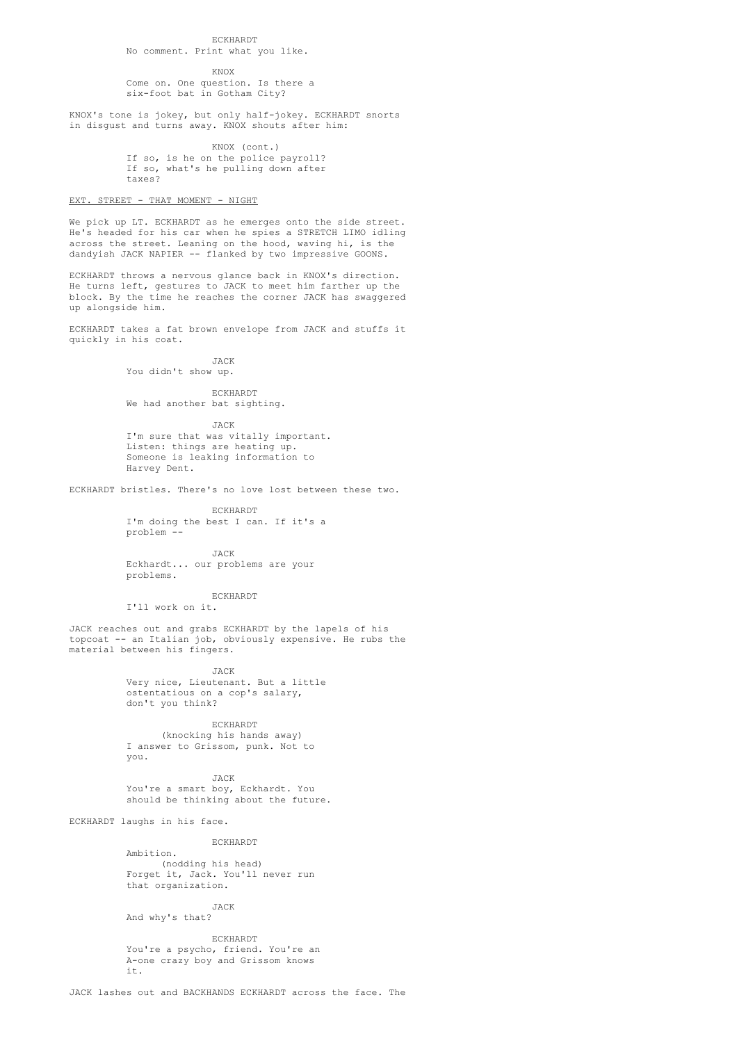# ECKHARDT

KNOX

Come on. One question. Is there a six-foot bat in Gotham City?

KNOX's tone is jokey, but only half-jokey. ECKHARDT snorts in disgust and turns away. KNOX shouts after him:

> KNOX (cont.) If so, is he on the police payroll? If so, what's he pulling down after taxes?

# EXT. STREET - THAT MOMENT - NIGHT

We pick up LT. ECKHARDT as he emerges onto the side street. He's headed for his car when he spies a STRETCH LIMO idling across the street. Leaning on the hood, waving hi, is the dandyish JACK NAPIER -- flanked by two impressive GOONS.

ECKHARDT throws a nervous glance back in KNOX's direction. He turns left, gestures to JACK to meet him farther up the block. By the time he reaches the corner JACK has swaggered up alongside him.

ECKHARDT takes a fat brown envelope from JACK and stuffs it quickly in his coat.

JACK

You didn't show up.

ECKHARDT

We had another bat sighting.

JACK I'm sure that was vitally important. Listen: things are heating up. Someone is leaking information to Harvey Dent.

ECKHARDT bristles. There's no love lost between these two.

ECKHARDT I'm doing the best I can. If it's a problem --

JACK Eckhardt... our problems are your problems.

ECKHARDT

I'll work on it.

JACK reaches out and grabs ECKHARDT by the lapels of his topcoat -- an Italian job, obviously expensive. He rubs the material between his fingers.

JACK

Very nice, Lieutenant. But a little ostentatious on a cop's salary, don't you think?

ECKHARDT

(knocking his hands away) I answer to Grissom, punk. Not to you.

JACK You're a smart boy, Eckhardt. You should be thinking about the future.

ECKHARDT laughs in his face.

### ECKHARDT

Ambition. (nodding his head) Forget it, Jack. You'll never run that organization.

JACK

And why's that?

ECKHARDT You're a psycho, friend. You're an A-one crazy boy and Grissom knows it.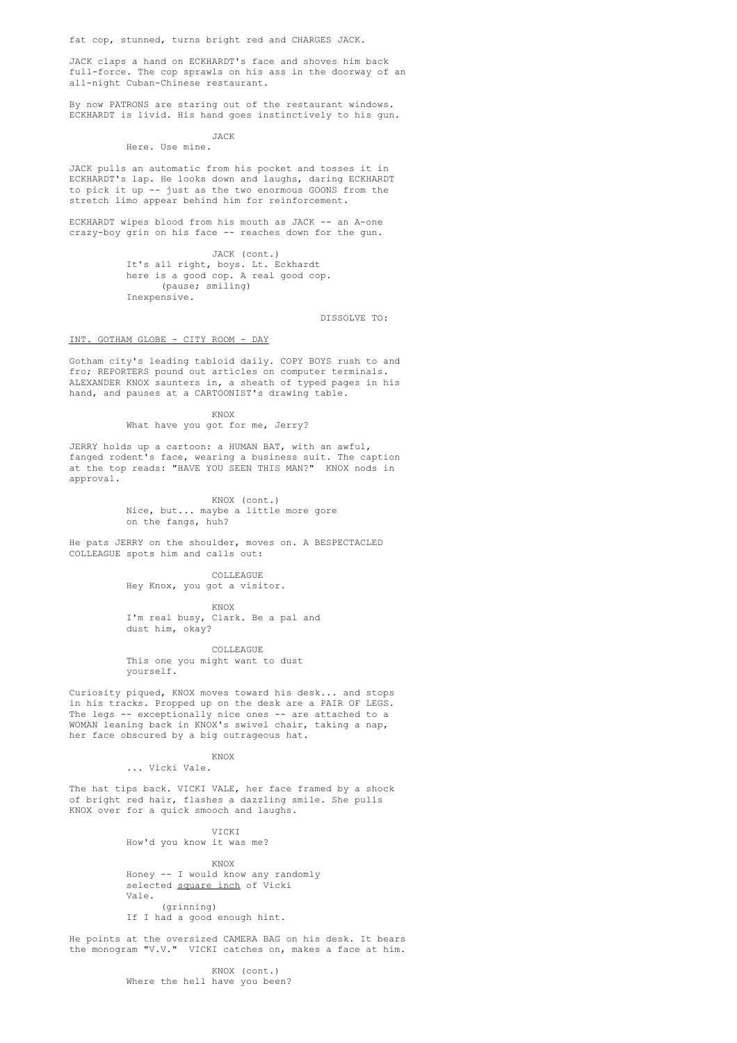fat cop, stunned, turns bright red and CHARGES JACK.

JACK claps a hand on ECKHARDT's face and shoves him back full-force. The cop sprawls on his ass in the doorway of an all-night Cuban-Chinese restaurant.

By now PATRONS are staring out of the restaurant windows. ECKHARDT is livid. His hand goes instinctively to his gun.

#### JACK Here. Use mine.

JACK pulls an automatic from his pocket and tosses it in ECKHARDT's lap. He looks down and laughs, daring ECKHARDT to pick it up -- just as the two enormous GOONS from the stretch limo appear behind him for reinforcement.

ECKHARDT wipes blood from his mouth as JACK -- an A-one crazy-boy grin on his face -- reaches down for the gun.

> JACK (cont.) It's all right, boys. Lt. Eckhardt here is a good cop. A real good cop. (pause; smiling) Inexpensive.

> > DISSOLVE TO:

### INT. GOTHAM GLOBE - CITY ROOM - DAY

Gotham city's leading tabloid daily. COPY BOYS rush to and fro; REPORTERS pound out articles on computer terminals. ALEXANDER KNOX saunters in, a sheath of typed pages in his hand, and pauses at a CARTOONIST's drawing table.

KNOX

# What have you got for me, Jerry?

JERRY holds up a cartoon: a HUMAN BAT, with an awful, fanged rodent's face, wearing a business suit. The caption at the top reads: "HAVE YOU SEEN THIS MAN?" KNOX nods in approval.

> KNOX (cont.) Nice, but... maybe a little more gore on the fangs, huh?

He pats JERRY on the shoulder, moves on. A BESPECTACLED COLLEAGUE spots him and calls out:

> COLLEAGUE Hey Knox, you got a visitor.

KNOX I'm real busy, Clark. Be a pal and dust him, okay?

COLLEAGUE This one you might want to dust yourself.

Curiosity piqued, KNOX moves toward his desk... and stops in his tracks. Propped up on the desk are a PAIR OF LEGS. The legs -- exceptionally nice ones -- are attached to a WOMAN leaning back in KNOX's swivel chair, taking a nap, her face obscured by a big outrageous hat.

#### KNOX

... Vicki Vale.

The hat tips back. VICKI VALE, her face framed by a shock of bright red hair, flashes a dazzling smile. She pulls KNOX over for a quick smooch and laughs.

> VICKI How'd you know it was me?

> > KNOX

Honey -- I would know any randomly selected square inch of Vicki Vale. (grinning) If I had a good enough hint.

He points at the oversized CAMERA BAG on his desk. It bears the monogram "V.V." VICKI catches on, makes a face at him.

> KNOX (cont.) Where the hell have you been?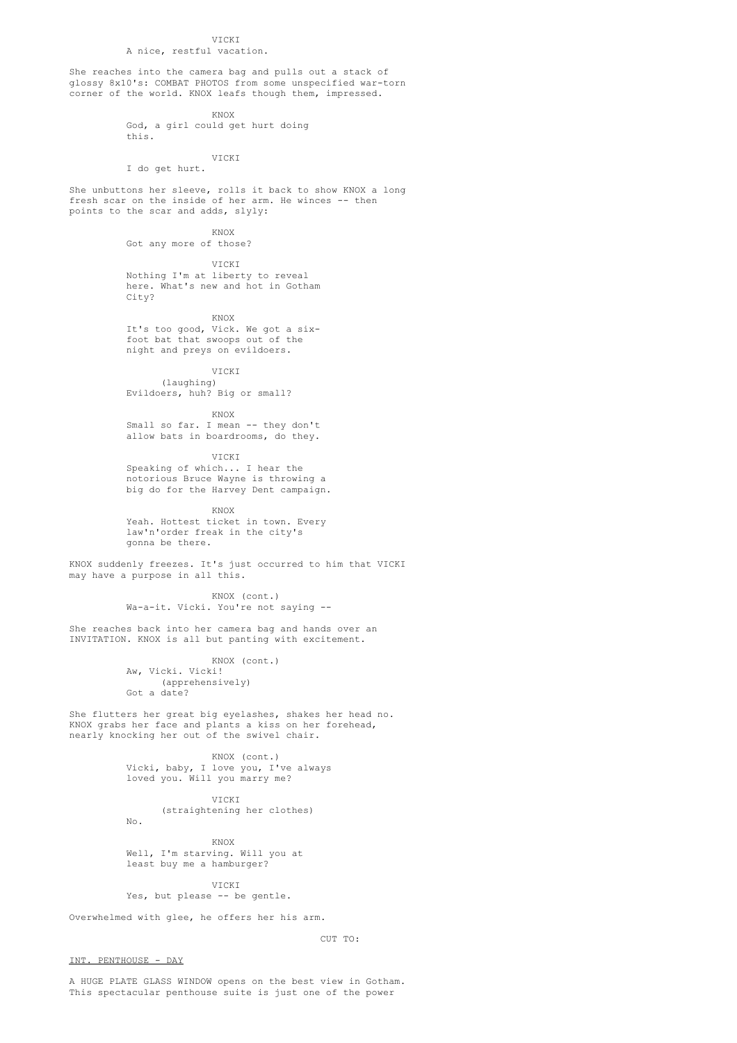# VICKI

A nice, restful vacation.

She reaches into the camera bag and pulls out a stack of glossy 8x10's: COMBAT PHOTOS from some unspecified war-torn corner of the world. KNOX leafs though them, impressed.

KNOX

God, a girl could get hurt doing this.

VICKI I do get hurt.

She unbuttons her sleeve, rolls it back to show KNOX a long fresh scar on the inside of her arm. He winces -- then points to the scar and adds, slyly:

KNOX

Got any more of those?

VICKI Nothing I'm at liberty to reveal here. What's new and hot in Gotham City?

KNOX

It's too good, Vick. We got a sixfoot bat that swoops out of the night and preys on evildoers.

VICKI

(laughing) Evildoers, huh? Big or small?

KNOX

Small so far. I mean -- they don't allow bats in boardrooms, do they.

VICKI Speaking of which... I hear the notorious Bruce Wayne is throwing a big do for the Harvey Dent campaign.

KNOX

Yeah. Hottest ticket in town. Every law'n'order freak in the city's gonna be there.

KNOX suddenly freezes. It's just occurred to him that VICKI may have a purpose in all this.

> KNOX (cont.) Wa-a-it. Vicki. You're not saying --

She reaches back into her camera bag and hands over an INVITATION. KNOX is all but panting with excitement.

> KNOX (cont.) Aw, Vicki. Vicki! (apprehensively) Got a date?

She flutters her great big eyelashes, shakes her head no. KNOX grabs her face and plants a kiss on her forehead, nearly knocking her out of the swivel chair.

> KNOX (cont.) Vicki, baby, I love you, I've always loved you. Will you marry me?

> > VICKI

(straightening her clothes)

KNOX

Well, I'm starving. Will you at least buy me a hamburger?

**VICKI** Yes, but please -- be gentle.

Overwhelmed with glee, he offers her his arm.

CUT TO:

INT. PENTHOUSE - DAY

No.

A HUGE PLATE GLASS WINDOW opens on the best view in Gotham. This spectacular penthouse suite is just one of the power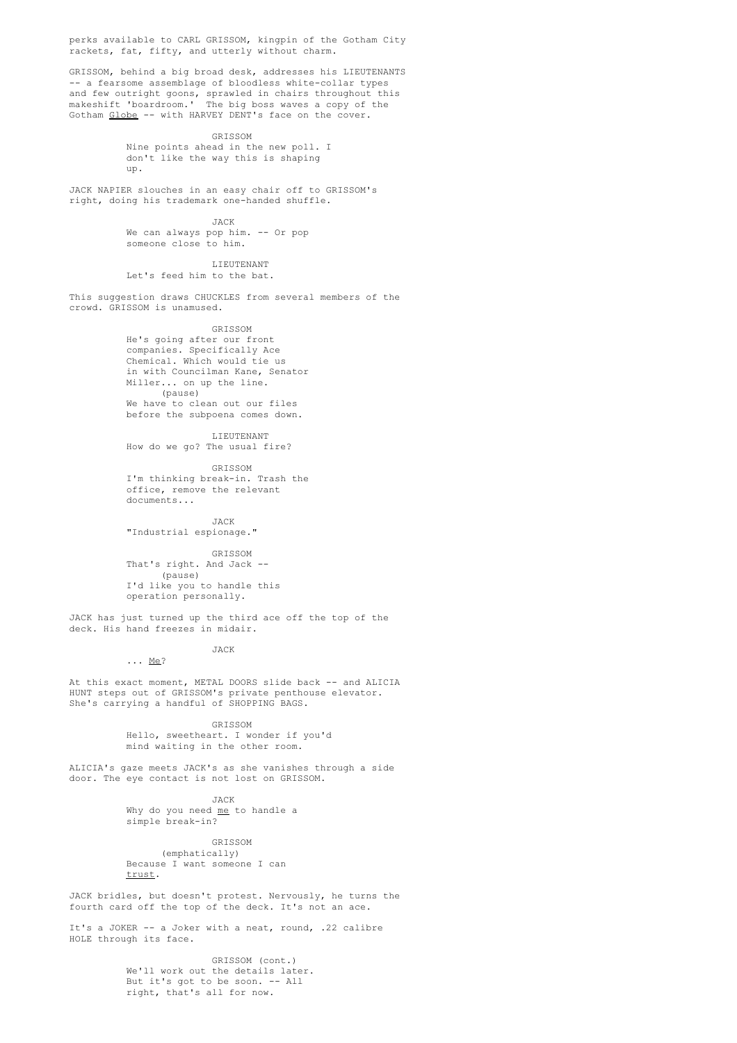perks available to CARL GRISSOM, kingpin of the Gotham City rackets, fat, fifty, and utterly without charm.

GRISSOM, behind a big broad desk, addresses his LIEUTENANTS -- a fearsome assemblage of bloodless white-collar types and few outright goons, sprawled in chairs throughout this makeshift 'boardroom.' The big boss waves a copy of the Gotham Globe -- with HARVEY DENT's face on the cover.

> GRISSOM Nine points ahead in the new poll. I don't like the way this is shaping up.

JACK NAPIER slouches in an easy chair off to GRISSOM's right, doing his trademark one-handed shuffle.

> JACK We can always pop him. -- Or pop

someone close to him.

LIEUTENANT Let's feed him to the bat.

This suggestion draws CHUCKLES from several members of the crowd. GRISSOM is unamused.

GRISSOM

He's going after our front companies. Specifically Ace Chemical. Which would tie us in with Councilman Kane, Senator Miller... on up the line. (pause) We have to clean out our files before the subpoena comes down.

LIEUTENANT How do we go? The usual fire?

GRISSOM I'm thinking break-in. Trash the office, remove the relevant documents...

JACK "Industrial espionage."

GRISSOM

That's right. And Jack -- (pause) I'd like you to handle this operation personally.

JACK has just turned up the third ace off the top of the deck. His hand freezes in midair.

> JACK ... Me?

At this exact moment, METAL DOORS slide back -- and ALICIA HUNT steps out of GRISSOM's private penthouse elevator. She's carrying a handful of SHOPPING BAGS.

> GRISSOM Hello, sweetheart. I wonder if you'd mind waiting in the other room.

ALICIA's gaze meets JACK's as she vanishes through a side door. The eye contact is not lost on GRISSOM.

> JACK Why do you need me to handle a simple break-in?

GRISSOM (emphatically) Because I want someone I can trust.

JACK bridles, but doesn't protest. Nervously, he turns the fourth card off the top of the deck. It's not an ace.

It's a JOKER -- a Joker with a neat, round, .22 calibre HOLE through its face.

> GRISSOM (cont.) We'll work out the details later. But it's got to be soon. -- All right, that's all for now.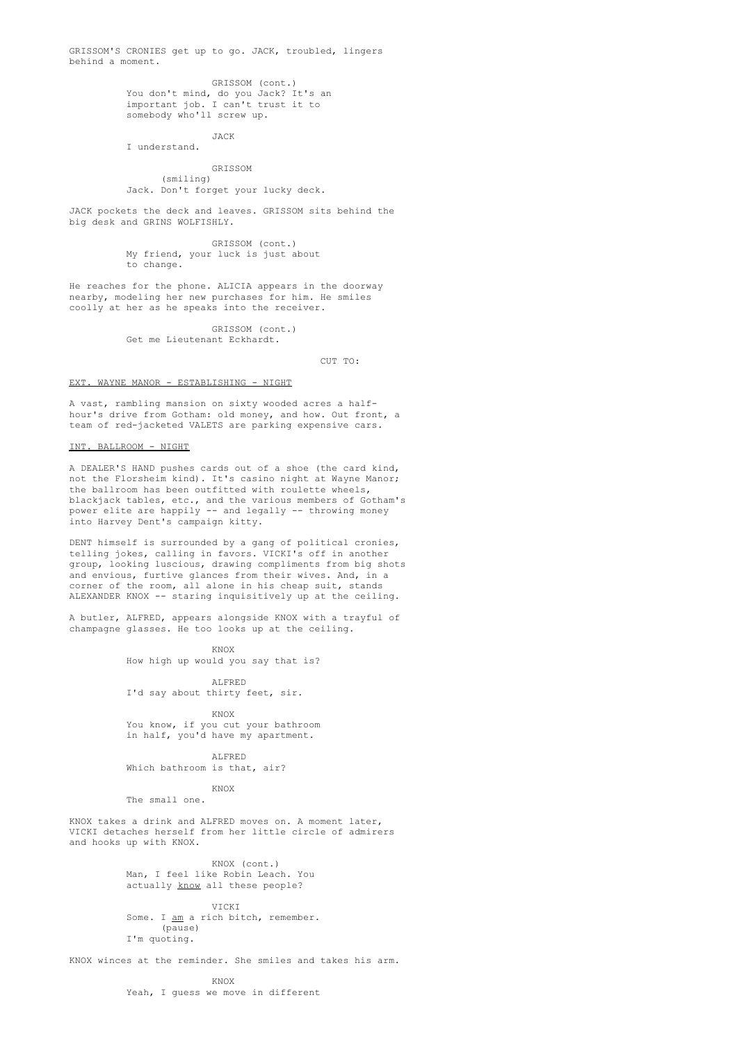GRISSOM'S CRONIES get up to go. JACK, troubled, lingers behind a moment.

> GRISSOM (cont.) You don't mind, do you Jack? It's an important job. I can't trust it to somebody who'll screw up.

JACK I understand.

GRISSOM (smiling) Jack. Don't forget your lucky deck.

JACK pockets the deck and leaves. GRISSOM sits behind the big desk and GRINS WOLFISHLY.

> GRISSOM (cont.) My friend, your luck is just about to change.

He reaches for the phone. ALICIA appears in the doorway nearby, modeling her new purchases for him. He smiles coolly at her as he speaks into the receiver.

> GRISSOM (cont.) Get me Lieutenant Eckhardt.

> > CUT TO:

# EXT. WAYNE MANOR - ESTABLISHING - NIGHT

A vast, rambling mansion on sixty wooded acres a halfhour's drive from Gotham: old money, and how. Out front, a team of red-jacketed VALETS are parking expensive cars.

### INT. BALLROOM - NIGHT

A DEALER'S HAND pushes cards out of a shoe (the card kind, not the Florsheim kind). It's casino night at Wayne Manor; the ballroom has been outfitted with roulette wheels, blackjack tables, etc., and the various members of Gotham's power elite are happily -- and legally -- throwing money into Harvey Dent's campaign kitty.

DENT himself is surrounded by a gang of political cronies, telling jokes, calling in favors. VICKI's off in another group, looking luscious, drawing compliments from big shots and envious, furtive glances from their wives. And, in a corner of the room, all alone in his cheap suit, stands ALEXANDER KNOX -- staring inquisitively up at the ceiling.

A butler, ALFRED, appears alongside KNOX with a trayful of champagne glasses. He too looks up at the ceiling.

KNOX

How high up would you say that is?

ALFRED I'd say about thirty feet, sir.

KNOX You know, if you cut your bathroom in half, you'd have my apartment.

ALFRED Which bathroom is that, air?

KNOX

The small one.

KNOX takes a drink and ALFRED moves on. A moment later, VICKI detaches herself from her little circle of admirers and hooks up with KNOX.

> KNOX (cont.) Man, I feel like Robin Leach. You actually know all these people?

VICKI Some. I am a rich bitch, remember. (pause) I'm quoting.

KNOX winces at the reminder. She smiles and takes his arm.

KNOX Yeah, I guess we move in different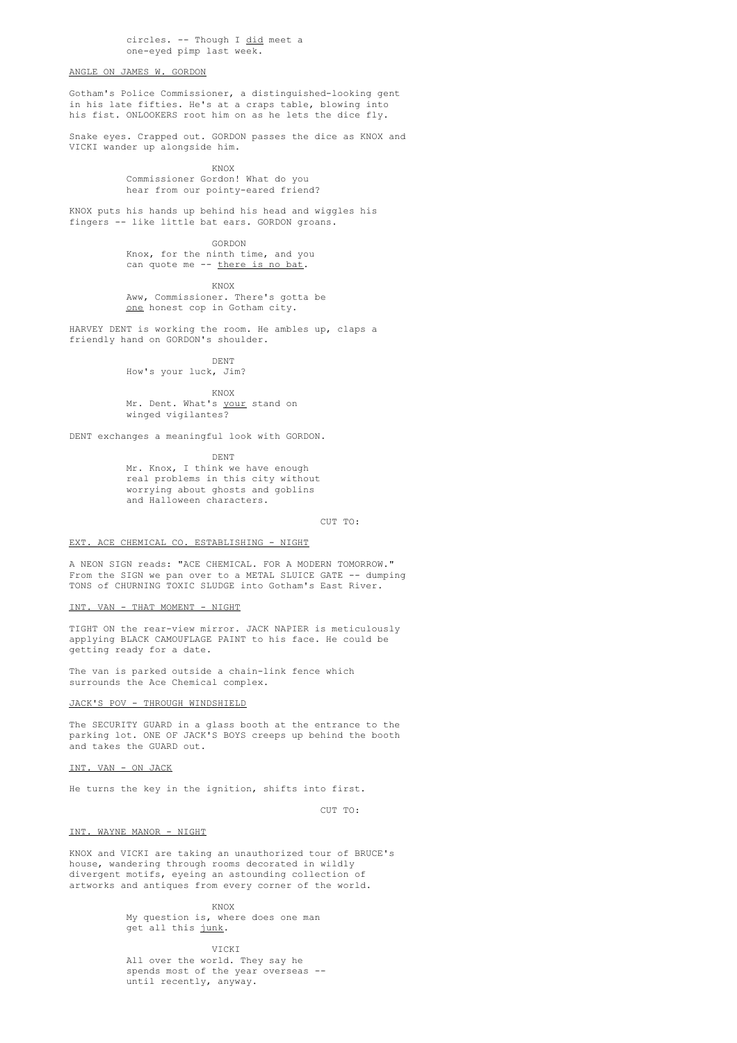circles. -- Though I did meet a one-eyed pimp last week.

# ANGLE ON JAMES W. GORDON

Gotham's Police Commissioner, a distinguished-looking gent in his late fifties. He's at a craps table, blowing into his fist. ONLOOKERS root him on as he lets the dice fly.

Snake eyes. Crapped out. GORDON passes the dice as KNOX and VICKI wander up alongside him.

> KNOX Commissioner Gordon! What do you hear from our pointy-eared friend?

KNOX puts his hands up behind his head and wiggles his fingers -- like little bat ears. GORDON groans.

> GORDON Knox, for the ninth time, and you can quote me -- there is no bat.

KNOX Aww, Commissioner. There's gotta be one honest cop in Gotham city.

HARVEY DENT is working the room. He ambles up, claps a friendly hand on GORDON's shoulder.

DENT

How's your luck, Jim?

KNOX Mr. Dent. What's your stand on winged vigilantes?

DENT exchanges a meaningful look with GORDON.

DENT

Mr. Knox, I think we have enough real problems in this city without worrying about ghosts and goblins and Halloween characters.

CUT TO:

### EXT. ACE CHEMICAL CO. ESTABLISHING - NIGHT

A NEON SIGN reads: "ACE CHEMICAL. FOR A MODERN TOMORROW." From the SIGN we pan over to a METAL SLUICE GATE -- dumping TONS of CHURNING TOXIC SLUDGE into Gotham's East River.

### INT. VAN - THAT MOMENT - NIGHT

TIGHT ON the rear-view mirror. JACK NAPIER is meticulously applying BLACK CAMOUFLAGE PAINT to his face. He could be getting ready for a date.

The van is parked outside a chain-link fence which surrounds the Ace Chemical complex.

# JACK'S POV - THROUGH WINDSHIELD

The SECURITY GUARD in a glass booth at the entrance to the parking lot. ONE OF JACK'S BOYS creeps up behind the booth and takes the GUARD out.

# INT. VAN - ON JACK

He turns the key in the ignition, shifts into first.

CUT TO:

# INT. WAYNE MANOR - NIGHT

KNOX and VICKI are taking an unauthorized tour of BRUCE's house, wandering through rooms decorated in wildly divergent motifs, eyeing an astounding collection of artworks and antiques from every corner of the world.

KNOX

My question is, where does one man get all this junk.

**VICKI** 

All over the world. They say he spends most of the year overseas - until recently, anyway.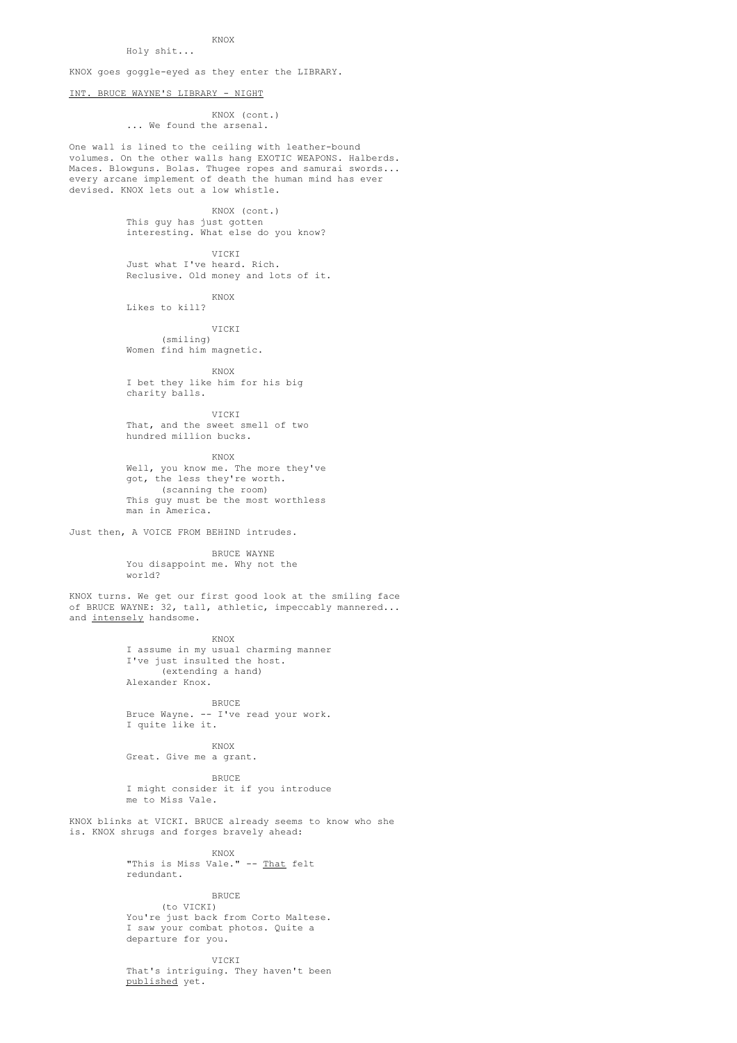# KNOX

KNOX goes goggle-eyed as they enter the LIBRARY.

# INT. BRUCE WAYNE'S LIBRARY - NIGHT

Holy shit...

# KNOX (cont.) ... We found the arsenal.

One wall is lined to the ceiling with leather-bound volumes. On the other walls hang EXOTIC WEAPONS. Halberds. Maces. Blowguns. Bolas. Thugee ropes and samurai swords... every arcane implement of death the human mind has ever devised. KNOX lets out a low whistle.

> KNOX (cont.) This guy has just gotten interesting. What else do you know?

VICKI Just what I've heard. Rich. Reclusive. Old money and lots of it.

KNOX

Likes to kill?

VICKI

(smiling) Women find him magnetic.

KNOX

I bet they like him for his big charity balls.

VICKI That, and the sweet smell of two hundred million bucks.

KNOX Well, you know me. The more they've got, the less they're worth. (scanning the room) This guy must be the most worthless man in America.

Just then, A VOICE FROM BEHIND intrudes.

BRUCE WAYNE You disappoint me. Why not the world?

KNOX turns. We get our first good look at the smiling face of BRUCE WAYNE: 32, tall, athletic, impeccably mannered... and intensely handsome.

KNOX

I assume in my usual charming manner I've just insulted the host. (extending a hand) Alexander Knox.

BRUCE

Bruce Wayne. -- I've read your work. I quite like it.

KNOX

Great. Give me a grant.

BRUCE I might consider it if you introduce me to Miss Vale.

KNOX blinks at VICKI. BRUCE already seems to know who she is. KNOX shrugs and forges bravely ahead:

> KNOX "This is Miss Vale." -- That felt redundant.

> > **BRUCE**

(to VICKI) You're just back from Corto Maltese. I saw your combat photos. Quite a departure for you.

**VICKI** That's intriguing. They haven't been published yet.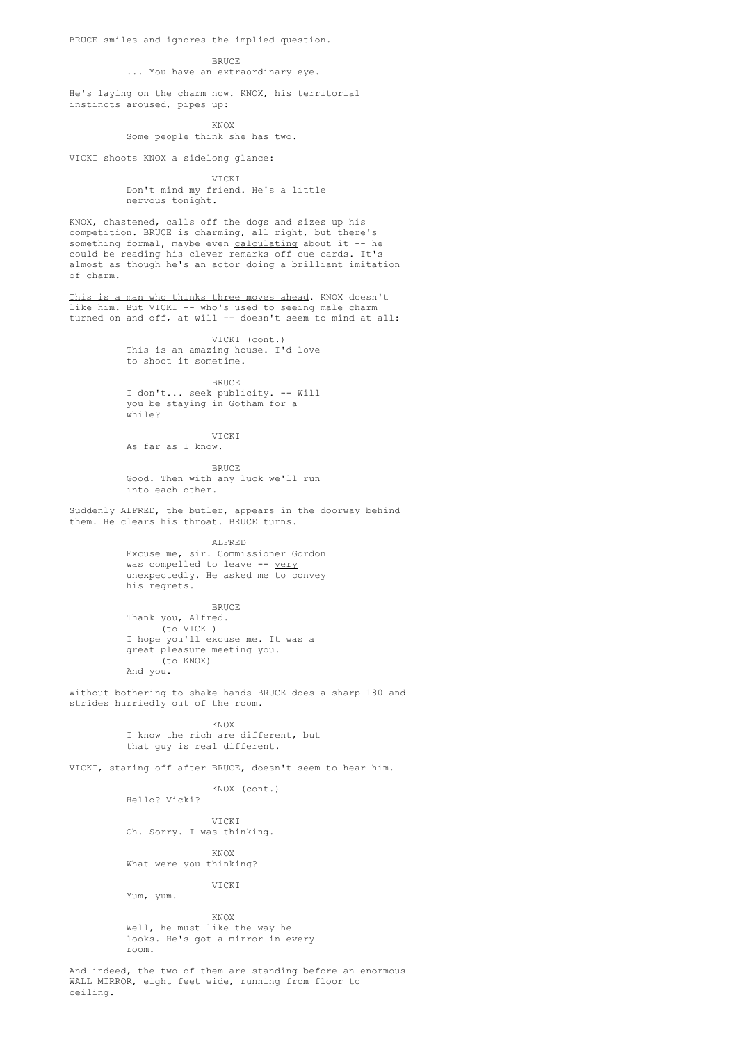BRUCE smiles and ignores the implied question.

#### BRUCE

# ... You have an extraordinary eye.

He's laying on the charm now. KNOX, his territorial instincts aroused, pipes up:

KNOX

Some people think she has two.

VICKI shoots KNOX a sidelong glance:

VICKI Don't mind my friend. He's a little nervous tonight.

KNOX, chastened, calls off the dogs and sizes up his competition. BRUCE is charming, all right, but there's something formal, maybe even calculating about it -- he could be reading his clever remarks off cue cards. It's almost as though he's an actor doing a brilliant imitation of charm.

This is a man who thinks three moves ahead. KNOX doesn't like him. But VICKI -- who's used to seeing male charm turned on and off, at will -- doesn't seem to mind at all:

> VICKI (cont.) This is an amazing house. I'd love to shoot it sometime.

> > BRUCE

I don't... seek publicity. -- Will you be staying in Gotham for a  $while?$ 

VICKI As far as I know.

**BRUCE** Good. Then with any luck we'll run into each other.

Suddenly ALFRED, the butler, appears in the doorway behind them. He clears his throat. BRUCE turns.

ALFRED

Excuse me, sir. Commissioner Gordon was compelled to leave -- very unexpectedly. He asked me to convey his regrets.

BRUCE Thank you, Alfred. (to VICKI) I hope you'll excuse me. It was a great pleasure meeting you. (to KNOX) And you.

Without bothering to shake hands BRUCE does a sharp 180 and strides hurriedly out of the room.

> KNOX I know the rich are different, but that guy is real different.

VICKI, staring off after BRUCE, doesn't seem to hear him.

KNOX (cont.) Hello? Vicki?

VICKI

Oh. Sorry. I was thinking.

KNOX What were you thinking?

**VICKI** Yum, yum.

KNOX Well, he must like the way he looks. He's got a mirror in every room.

And indeed, the two of them are standing before an enormous WALL MIRROR, eight feet wide, running from floor to ceiling.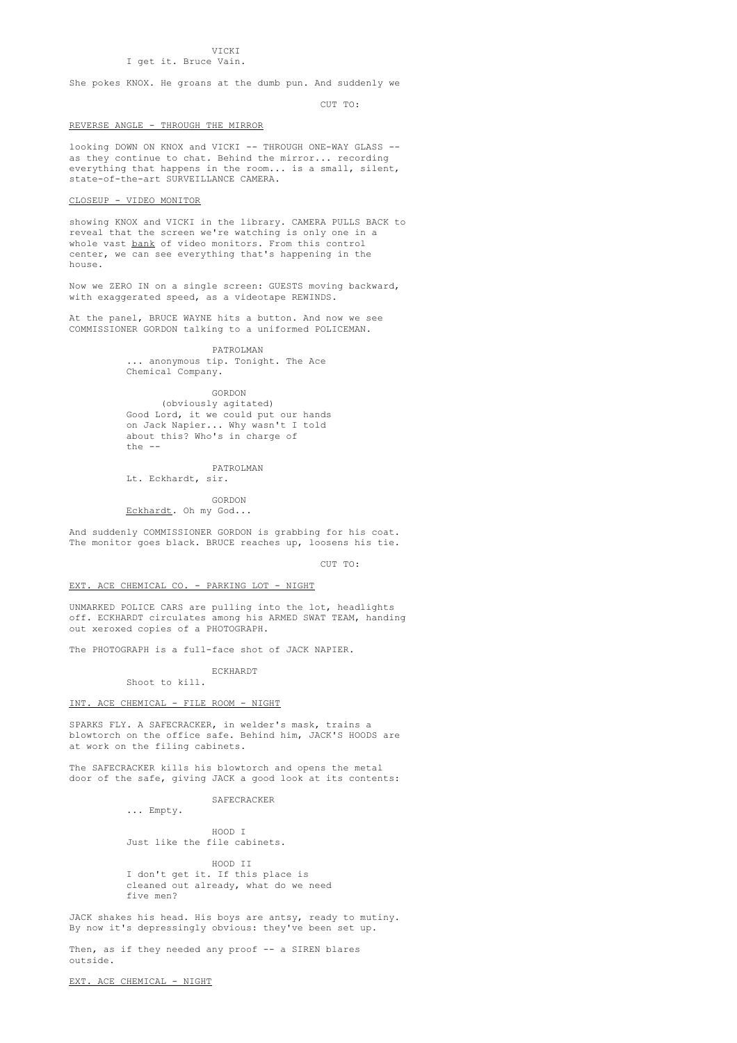**VICKI** I get it. Bruce Vain.

She pokes KNOX. He groans at the dumb pun. And suddenly we

CUT TO:

# REVERSE ANGLE - THROUGH THE MIRROR

looking DOWN ON KNOX and VICKI -- THROUGH ONE-WAY GLASS - as they continue to chat. Behind the mirror... recording everything that happens in the room... is a small, silent, state-of-the-art SURVEILLANCE CAMERA.

# CLOSEUP - VIDEO MONITOR

showing KNOX and VICKI in the library. CAMERA PULLS BACK to reveal that the screen we're watching is only one in a whole vast bank of video monitors. From this control center, we can see everything that's happening in the house.

Now we ZERO IN on a single screen: GUESTS moving backward, with exaggerated speed, as a videotape REWINDS.

At the panel, BRUCE WAYNE hits a button. And now we see COMMISSIONER GORDON talking to a uniformed POLICEMAN.

> PATROLMAN .. anonymous tip. Tonight. The Ace Chemical Company.

> > GORDON

(obviously agitated) Good Lord, it we could put our hands on Jack Napier... Why wasn't I told about this? Who's in charge of  $the = -$ 

PATROLMAN

Lt. Eckhardt, sir.

GORDON Eckhardt. Oh my God...

And suddenly COMMISSIONER GORDON is grabbing for his coat. The monitor goes black. BRUCE reaches up, loosens his tie.

CUT TO:

### EXT. ACE CHEMICAL CO. - PARKING LOT - NIGHT

UNMARKED POLICE CARS are pulling into the lot, headlights off. ECKHARDT circulates among his ARMED SWAT TEAM, handing out xeroxed copies of a PHOTOGRAPH.

The PHOTOGRAPH is a full-face shot of JACK NAPIER.

ECKHARDT Shoot to kill.

### INT. ACE CHEMICAL - FILE ROOM - NIGHT

SPARKS FLY. A SAFECRACKER, in welder's mask, trains a blowtorch on the office safe. Behind him, JACK'S HOODS are at work on the filing cabinets.

The SAFECRACKER kills his blowtorch and opens the metal door of the safe, giving JACK a good look at its contents:

SAFECRACKER

... Empty.

HOOD I Just like the file cabinets.

HOOD TT I don't get it. If this place is cleaned out already, what do we need five men?

JACK shakes his head. His boys are antsy, ready to mutiny. By now it's depressingly obvious: they've been set up.

Then, as if they needed any proof -- a SIREN blares outside.

EXT. ACE CHEMICAL - NIGHT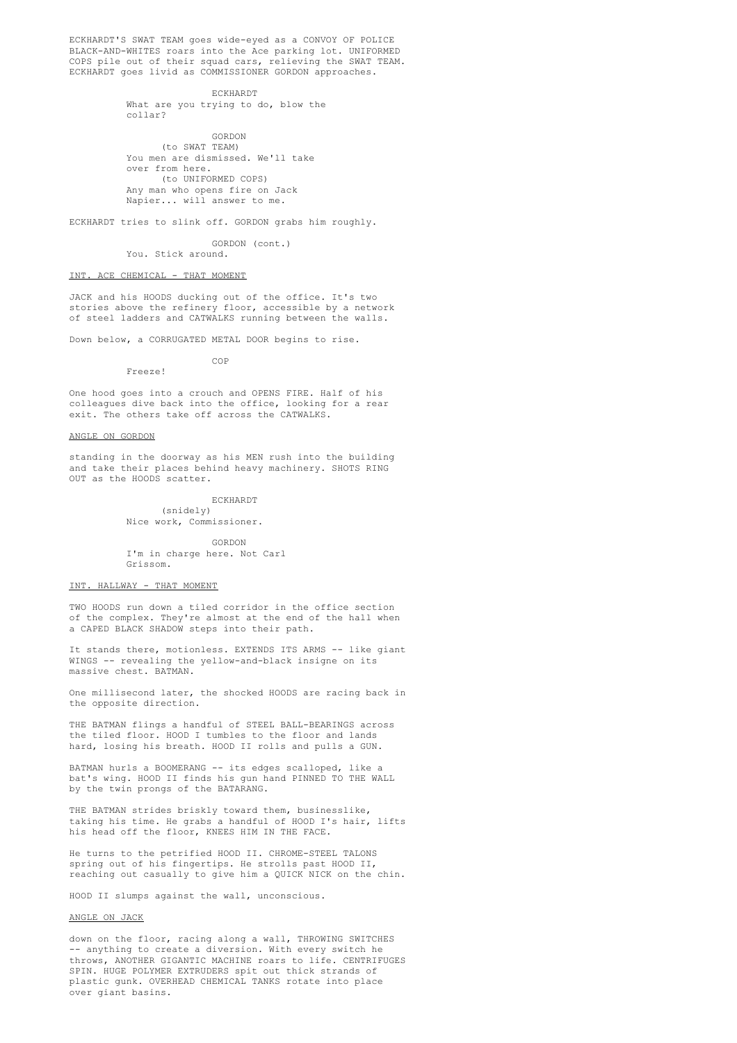ECKHARDT'S SWAT TEAM goes wide-eyed as a CONVOY OF POLICE BLACK-AND-WHITES roars into the Ace parking lot. UNIFORMED COPS pile out of their squad cars, relieving the SWAT TEAM. ECKHARDT goes livid as COMMISSIONER GORDON approaches.

> ECKHARDT What are you trying to do, blow the collar?

GORDON (to SWAT TEAM) You men are dismissed. We'll take over from here. (to UNIFORMED COPS) Any man who opens fire on Jack Napier... will answer to me.

ECKHARDT tries to slink off. GORDON grabs him roughly.

GORDON (cont.) You. Stick around.

### INT. ACE CHEMICAL - THAT MOMENT

Freeze!

JACK and his HOODS ducking out of the office. It's two stories above the refinery floor, accessible by a network of steel ladders and CATWALKS running between the walls.

Down below, a CORRUGATED METAL DOOR begins to rise. COP

One hood goes into a crouch and OPENS FIRE. Half of his colleagues dive back into the office, looking for a rear exit. The others take off across the CATWALKS.

# ANGLE ON GORDON

standing in the doorway as his MEN rush into the building and take their places behind heavy machinery. SHOTS RING OUT as the HOODS scatter.

> ECKHARDT (snidely) Nice work, Commissioner.

GORDON I'm in charge here. Not Carl Grissom.

#### INT. HALLWAY - THAT MOMENT

TWO HOODS run down a tiled corridor in the office section of the complex. They're almost at the end of the hall when a CAPED BLACK SHADOW steps into their path.

It stands there, motionless. EXTENDS ITS ARMS -- like giant WINGS -- revealing the yellow-and-black insigne on its massive chest. BATMAN.

One millisecond later, the shocked HOODS are racing back in the opposite direction.

THE BATMAN flings a handful of STEEL BALL-BEARINGS across the tiled floor. HOOD I tumbles to the floor and lands hard, losing his breath. HOOD II rolls and pulls a GUN.

BATMAN hurls a BOOMERANG -- its edges scalloped, like a bat's wing. HOOD II finds his gun hand PINNED TO THE WALL by the twin prongs of the BATARANG.

THE BATMAN strides briskly toward them, businesslike, taking his time. He grabs a handful of HOOD I's hair, lifts his head off the floor, KNEES HIM IN THE FACE.

He turns to the petrified HOOD II. CHROME-STEEL TALONS spring out of his fingertips. He strolls past HOOD II, reaching out casually to give him a QUICK NICK on the chin.

HOOD II slumps against the wall, unconscious.

### ANGLE ON JACK

down on the floor, racing along a wall, THROWING SWITCHES - anything to create a diversion. With every switch he throws, ANOTHER GIGANTIC MACHINE roars to life. CENTRIFUGES SPIN. HUGE POLYMER EXTRUDERS spit out thick strands of plastic gunk. OVERHEAD CHEMICAL TANKS rotate into place over giant basins.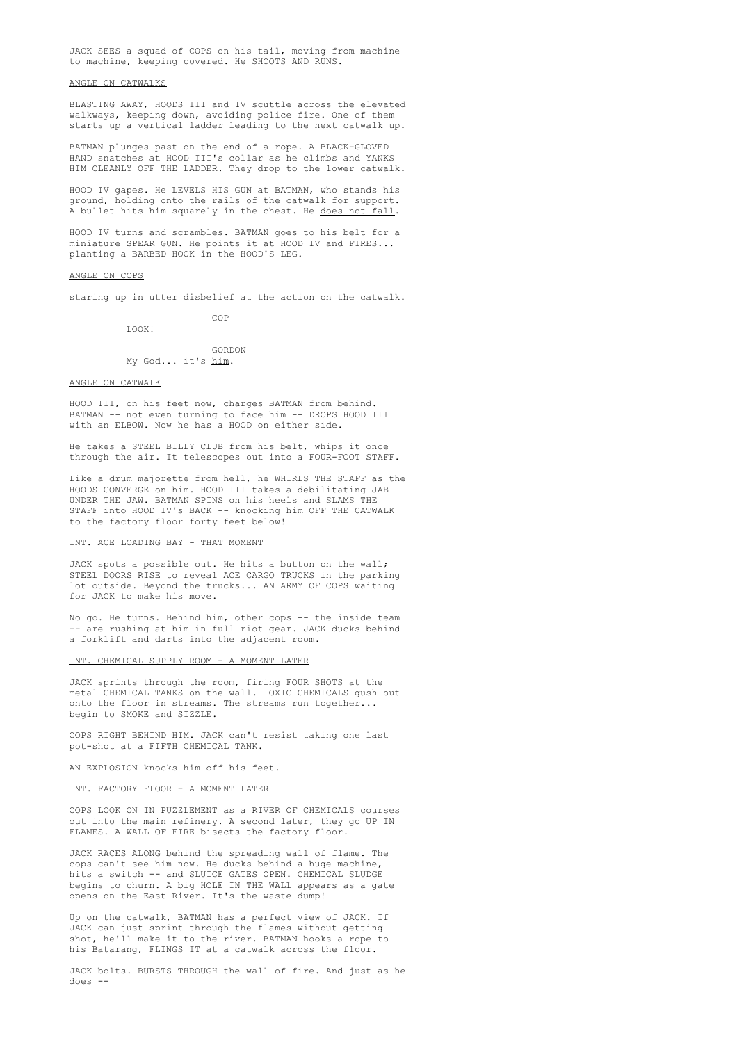JACK SEES a squad of COPS on his tail, moving from machine to machine, keeping covered. He SHOOTS AND RUNS.

### ANGLE ON CATWALKS

BLASTING AWAY, HOODS III and IV scuttle across the elevated walkways, keeping down, avoiding police fire. One of them starts up a vertical ladder leading to the next catwalk up.

BATMAN plunges past on the end of a rope. A BLACK-GLOVED HAND snatches at HOOD III's collar as he climbs and YANKS HIM CLEANLY OFF THE LADDER. They drop to the lower catwalk.

HOOD IV gapes. He LEVELS HIS GUN at BATMAN, who stands his ground, holding onto the rails of the catwalk for support. A bullet hits him squarely in the chest. He does not fall.

HOOD IV turns and scrambles. BATMAN goes to his belt for a miniature SPEAR GUN. He points it at HOOD IV and FIRES... planting a BARBED HOOK in the HOOD'S LEG.

#### ANGLE ON COPS

staring up in utter disbelief at the action on the catwalk.

COP

LOOK!

GORDON My God... it's him.

### ANGLE ON CATWALK

HOOD III, on his feet now, charges BATMAN from behind. BATMAN -- not even turning to face him -- DROPS HOOD III with an ELBOW. Now he has a HOOD on either side.

He takes a STEEL BILLY CLUB from his belt, whips it once through the air. It telescopes out into a FOUR-FOOT STAFF.

Like a drum majorette from hell, he WHIRLS THE STAFF as the HOODS CONVERGE on him. HOOD III takes a debilitating JAB UNDER THE JAW. BATMAN SPINS on his heels and SLAMS THE STAFF into HOOD IV's BACK -- knocking him OFF THE CATWALK to the factory floor forty feet below!

#### INT. ACE LOADING BAY - THAT MOMENT

JACK spots a possible out. He hits a button on the wall; STEEL DOORS RISE to reveal ACE CARGO TRUCKS in the parking lot outside. Beyond the trucks... AN ARMY OF COPS waiting for JACK to make his move.

No go. He turns. Behind him, other cops -- the inside team -- are rushing at him in full riot gear. JACK ducks behind a forklift and darts into the adjacent room.

### INT. CHEMICAL SUPPLY ROOM - A MOMENT LATER

JACK sprints through the room, firing FOUR SHOTS at the metal CHEMICAL TANKS on the wall. TOXIC CHEMICALS gush out onto the floor in streams. The streams run together... begin to SMOKE and SIZZLE.

COPS RIGHT BEHIND HIM. JACK can't resist taking one last pot-shot at a FIFTH CHEMICAL TANK.

AN EXPLOSION knocks him off his feet.

#### INT. FACTORY FLOOR - A MOMENT LATER

COPS LOOK ON IN PUZZLEMENT as a RIVER OF CHEMICALS courses out into the main refinery. A second later, they go UP IN FLAMES. A WALL OF FIRE bisects the factory floor.

JACK RACES ALONG behind the spreading wall of flame. The cops can't see him now. He ducks behind a huge machine, hits a switch -- and SLUICE GATES OPEN. CHEMICAL SLUDGE begins to churn. A big HOLE IN THE WALL appears as a gate opens on the East River. It's the waste dump!

Up on the catwalk, BATMAN has a perfect view of JACK. If JACK can just sprint through the flames without getting shot, he'll make it to the river. BATMAN hooks a rope to his Batarang, FLINGS IT at a catwalk across the floor.

JACK bolts. BURSTS THROUGH the wall of fire. And just as he does --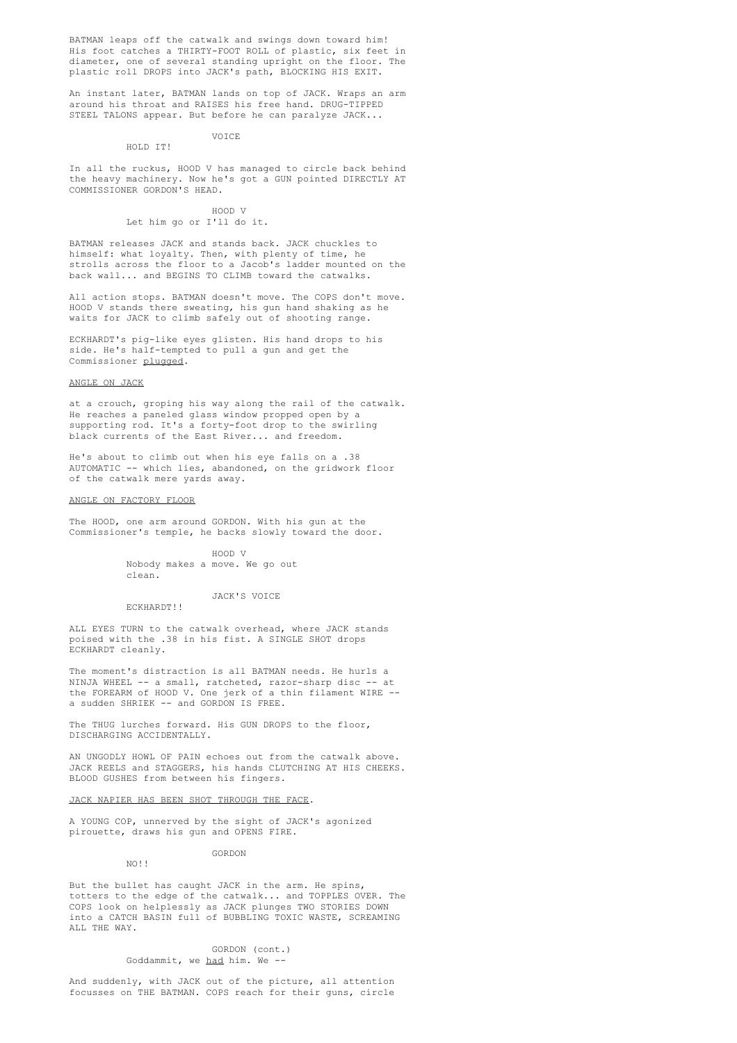BATMAN leaps off the catwalk and swings down toward him! His foot catches a THIRTY-FOOT ROLL of plastic, six feet in diameter, one of several standing upright on the floor. The plastic roll DROPS into JACK's path, BLOCKING HIS EXIT.

An instant later, BATMAN lands on top of JACK. Wraps an arm around his throat and RAISES his free hand. DRUG-TIPPED STEEL TALONS appear. But before he can paralyze JACK...

#### VOICE HOLD IT!

In all the ruckus, HOOD V has managed to circle back behind the heavy machinery. Now he's got a GUN pointed DIRECTLY AT COMMISSIONER GORDON'S HEAD.

# HOOD V

Let him go or I'll do it.

BATMAN releases JACK and stands back. JACK chuckles to himself: what loyalty. Then, with plenty of time, he strolls across the floor to a Jacob's ladder mounted on the back wall... and BEGINS TO CLIMB toward the catwalks.

All action stops. BATMAN doesn't move. The COPS don't move. HOOD V stands there sweating, his gun hand shaking as he waits for JACK to climb safely out of shooting range.

ECKHARDT's pig-like eyes glisten. His hand drops to his side. He's half-tempted to pull a gun and get the Commissioner plugged.

### ANGLE ON JACK

at a crouch, groping his way along the rail of the catwalk. He reaches a paneled glass window propped open by a supporting rod. It's a forty-foot drop to the swirling black currents of the East River... and freedom.

He's about to climb out when his eye falls on a .38 AUTOMATIC -- which lies, abandoned, on the gridwork floor of the catwalk mere yards away.

### ANGLE ON FACTORY FLOOR

The HOOD, one arm around GORDON. With his gun at the Commissioner's temple, he backs slowly toward the door.

> HOOD V Nobody makes a move. We go out clean.

JACK'S VOICE

ECKHARDT!!

ALL EYES TURN to the catwalk overhead, where JACK stands poised with the .38 in his fist. A SINGLE SHOT drops ECKHARDT cleanly.

The moment's distraction is all BATMAN needs. He hurls a NINJA WHEEL -- a small, ratcheted, razor-sharp disc -- at the FOREARM of HOOD V. One jerk of a thin filament WIRE - a sudden SHRIEK -- and GORDON IS FREE.

The THUG lurches forward. His GUN DROPS to the floor, DISCHARGING ACCIDENTALLY.

AN UNGODLY HOWL OF PAIN echoes out from the catwalk above. JACK REELS and STAGGERS, his hands CLUTCHING AT HIS CHEEKS. BLOOD GUSHES from between his fingers.

### JACK NAPIER HAS BEEN SHOT THROUGH THE FACE.

A YOUNG COP, unnerved by the sight of JACK's agonized pirouette, draws his gun and OPENS FIRE.

GORDON

 $NQ$ !!

But the bullet has caught JACK in the arm. He spins, totters to the edge of the catwalk... and TOPPLES OVER. The COPS look on helplessly as JACK plunges TWO STORIES DOWN into a CATCH BASIN full of BUBBLING TOXIC WASTE, SCREAMING ALL THE WAY.

> GORDON (cont.) Goddammit, we had him. We --

And suddenly, with JACK out of the picture, all attention focusses on THE BATMAN. COPS reach for their guns, circle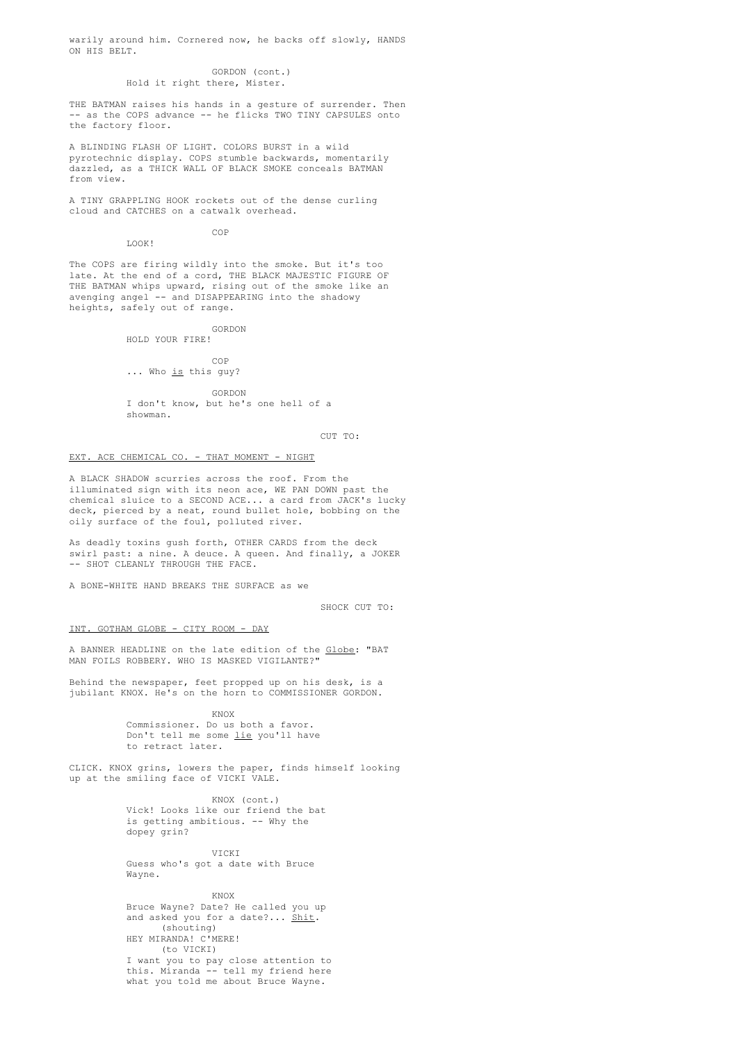warily around him. Cornered now, he backs off slowly, HANDS ON HIS BELT.

### GORDON (cont.) Hold it right there, Mister.

THE BATMAN raises his hands in a gesture of surrender. Then - as the COPS advance -- he flicks TWO TINY CAPSULES onto the factory floor.

A BLINDING FLASH OF LIGHT. COLORS BURST in a wild pyrotechnic display. COPS stumble backwards, momentarily dazzled, as a THICK WALL OF BLACK SMOKE conceals BATMAN from view.

A TINY GRAPPLING HOOK rockets out of the dense curling cloud and CATCHES on a catwalk overhead.

COP

LOOK!

The COPS are firing wildly into the smoke. But it's too late. At the end of a cord, THE BLACK MAJESTIC FIGURE OF THE BATMAN whips upward, rising out of the smoke like an avenging angel -- and DISAPPEARING into the shadowy heights, safely out of range.

> GORDON HOLD YOUR FIRE!

> > COP

# ... Who is this guy?

GORDON I don't know, but he's one hell of a showman.

CUT TO:

### EXT. ACE CHEMICAL CO. - THAT MOMENT - NIGHT

A BLACK SHADOW scurries across the roof. From the illuminated sign with its neon ace, WE PAN DOWN past the chemical sluice to a SECOND ACE... a card from JACK's lucky deck, pierced by a neat, round bullet hole, bobbing on the oily surface of the foul, polluted river.

As deadly toxins gush forth, OTHER CARDS from the deck swirl past: a nine. A deuce. A queen. And finally, a JOKER -- SHOT CLEANLY THROUGH THE FACE.

A BONE-WHITE HAND BREAKS THE SURFACE as we

SHOCK CUT TO:

# INT. GOTHAM GLOBE - CITY ROOM - DAY

A BANNER HEADLINE on the late edition of the Globe: "BAT MAN FOILS ROBBERY. WHO IS MASKED VIGILANTE?"

Behind the newspaper, feet propped up on his desk, is a jubilant KNOX. He's on the horn to COMMISSIONER GORDON.

KNOX

Commissioner. Do us both a favor. Don't tell me some lie you'll have to retract later.

CLICK. KNOX grins, lowers the paper, finds himself looking up at the smiling face of VICKI VALE.

> KNOX (cont.) Vick! Looks like our friend the bat is getting ambitious. -- Why the dopey grin?

VICKI Guess who's got a date with Bruce Wayne.

KNOX Bruce Wayne? Date? He called you up and asked you for a date?... Shit. (shouting) HEY MIRANDA! C'MERE! (to VICKI) I want you to pay close attention to this. Miranda -- tell my friend here what you told me about Bruce Wayne.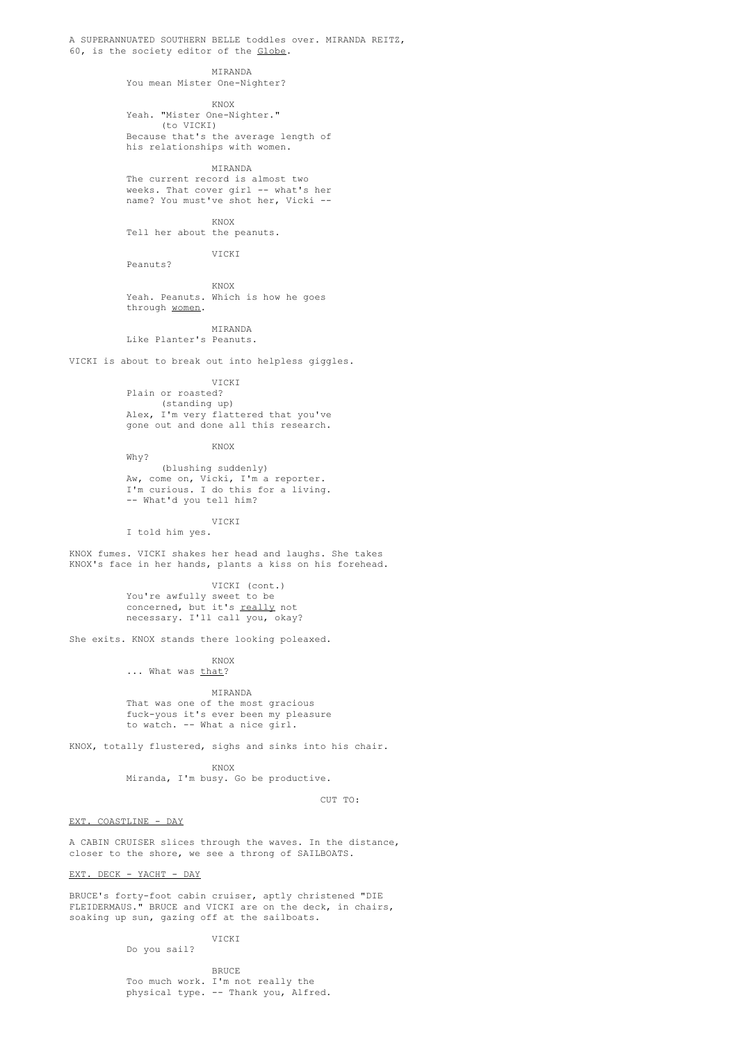A SUPERANNUATED SOUTHERN BELLE toddles over. MIRANDA REITZ, 60, is the society editor of the Globe.

> MIRANDA You mean Mister One-Nighter?

> > KNOX

Yeah. "Mister One-Nighter." (to VICKI) Because that's the average length of his relationships with women.

MIRANDA The current record is almost two weeks. That cover girl -- what's her name? You must've shot her, Vicki --

KNOX

Tell her about the peanuts.

VICKI

KNOX Yeah. Peanuts. Which is how he goes through women.

MIRANDA Like Planter's Peanuts.

Peanuts?

VICKI is about to break out into helpless giggles.

VICKI

Plain or roasted? (standing up) Alex, I'm very flattered that you've gone out and done all this research.

KNOX

Why? (blushing suddenly) Aw, come on, Vicki, I'm a reporter. I'm curious. I do this for a living. -- What'd you tell him?

VICKI I told him yes.

KNOX fumes. VICKI shakes her head and laughs. She takes KNOX's face in her hands, plants a kiss on his forehead.

> VICKI (cont.) You're awfully sweet to be concerned, but it's really not necessary. I'll call you, okay?

She exits. KNOX stands there looking poleaxed.

KNOX ... What was that?

MIRANDA That was one of the most gracious fuck-yous it's ever been my pleasure to watch. -- What a nice girl.

KNOX, totally flustered, sighs and sinks into his chair.

KNOX Miranda, I'm busy. Go be productive.

CUT TO:

EXT. COASTLINE - DAY

A CABIN CRUISER slices through the waves. In the distance, closer to the shore, we see a throng of SAILBOATS.

EXT. DECK - YACHT - DAY

BRUCE's forty-foot cabin cruiser, aptly christened "DIE FLEIDERMAUS." BRUCE and VICKI are on the deck, in chairs, soaking up sun, gazing off at the sailboats.

> VICKI Do you sail?

BRUCE Too much work. I'm not really the physical type. -- Thank you, Alfred.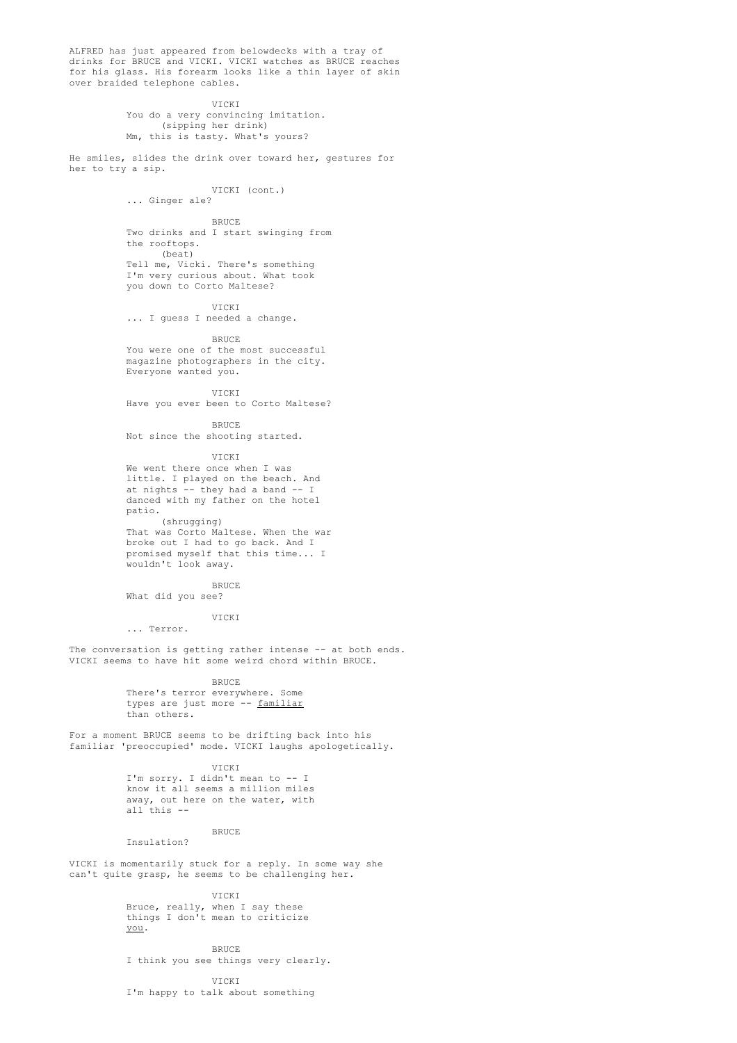ALFRED has just appeared from belowdecks with a tray of drinks for BRUCE and VICKI. VICKI watches as BRUCE reaches for his glass. His forearm looks like a thin layer of skin over braided telephone cables.

> VICKI You do a very convincing imitation. (sipping her drink) Mm, this is tasty. What's yours?

He smiles, slides the drink over toward her, gestures for her to try a sip.

VICKI (cont.)

... Ginger ale?

BRUCE

Two drinks and I start swinging from the rooftops. (beat) Tell me, Vicki. There's something

I'm very curious about. What took you down to Corto Maltese?

VICKI

... I guess I needed a change.

BRUCE You were one of the most successful magazine photographers in the city. Everyone wanted you.

VICKI

Have you ever been to Corto Maltese?

BRUCE Not since the shooting started.

VICKI

We went there once when I was little. I played on the beach. And at nights -- they had a band -- I danced with my father on the hotel patio. (shrugging)

That was Corto Maltese. When the war broke out I had to go back. And I promised myself that this time... I wouldn't look away.

**BRUCE** What did you see?

VICKI

... Terror.

The conversation is getting rather intense -- at both ends. VICKI seems to have hit some weird chord within BRUCE.

**BRUCE** 

There's terror everywhere. Some types are just more -- familiar than others.

For a moment BRUCE seems to be drifting back into his familiar 'preoccupied' mode. VICKI laughs apologetically.

> VICKI I'm sorry. I didn't mean to -- I know it all seems a million miles away, out here on the water, with all this --

BRUCE Insulation?

VICKI is momentarily stuck for a reply. In some way she can't quite grasp, he seems to be challenging her.

> VICKI Bruce, really, when I say these things I don't mean to criticize you.

BRUCE I think you see things very clearly.

VICKI I'm happy to talk about something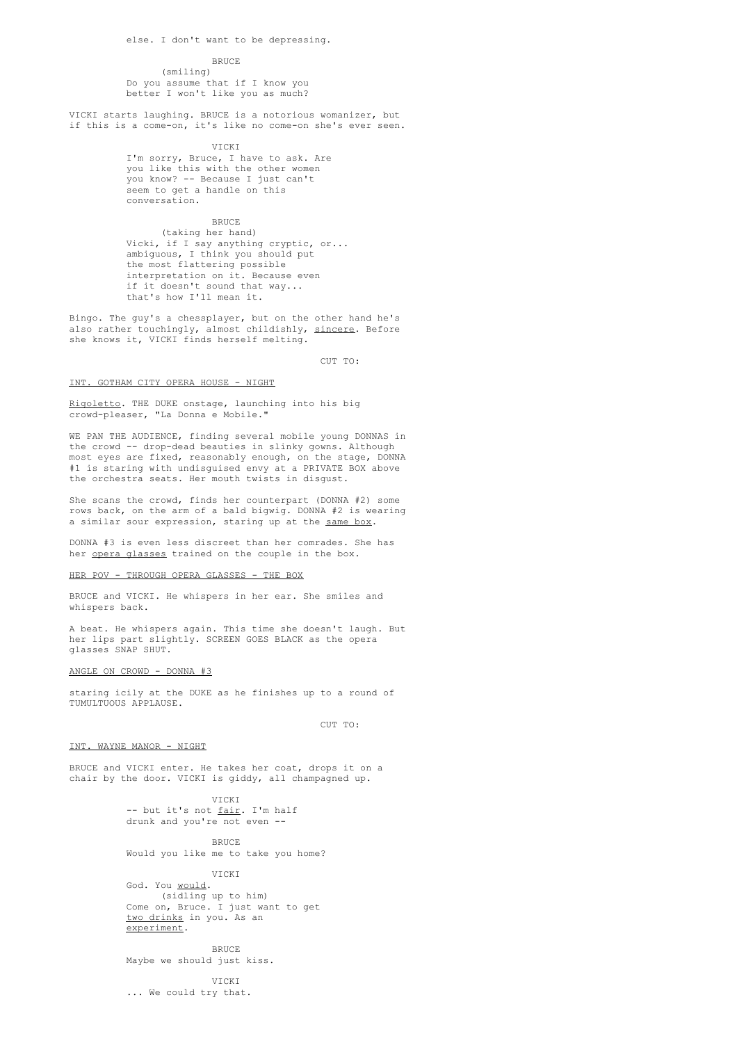#### **BRUCE**

(smiling) Do you assume that if I know you better I won't like you as much?

VICKI starts laughing. BRUCE is a notorious womanizer, but if this is a come-on, it's like no come-on she's ever seen.

### VICKI

I'm sorry, Bruce, I have to ask. Are you like this with the other women you know? -- Because I just can't seem to get a handle on this conversation.

# **BRUCE**

(taking her hand) Vicki, if I say anything cryptic, or... ambiguous, I think you should put the most flattering possible interpretation on it. Because even if it doesn't sound that way... that's how I'll mean it.

Bingo. The guy's a chessplayer, but on the other hand he's also rather touchingly, almost childishly, sincere. Before she knows it, VICKI finds herself melting.

CUT TO:

# INT. GOTHAM CITY OPERA HOUSE - NIGHT

Rigoletto. THE DUKE onstage, launching into his big crowd-pleaser, "La Donna e Mobile."

WE PAN THE AUDIENCE, finding several mobile young DONNAS in the crowd -- drop-dead beauties in slinky gowns. Although most eyes are fixed, reasonably enough, on the stage, DONNA #1 is staring with undisguised envy at a PRIVATE BOX above the orchestra seats. Her mouth twists in disgust.

She scans the crowd, finds her counterpart (DONNA #2) some rows back, on the arm of a bald bigwig. DONNA #2 is wearing a similar sour expression, staring up at the same box.

DONNA #3 is even less discreet than her comrades. She has her opera glasses trained on the couple in the box.

# HER POV - THROUGH OPERA GLASSES - THE BOX

BRUCE and VICKI. He whispers in her ear. She smiles and whispers back.

A beat. He whispers again. This time she doesn't laugh. But her lips part slightly. SCREEN GOES BLACK as the opera glasses SNAP SHUT.

# ANGLE ON CROWD - DONNA #3

staring icily at the DUKE as he finishes up to a round of TUMULTUOUS APPLAUSE.

CUT TO:

### INT. WAYNE MANOR - NIGHT

BRUCE and VICKI enter. He takes her coat, drops it on a chair by the door. VICKI is giddy, all champagned up.

> VICKI -- but it's not <u>fair</u>. I'm half drunk and you're not even --

> > **BRUCE**

Would you like me to take you home?

VICKI

God. You would. (sidling up to him) Come on, Bruce. I just want to get two drinks in you. As an experiment.

BRUCE

Maybe we should just kiss.

VICKI ... We could try that.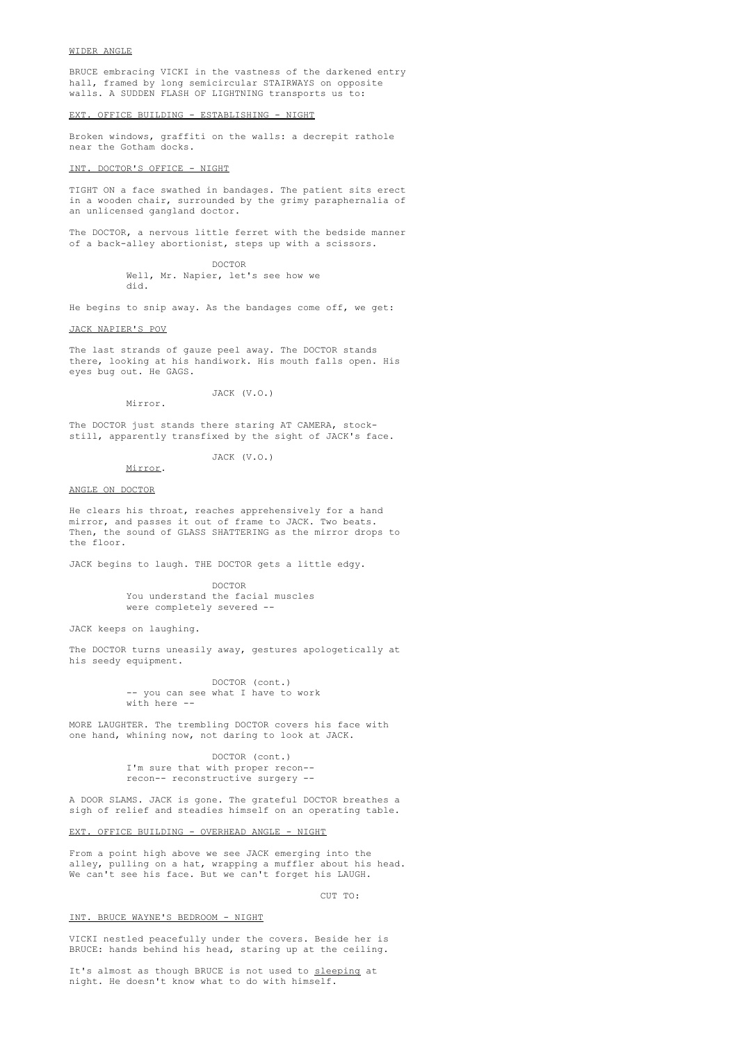#### WIDER ANGLE

BRUCE embracing VICKI in the vastness of the darkened entry hall, framed by long semicircular STAIRWAYS on opposite walls. A SUDDEN FLASH OF LIGHTNING transports us to:

# EXT. OFFICE BUILDING - ESTABLISHING - NIGHT

Broken windows, graffiti on the walls: a decrepit rathole near the Gotham docks.

# INT. DOCTOR'S OFFICE - NIGHT

TIGHT ON a face swathed in bandages. The patient sits erect in a wooden chair, surrounded by the grimy paraphernalia of an unlicensed gangland doctor.

The DOCTOR, a nervous little ferret with the bedside manner of a back-alley abortionist, steps up with a scissors.

> DOCTOR Well, Mr. Napier, let's see how we did.

He begins to snip away. As the bandages come off, we get:

# JACK NAPIER'S POV

The last strands of gauze peel away. The DOCTOR stands there, looking at his handiwork. His mouth falls open. His eyes bug out. He GAGS.

JACK (V.O.)

The DOCTOR just stands there staring AT CAMERA, stockstill, apparently transfixed by the sight of JACK's face.

#### Mirror.

Mirror.

JACK (V.O.)

### ANGLE ON DOCTOR

He clears his throat, reaches apprehensively for a hand mirror, and passes it out of frame to JACK. Two beats. Then, the sound of GLASS SHATTERING as the mirror drops to the floor.

JACK begins to laugh. THE DOCTOR gets a little edgy.

DOCTOR You understand the facial muscles were completely severed --

JACK keeps on laughing.

The DOCTOR turns uneasily away, gestures apologetically at his seedy equipment.

> DOCTOR (cont.) -- you can see what I have to work with here --

MORE LAUGHTER. The trembling DOCTOR covers his face with one hand, whining now, not daring to look at JACK.

> DOCTOR (cont.) I'm sure that with proper recon- recon-- reconstructive surgery --

A DOOR SLAMS. JACK is gone. The grateful DOCTOR breathes a sigh of relief and steadies himself on an operating table.

EXT. OFFICE BUILDING - OVERHEAD ANGLE - NIGHT

From a point high above we see JACK emerging into the alley, pulling on a hat, wrapping a muffler about his head. We can't see his face. But we can't forget his LAUGH.

#### CUT TO:

### INT. BRUCE WAYNE'S BEDROOM - NIGHT

VICKI nestled peacefully under the covers. Beside her is BRUCE: hands behind his head, staring up at the ceiling.

It's almost as though BRUCE is not used to sleeping at night. He doesn't know what to do with himself.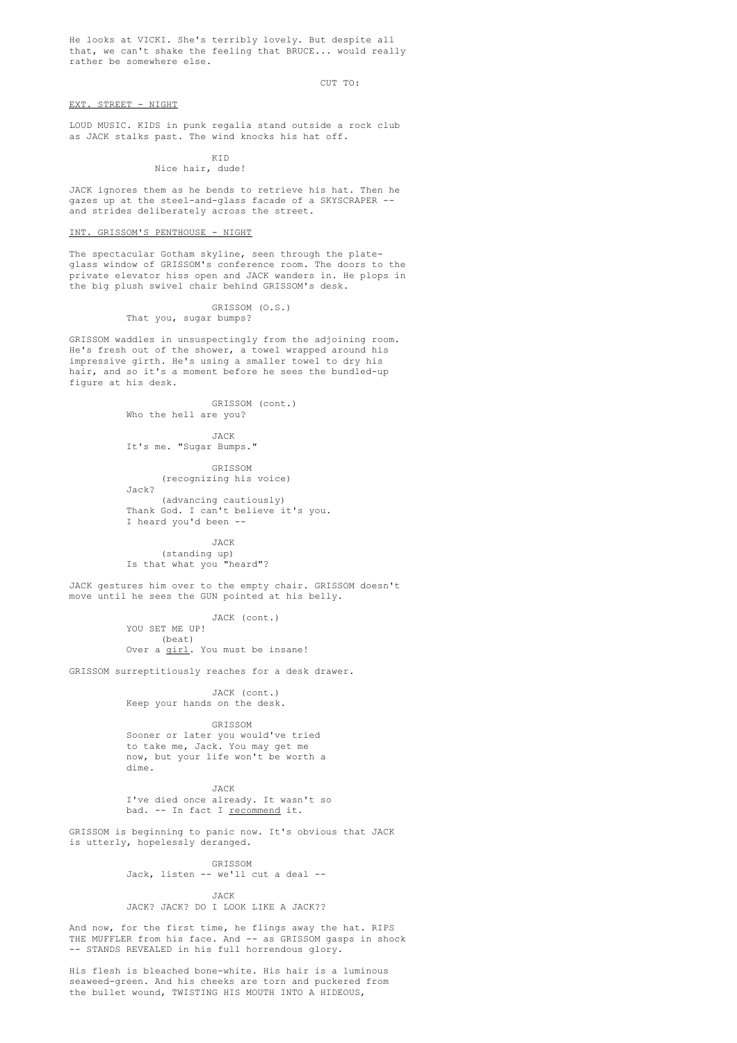He looks at VICKI. She's terribly lovely. But despite all that, we can't shake the feeling that BRUCE... would really rather be somewhere else.

#### CUT TO:

# EXT. STREET - NIGHT

LOUD MUSIC. KIDS in punk regalia stand outside a rock club as JACK stalks past. The wind knocks his hat off.

# KID

Nice hair, dude!

JACK ignores them as he bends to retrieve his hat. Then he gazes up at the steel-and-glass facade of a SKYSCRAPER - and strides deliberately across the street.

# INT. GRISSOM'S PENTHOUSE - NIGHT

The spectacular Gotham skyline, seen through the plateglass window of GRISSOM's conference room. The doors to the private elevator hiss open and JACK wanders in. He plops in the big plush swivel chair behind GRISSOM's desk.

# GRISSOM (O.S.)

# That you, sugar bumps?

GRISSOM waddles in unsuspectingly from the adjoining room. He's fresh out of the shower, a towel wrapped around his impressive girth. He's using a smaller towel to dry his hair, and so it's a moment before he sees the bundled-up figure at his desk.

> GRISSOM (cont.) Who the hell are you?

**JACK** It's me. "Sugar Bumps."

GRISSOM (recognizing his voice) Jack? (advancing cautiously)

Thank God. I can't believe it's you. I heard you'd been --

JACK (standing up) Is that what you "heard"?

JACK gestures him over to the empty chair. GRISSOM doesn't move until he sees the GUN pointed at his belly.

> JACK (cont.) YOU SET ME UP! (beat) Over a girl. You must be insane!

GRISSOM surreptitiously reaches for a desk drawer.

JACK (cont.) Keep your hands on the desk.

GRISSOM Sooner or later you would've tried to take me, Jack. You may get me now, but your life won't be worth a dime.

JACK I've died once already. It wasn't so bad. -- In fact I recommend it.

GRISSOM is beginning to panic now. It's obvious that JACK is utterly, hopelessly deranged.

GRISSOM

Jack, listen -- we'll cut a deal --

JACK JACK? JACK? DO I LOOK LIKE A JACK??

And now, for the first time, he flings away the hat. RIPS THE MUFFLER from his face. And -- as GRISSOM gasps in shock -- STANDS REVEALED in his full horrendous glory.

His flesh is bleached bone-white. His hair is a luminous seaweed-green. And his cheeks are torn and puckered from the bullet wound, TWISTING HIS MOUTH INTO A HIDEOUS,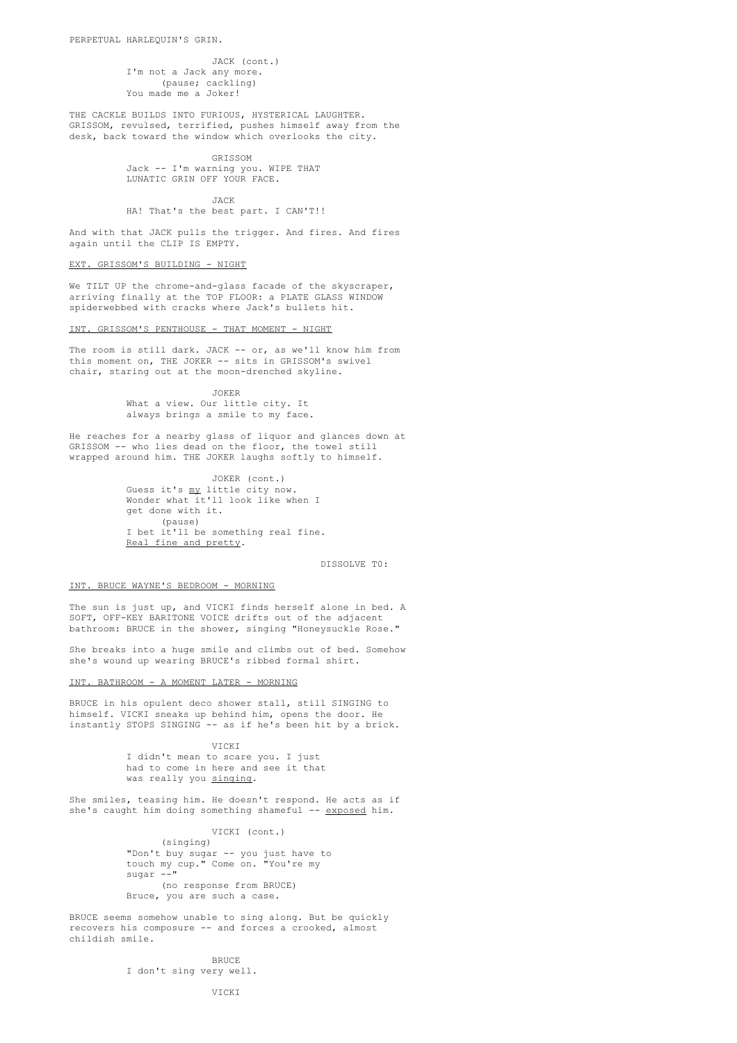JACK (cont.) I'm not a Jack any more. (pause; cackling) You made me a Joker!

THE CACKLE BUILDS INTO FURIOUS, HYSTERICAL LAUGHTER. GRISSOM, revulsed, terrified, pushes himself away from the desk, back toward the window which overlooks the city.

> GRISSOM Jack -- I'm warning you. WIPE THAT LUNATIC GRIN OFF YOUR FACE.

JACK HA! That's the best part. I CAN'T!!

And with that JACK pulls the trigger. And fires. And fires again until the CLIP IS EMPTY.

# EXT. GRISSOM'S BUILDING - NIGHT

We TILT UP the chrome-and-glass facade of the skyscraper, arriving finally at the TOP FLOOR: a PLATE GLASS WINDOW spiderwebbed with cracks where Jack's bullets hit.

#### INT. GRISSOM'S PENTHOUSE - THAT MOMENT - NIGHT

The room is still dark. JACK -- or, as we'll know him from this moment on, THE JOKER -- sits in GRISSOM's swivel chair, staring out at the moon-drenched skyline.

> JOKER What a view. Our little city. It always brings a smile to my face.

He reaches for a nearby glass of liquor and glances down at GRISSOM -- who lies dead on the floor, the towel still wrapped around him. THE JOKER laughs softly to himself.

> JOKER (cont.) Guess it's my little city now. Wonder what it'll look like when I get done with it. (pause) I bet it'll be something real fine. Real fine and pretty.

> > DISSOLVE T0:

### INT. BRUCE WAYNE'S BEDROOM - MORNING

The sun is just up, and VICKI finds herself alone in bed. A SOFT, OFF-KEY BARITONE VOICE drifts out of the adjacent bathroom: BRUCE in the shower, singing "Honeysuckle Rose."

She breaks into a huge smile and climbs out of bed. Somehow she's wound up wearing BRUCE's ribbed formal shirt.

### INT. BATHROOM - A MOMENT LATER - MORNING

BRUCE in his opulent deco shower stall, still SINGING to himself. VICKI sneaks up behind him, opens the door. He instantly STOPS SINGING -- as if he's been hit by a brick.

> VICKI I didn't mean to scare you. I just had to come in here and see it that was really you singing.

She smiles, teasing him. He doesn't respond. He acts as if she's caught him doing something shameful -- exposed him.

# VICKI (cont.)

(singing) "Don't buy sugar -- you just have to touch my cup." Come on. "You're my sugar --" (no response from BRUCE) Bruce, you are such a case.

BRUCE seems somehow unable to sing along. But be quickly recovers his composure -- and forces a crooked, almost childish smile.

> BRUCE I don't sing very well.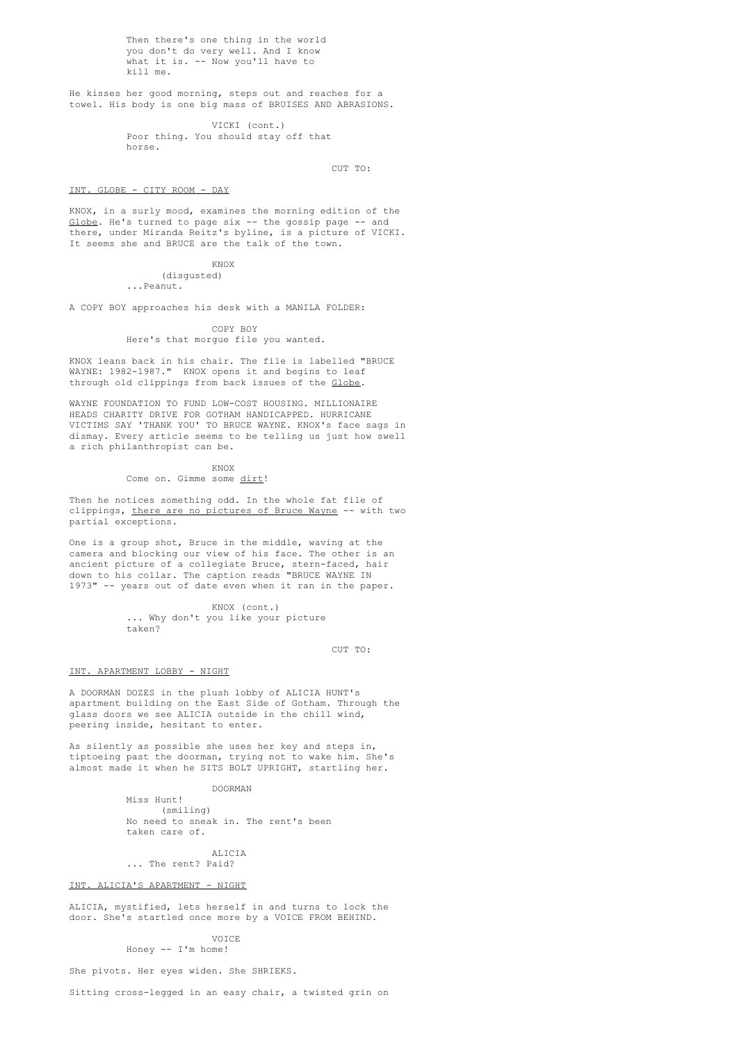Then there's one thing in the world you don't do very well. And I know what it is. -- Now you'll have to kill me.

He kisses her good morning, steps out and reaches for a towel. His body is one big mass of BRUISES AND ABRASIONS.

> VICKI (cont.) Poor thing. You should stay off that horse.

> > CUT TO:

### INT. GLOBE - CITY ROOM - DAY

KNOX, in a surly mood, examines the morning edition of the Globe. He's turned to page six -- the gossip page -- and there, under Miranda Reitz's byline, is a picture of VICKI. It seems she and BRUCE are the talk of the town.

# KNOX

(disgusted) ...Peanut.

A COPY BOY approaches his desk with a MANILA FOLDER:

### COPY BOY

Here's that morgue file you wanted.

KNOX leans back in his chair. The file is labelled "BRUCE WAYNE: 1982-1987." KNOX opens it and begins to leaf through old clippings from back issues of the Globe.

WAYNE FOUNDATION TO FUND LOW-COST HOUSING. MILLIONAIRE HEADS CHARITY DRIVE FOR GOTHAM HANDICAPPED. HURRICANE VICTIMS SAY 'THANK YOU' TO BRUCE WAYNE. KNOX's face sags in dismay. Every article seems to be telling us just how swell a rich philanthropist can be.

KNOX

# Come on. Gimme some dirt!

Then he notices something odd. In the whole fat file of clippings, there are no pictures of Bruce Wayne -- with two partial exceptions.

One is a group shot, Bruce in the middle, waving at the camera and blocking our view of his face. The other is an ancient picture of a collegiate Bruce, stern-faced, hair down to his collar. The caption reads "BRUCE WAYNE IN 1973" -- years out of date even when it ran in the paper.

> KNOX (cont.) ... Why don't you like your picture taken?

> > CUT TO:

# INT. APARTMENT LOBBY - NIGHT

A DOORMAN DOZES in the plush lobby of ALICIA HUNT's apartment building on the East Side of Gotham. Through the glass doors we see ALICIA outside in the chill wind, peering inside, hesitant to enter.

As silently as possible she uses her key and steps in, tiptoeing past the doorman, trying not to wake him. She's almost made it when he SITS BOLT UPRIGHT, startling her.

# DOORMAN

Miss Hunt! (smiling) No need to sneak in. The rent's been taken care of.

ALICIA ... The rent? Paid?

# INT. ALICIA'S APARTMENT - NIGHT

ALICIA, mystified, lets herself in and turns to lock the door. She's startled once more by a VOICE FROM BEHIND.

### VOICE Honey -- I'm home!

She pivots. Her eyes widen. She SHRIEKS.

Sitting cross-legged in an easy chair, a twisted grin on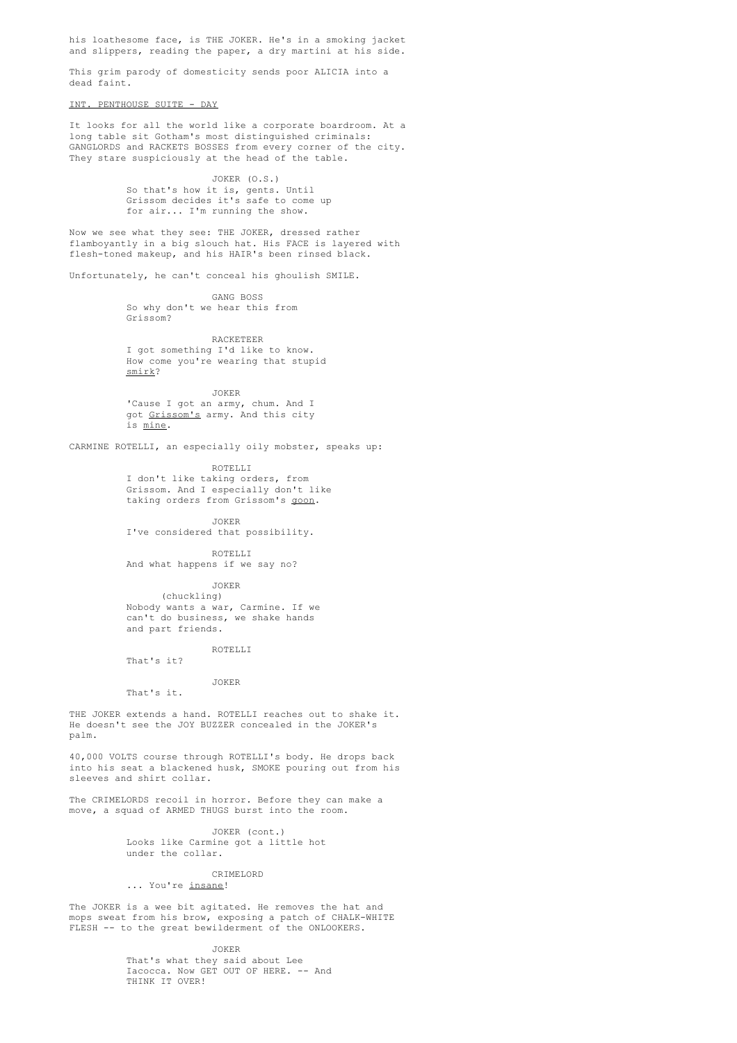his loathesome face, is THE JOKER. He's in a smoking jacket and slippers, reading the paper, a dry martini at his side.

This grim parody of domesticity sends poor ALICIA into a dead faint.

INT. PENTHOUSE SUITE - DAY

It looks for all the world like a corporate boardroom. At a long table sit Gotham's most distinguished criminals: GANGLORDS and RACKETS BOSSES from every corner of the city. They stare suspiciously at the head of the table.

> JOKER (O.S.) So that's how it is, gents. Until Grissom decides it's safe to come up for air... I'm running the show.

Now we see what they see: THE JOKER, dressed rather flamboyantly in a big slouch hat. His FACE is layered with flesh-toned makeup, and his HAIR's been rinsed black.

Unfortunately, he can't conceal his ghoulish SMILE.

GANG BOSS So why don't we hear this from Grissom?

RACKETEER I got something I'd like to know. How come you're wearing that stupid smirk?

JOKER 'Cause I got an army, chum. And I got Grissom's army. And this city is mine.

CARMINE ROTELLI, an especially oily mobster, speaks up:

ROTELLI I don't like taking orders, from Grissom. And I especially don't like taking orders from Grissom's goon.

JOKER I've considered that possibility.

ROTELLI And what happens if we say no?

JOKER (chuckling) Nobody wants a war, Carmine. If we can't do business, we shake hands and part friends.

ROTELLI That's it?

JOKER

That's it.

THE JOKER extends a hand. ROTELLI reaches out to shake it. He doesn't see the JOY BUZZER concealed in the JOKER's palm.

40,000 VOLTS course through ROTELLI's body. He drops back into his seat a blackened husk, SMOKE pouring out from his sleeves and shirt collar.

The CRIMELORDS recoil in horror. Before they can make a move, a squad of ARMED THUGS burst into the room.

> JOKER (cont.) Looks like Carmine got a little hot under the collar.

# CRIMELORD ... You're insane!

The JOKER is a wee bit agitated. He removes the hat and mops sweat from his brow, exposing a patch of CHALK-WHITE FLESH -- to the great bewilderment of the ONLOOKERS.

JOKER

That's what they said about Lee Iacocca. Now GET OUT OF HERE. -- And THINK IT OVER!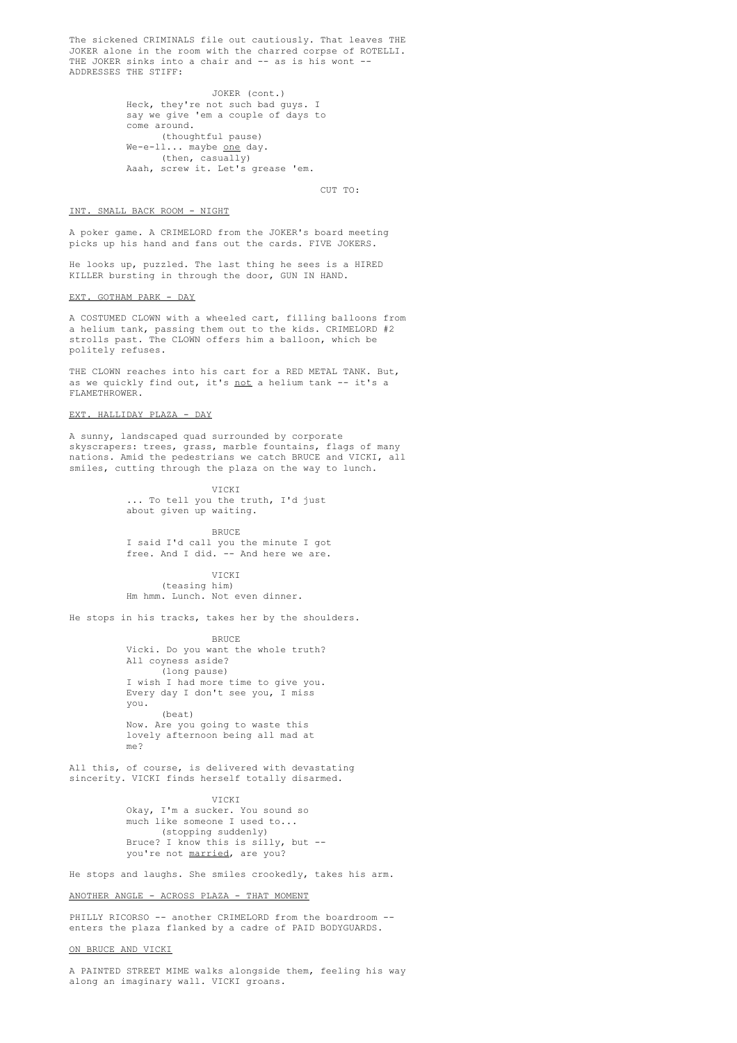The sickened CRIMINALS file out cautiously. That leaves THE JOKER alone in the room with the charred corpse of ROTELLI. THE JOKER sinks into a chair and -- as is his wont --ADDRESSES THE STIFF:

> JOKER (cont.) Heck, they're not such bad guys. I say we give 'em a couple of days to come around. (thoughtful pause) We-e-ll... maybe <u>one</u> day. (then, casually) Aaah, screw it. Let's grease 'em.

> > CUT TO:

# INT. SMALL BACK ROOM - NIGHT

A poker game. A CRIMELORD from the JOKER's board meeting picks up his hand and fans out the cards. FIVE JOKERS.

He looks up, puzzled. The last thing he sees is a HIRED KILLER bursting in through the door, GUN IN HAND.

EXT. GOTHAM PARK - DAY

A COSTUMED CLOWN with a wheeled cart, filling balloons from a helium tank, passing them out to the kids. CRIMELORD #2 strolls past. The CLOWN offers him a balloon, which be politely refuses.

THE CLOWN reaches into his cart for a RED METAL TANK. But, as we quickly find out, it's not a helium tank -- it's a FLAMETHROWER.

# EXT. HALLIDAY PLAZA - DAY

A sunny, landscaped quad surrounded by corporate skyscrapers: trees, grass, marble fountains, flags of many nations. Amid the pedestrians we catch BRUCE and VICKI, all smiles, cutting through the plaza on the way to lunch.

> VICKI ... To tell you the truth, I'd just about given up waiting.

> > BRUCE

I said I'd call you the minute I got free. And I did. -- And here we are.

VICKI (teasing him) Hm hmm. Lunch. Not even dinner.

He stops in his tracks, takes her by the shoulders.

BRUCE Vicki. Do you want the whole truth? All coyness aside? (long pause) I wish I had more time to give you. Every day I don't see you, I miss you. (beat) Now. Are you going to waste this lovely afternoon being all mad at me?

All this, of course, is delivered with devastating sincerity. VICKI finds herself totally disarmed.

> **VICKI** Okay, I'm a sucker. You sound so much like someone I used to... (stopping suddenly) Bruce? I know this is silly, but - you're not married, are you?

He stops and laughs. She smiles crookedly, takes his arm.

### ANOTHER ANGLE - ACROSS PLAZA - THAT MOMENT

PHILLY RICORSO -- another CRIMELORD from the boardroom -enters the plaza flanked by a cadre of PAID BODYGUARDS.

ON BRUCE AND VICKI

A PAINTED STREET MIME walks alongside them, feeling his way along an imaginary wall. VICKI groans.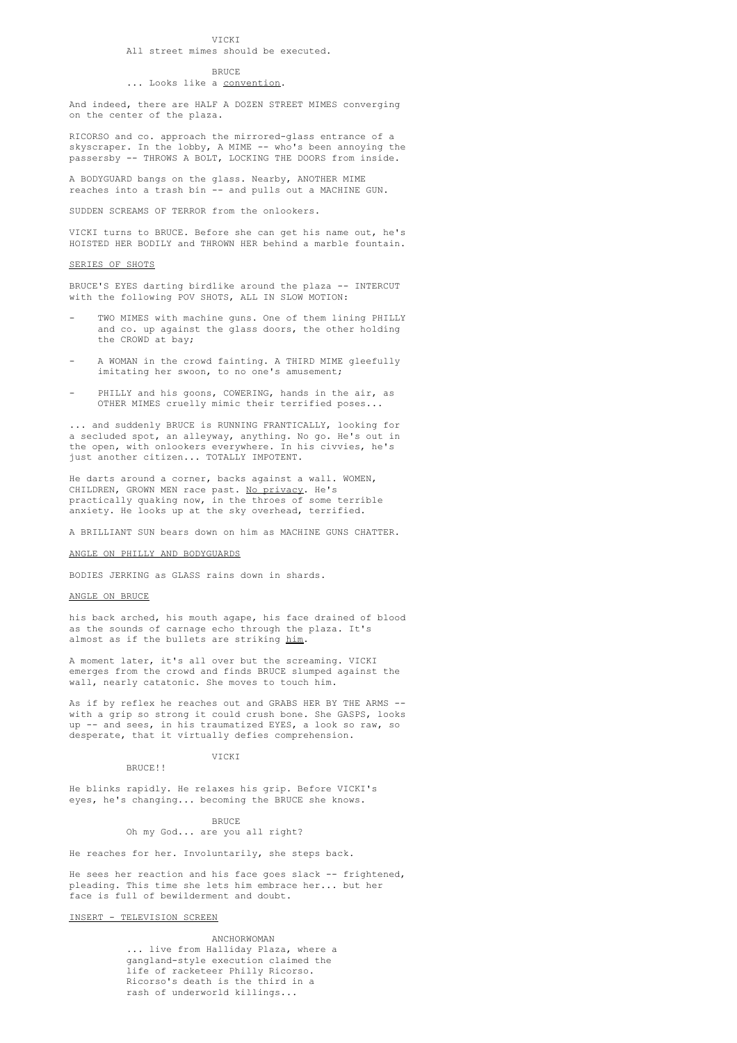# VICKI

# All street mimes should be executed.

#### **BRUCE**

# ... Looks like a convention.

And indeed, there are HALF A DOZEN STREET MIMES converging on the center of the plaza.

RICORSO and co. approach the mirrored-glass entrance of a skyscraper. In the lobby, A MIME -- who's been annoying the passersby -- THROWS A BOLT, LOCKING THE DOORS from inside.

A BODYGUARD bangs on the glass. Nearby, ANOTHER MIME reaches into a trash bin -- and pulls out a MACHINE GUN.

SUDDEN SCREAMS OF TERROR from the onlookers.

VICKI turns to BRUCE. Before she can get his name out, he's HOISTED HER BODILY and THROWN HER behind a marble fountain.

#### SERIES OF SHOTS

BRUCE'S EYES darting birdlike around the plaza -- INTERCUT with the following POV SHOTS, ALL IN SLOW MOTION:

- TWO MIMES with machine guns. One of them lining PHILLY and co. up against the glass doors, the other holding the CROWD at bay;
- A WOMAN in the crowd fainting. A THIRD MIME gleefully imitating her swoon, to no one's amusement;
- PHILLY and his goons, COWERING, hands in the air, as OTHER MIMES cruelly mimic their terrified poses...

... and suddenly BRUCE is RUNNING FRANTICALLY, looking for a secluded spot, an alleyway, anything. No go. He's out in the open, with onlookers everywhere. In his civvies, he's just another citizen... TOTALLY IMPOTENT.

He darts around a corner, backs against a wall. WOMEN, CHILDREN, GROWN MEN race past. No privacy. He's practically quaking now, in the throes of some terrible anxiety. He looks up at the sky overhead, terrified.

A BRILLIANT SUN bears down on him as MACHINE GUNS CHATTER.

### ANGLE ON PHILLY AND BODYGUARDS

BODIES JERKING as GLASS rains down in shards.

# ANGLE ON BRUCE

his back arched, his mouth agape, his face drained of blood as the sounds of carnage echo through the plaza. It's almost as if the bullets are striking him.

A moment later, it's all over but the screaming. VICKI emerges from the crowd and finds BRUCE slumped against the wall, nearly catatonic. She moves to touch him.

As if by reflex he reaches out and GRABS HER BY THE ARMS - with a grip so strong it could crush bone. She GASPS, looks up -- and sees, in his traumatized EYES, a look so raw, so desperate, that it virtually defies comprehension.

VICKI

He blinks rapidly. He relaxes his grip. Before VICKI's eyes, he's changing... becoming the BRUCE she knows.

> BRUCE Oh my God... are you all right?

He reaches for her. Involuntarily, she steps back.

He sees her reaction and his face goes slack -- frightened, pleading. This time she lets him embrace her... but her face is full of bewilderment and doubt.

INSERT - TELEVISION SCREEN

BRUCE!!

ANCHORWOMAN ... live from Halliday Plaza, where a gangland-style execution claimed the life of racketeer Philly Ricorso. Ricorso's death is the third in a rash of underworld killings...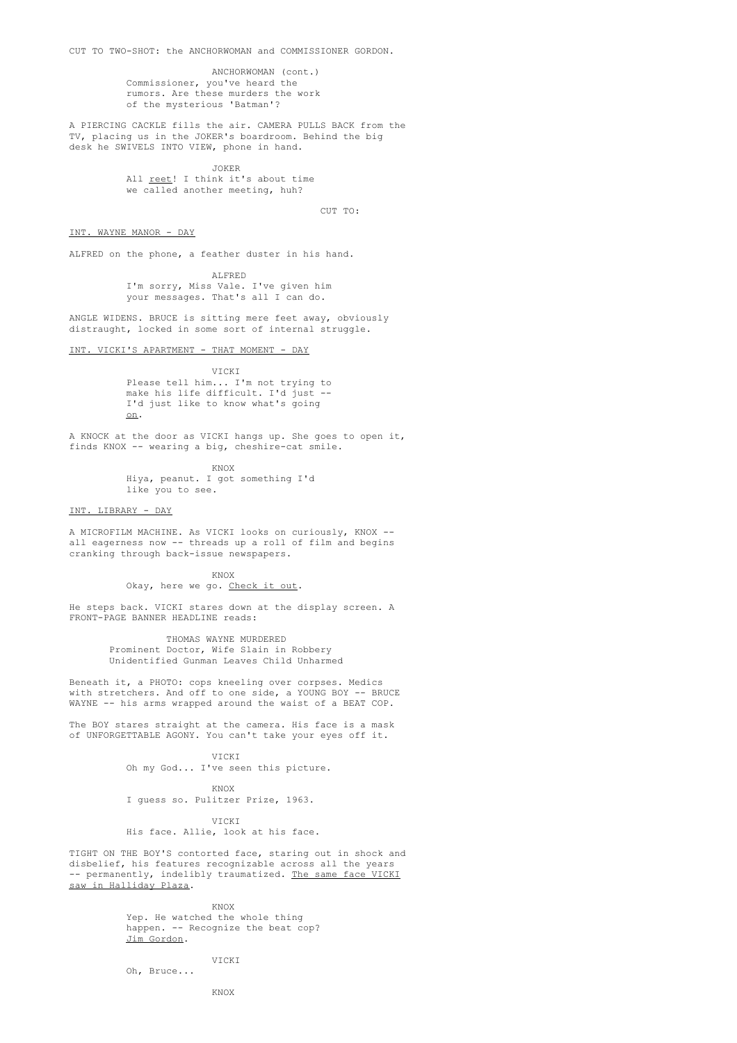CUT TO TWO-SHOT: the ANCHORWOMAN and COMMISSIONER GORDON.

ANCHORWOMAN (cont.) Commissioner, you've heard the rumors. Are these murders the work of the mysterious 'Batman'?

A PIERCING CACKLE fills the air. CAMERA PULLS BACK from the TV, placing us in the JOKER's boardroom. Behind the big desk he SWIVELS INTO VIEW, phone in hand.

> JOKER All <u>reet</u>! I think it's about time we called another meeting, huh?

> > CUT TO:

### INT. WAYNE MANOR - DAY

ALFRED on the phone, a feather duster in his hand.

ALFRED I'm sorry, Miss Vale. I've given him your messages. That's all I can do.

ANGLE WIDENS. BRUCE is sitting mere feet away, obviously distraught, locked in some sort of internal struggle.

INT. VICKI'S APARTMENT - THAT MOMENT - DAY

VICKI Please tell him... I'm not trying to make his life difficult. I'd just --I'd just like to know what's going on.

A KNOCK at the door as VICKI hangs up. She goes to open it, finds KNOX -- wearing a big, cheshire-cat smile.

KNOX

Hiya, peanut. I got something I'd like you to see.

# INT. LIBRARY - DAY

A MICROFILM MACHINE. As VICKI looks on curiously, KNOX - all eagerness now -- threads up a roll of film and begins cranking through back-issue newspapers.

KNOX

### Okay, here we go. Check it out.

He steps back. VICKI stares down at the display screen. A FRONT-PAGE BANNER HEADLINE reads:

> THOMAS WAYNE MURDERED Prominent Doctor, Wife Slain in Robbery Unidentified Gunman Leaves Child Unharmed

Beneath it, a PHOTO: cops kneeling over corpses. Medics with stretchers. And off to one side, a YOUNG BOY -- BRUCE WAYNE -- his arms wrapped around the waist of a BEAT COP.

The BOY stares straight at the camera. His face is a mask of UNFORGETTABLE AGONY. You can't take your eyes off it.

> VICKI Oh my God... I've seen this picture.

KNOX I guess so. Pulitzer Prize, 1963.

VICKI His face. Allie, look at his face.

TIGHT ON THE BOY'S contorted face, staring out in shock and disbelief, his features recognizable across all the years -- permanently, indelibly traumatized. The same face VICKI saw in Halliday Plaza.

KNOX

Yep. He watched the whole thing happen. -- Recognize the beat cop? Jim Gordon.

VICKI

Oh, Bruce...

KNOX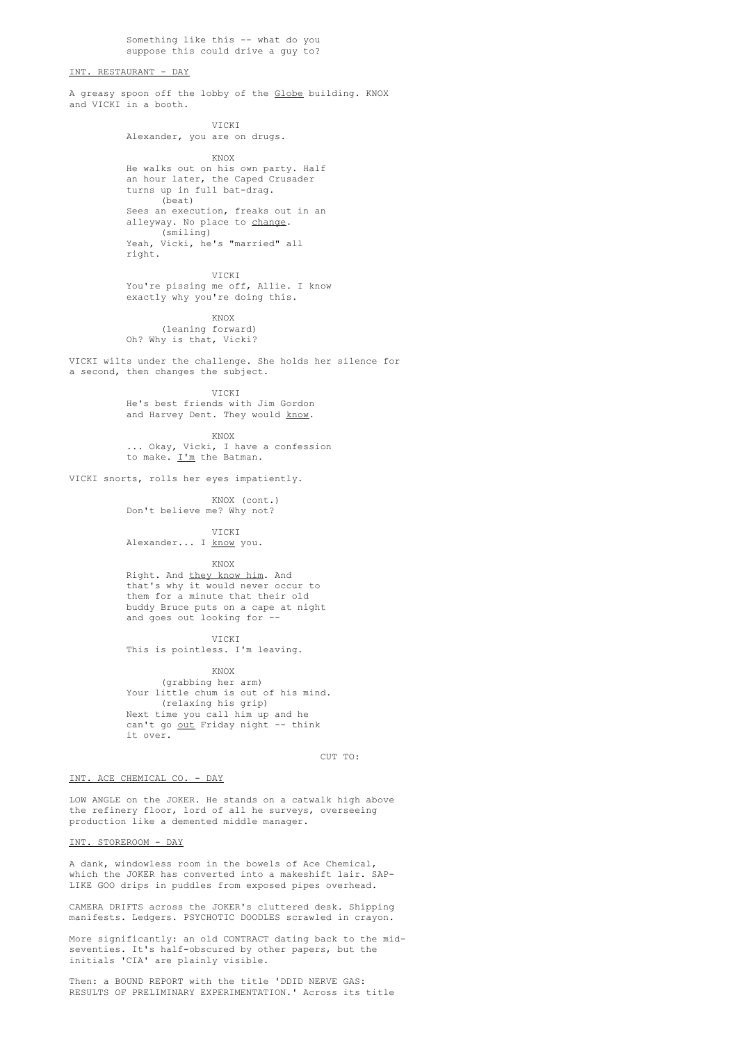Something like this -- what do you suppose this could drive a guy to?

# INT. RESTAURANT - DAY

A greasy spoon off the lobby of the Globe building. KNOX and VICKI in a booth.

> **VICKI** Alexander, you are on drugs.

KNOX He walks out on his own party. Half an hour later, the Caped Crusader turns up in full bat-drag. (beat) Sees an execution, freaks out in an alleyway. No place to change. (smiling) Yeah, Vicki, he's "married" all right.

VICKI You're pissing me off, Allie. I know exactly why you're doing this.

KNOX (leaning forward) Oh? Why is that, Vicki?

VICKI wilts under the challenge. She holds her silence for a second, then changes the subject.

VICKI

He's best friends with Jim Gordon and Harvey Dent. They would know.

KNOX ... Okay, Vicki, I have a confession to make. <u>I'm</u> the Batman.

VICKI snorts, rolls her eyes impatiently.

KNOX (cont.) Don't believe me? Why not?

VICKI

Alexander... I know you.

KNOX

Right. And they know him. And that's why it would never occur to them for a minute that their old buddy Bruce puts on a cape at night and goes out looking for --

VICKI

This is pointless. I'm leaving.

KNOX

(grabbing her arm) Your little chum is out of his mind. (relaxing his grip) Next time you call him up and he can't go out Friday night -- think it over.

 $C \text{LTP}$  TO:

# INT. ACE CHEMICAL CO. - DAY

LOW ANGLE on the JOKER. He stands on a catwalk high above the refinery floor, lord of all he surveys, overseeing production like a demented middle manager.

INT. STOREROOM - DAY

A dank, windowless room in the bowels of Ace Chemical, which the JOKER has converted into a makeshift lair. SAP-LIKE GOO drips in puddles from exposed pipes overhead.

CAMERA DRIFTS across the JOKER's cluttered desk. Shipping manifests. Ledgers. PSYCHOTIC DOODLES scrawled in crayon.

More significantly: an old CONTRACT dating back to the midseventies. It's half-obscured by other papers, but the initials 'CIA' are plainly visible.

Then: a BOUND REPORT with the title 'DDID NERVE GAS: RESULTS OF PRELIMINARY EXPERIMENTATION.' Across its title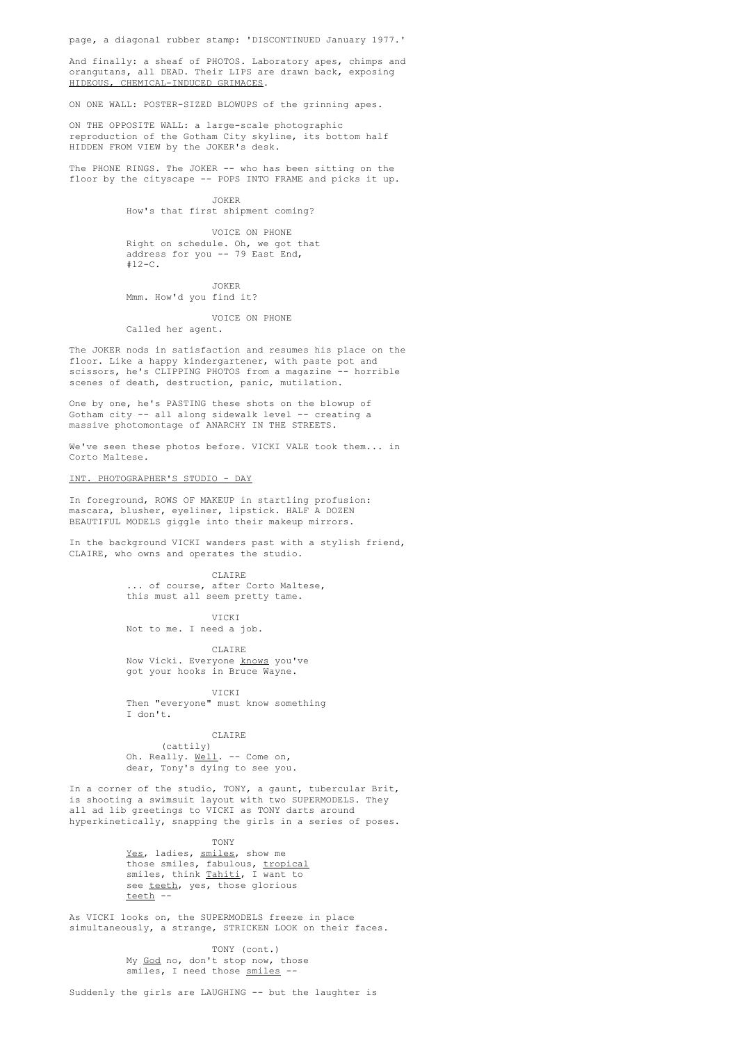page, a diagonal rubber stamp: 'DISCONTINUED January 1977.'

And finally: a sheaf of PHOTOS. Laboratory apes, chimps and orangutans, all DEAD. Their LIPS are drawn back, exposing HIDEOUS, CHEMICAL-INDUCED GRIMACES.

ON ONE WALL: POSTER-SIZED BLOWUPS of the grinning apes.

ON THE OPPOSITE WALL: a large-scale photographic reproduction of the Gotham City skyline, its bottom half HIDDEN FROM VIEW by the JOKER's desk.

The PHONE RINGS. The JOKER -- who has been sitting on the floor by the cityscape -- POPS INTO FRAME and picks it up.

> JOKER How's that first shipment coming?

VOICE ON PHONE Right on schedule. Oh, we got that address for you -- 79 East End,  $#12-C.$ 

JOKER Mmm. How'd you find it?

VOICE ON PHONE Called her agent.

The JOKER nods in satisfaction and resumes his place on the floor. Like a happy kindergartener, with paste pot and scissors, he's CLIPPING PHOTOS from a magazine -- horrible scenes of death, destruction, panic, mutilation.

One by one, he's PASTING these shots on the blowup of Gotham city -- all along sidewalk level -- creating a massive photomontage of ANARCHY IN THE STREETS.

We've seen these photos before. VICKI VALE took them... in Corto Maltese.

# INT. PHOTOGRAPHER'S STUDIO - DAY

In foreground, ROWS OF MAKEUP in startling profusion: mascara, blusher, eyeliner, lipstick. HALF A DOZEN BEAUTIFUL MODELS giggle into their makeup mirrors.

In the background VICKI wanders past with a stylish friend, CLAIRE, who owns and operates the studio.

> CLAIRE .. of course, after Corto Maltese, this must all seem pretty tame.

> > VICKI

Not to me. I need a job.

**CLAIRE** Now Vicki. Everyone knows you've got your hooks in Bruce Wayne.

VICKI Then "everyone" must know something I don't.

### CLAIRE

(cattily) Oh. Really. Well. -- Come on, dear, Tony's dying to see you.

In a corner of the studio, TONY, a gaunt, tubercular Brit, is shooting a swimsuit layout with two SUPERMODELS. They all ad lib greetings to VICKI as TONY darts around hyperkinetically, snapping the girls in a series of poses.

TONY

Yes, ladies, smiles, show me those smiles, fabulous, tropical smiles, think Tahiti, I want to see teeth, yes, those glorious teeth --

As VICKI looks on, the SUPERMODELS freeze in place simultaneously, a strange, STRICKEN LOOK on their faces.

> TONY (cont.) My God no, don't stop now, those smiles, I need those smiles --

Suddenly the girls are LAUGHING -- but the laughter is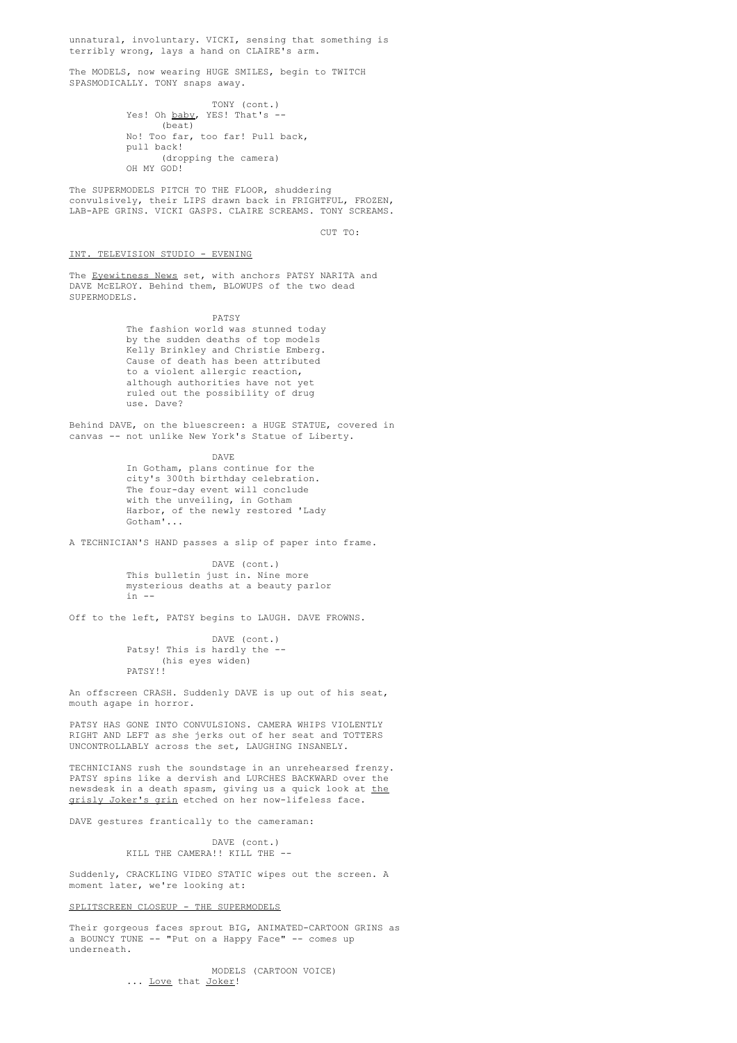unnatural, involuntary. VICKI, sensing that something is terribly wrong, lays a hand on CLAIRE's arm.

The MODELS, now wearing HUGE SMILES, begin to TWITCH SPASMODICALLY. TONY snaps away.

> TONY (cont.) Yes! Oh baby, YES! That's --(beat) No! Too far, too far! Pull back, pull back! (dropping the camera) OH MY GOD!

The SUPERMODELS PITCH TO THE FLOOR, shuddering convulsively, their LIPS drawn back in FRIGHTFUL, FROZEN, LAB-APE GRINS. VICKI GASPS. CLAIRE SCREAMS. TONY SCREAMS.

CUT TO:

INT. TELEVISION STUDIO - EVENING

The Eyewitness News set, with anchors PATSY NARITA and DAVE McELROY. Behind them, BLOWUPS of the two dead SUPERMODELS.

PATSY

The fashion world was stunned today by the sudden deaths of top models Kelly Brinkley and Christie Emberg. Cause of death has been attributed to a violent allergic reaction, although authorities have not yet ruled out the possibility of drug use. Dave?

Behind DAVE, on the bluescreen: a HUGE STATUE, covered in canvas -- not unlike New York's Statue of Liberty.

> DAVE In Gotham, plans continue for the city's 300th birthday celebration. The four-day event will conclude with the unveiling, in Gotham Harbor, of the newly restored 'Lady Gotham'...

A TECHNICIAN'S HAND passes a slip of paper into frame.

DAVE (cont.) This bulletin just in. Nine more mysterious deaths at a beauty parlor  $in -$ 

Off to the left, PATSY begins to LAUGH. DAVE FROWNS.

DAVE (cont.) Patsy! This is hardly the -- (his eyes widen) PATSY!!

An offscreen CRASH. Suddenly DAVE is up out of his seat, mouth agape in horror.

PATSY HAS GONE INTO CONVULSIONS. CAMERA WHIPS VIOLENTLY RIGHT AND LEFT as she jerks out of her seat and TOTTERS UNCONTROLLABLY across the set, LAUGHING INSANELY.

TECHNICIANS rush the soundstage in an unrehearsed frenzy. PATSY spins like a dervish and LURCHES BACKWARD over the newsdesk in a death spasm, giving us a quick look at the grisly Joker's grin etched on her now-lifeless face.

DAVE gestures frantically to the cameraman:

DAVE (cont.) KILL THE CAMERA!! KILL THE --

Suddenly, CRACKLING VIDEO STATIC wipes out the screen. A moment later, we're looking at:

### SPLITSCREEN CLOSEUP - THE SUPERMODELS

Their gorgeous faces sprout BIG, ANIMATED-CARTOON GRINS as a BOUNCY TUNE -- "Put on a Happy Face" -- comes up underneath.

> MODELS (CARTOON VOICE) ... Love that Joker!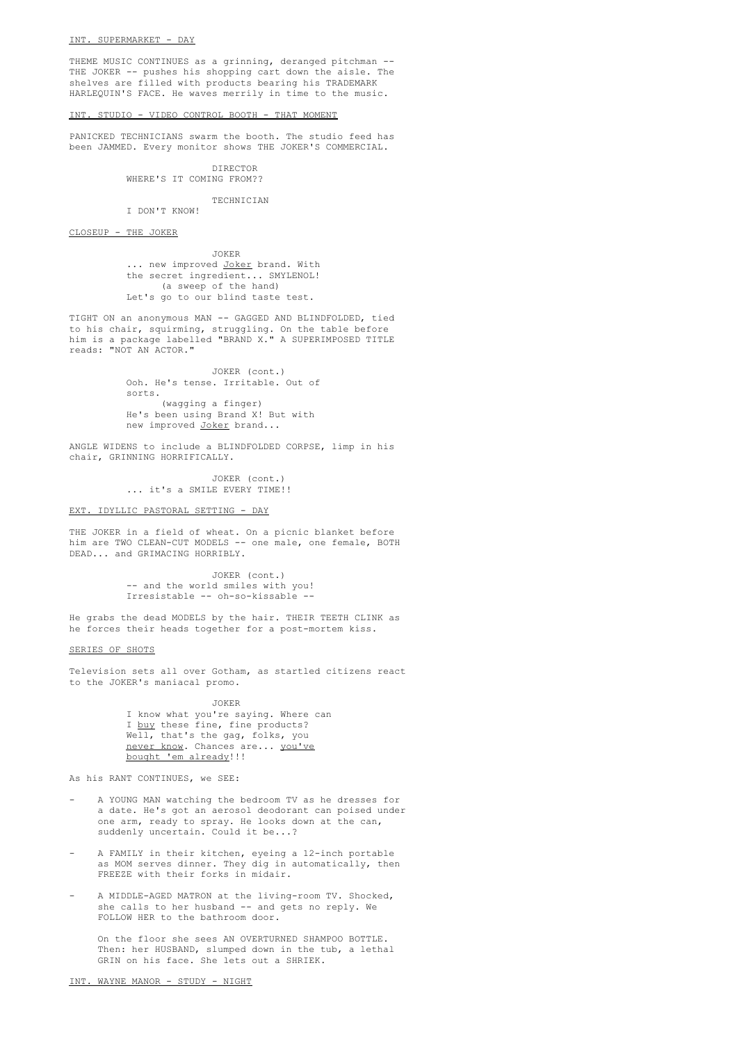THEME MUSIC CONTINUES as a grinning, deranged pitchman -- THE JOKER -- pushes his shopping cart down the aisle. The shelves are filled with products bearing his TRADEMARK HARLEQUIN'S FACE. He waves merrily in time to the music.

# INT. STUDIO - VIDEO CONTROL BOOTH - THAT MOMENT

PANICKED TECHNICIANS swarm the booth. The studio feed has been JAMMED. Every monitor shows THE JOKER'S COMMERCIAL.

> DIRECTOR WHERE'S IT COMING FROM??

> > **TECHNICIAN**

I DON'T KNOW!

CLOSEUP - THE JOKER

JOKER ... new improved Joker brand. With the secret ingredient... SMYLENOL! (a sweep of the hand) Let's go to our blind taste test.

TIGHT ON an anonymous MAN -- GAGGED AND BLINDFOLDED, tied to his chair, squirming, struggling. On the table before him is a package labelled "BRAND X." A SUPERIMPOSED TITLE reads: "NOT AN ACTOR."

> JOKER (cont.) Ooh. He's tense. Irritable. Out of sorts. (wagging a finger) He's been using Brand X! But with new improved Joker brand...

ANGLE WIDENS to include a BLINDFOLDED CORPSE, limp in his chair, GRINNING HORRIFICALLY.

> JOKER (cont.) ... it's a SMILE EVERY TIME!!

### EXT. IDYLLIC PASTORAL SETTING - DAY

THE JOKER in a field of wheat. On a picnic blanket before him are TWO CLEAN-CUT MODELS -- one male, one female, BOTH DEAD... and GRIMACING HORRIBLY.

> JOKER (cont.) -- and the world smiles with you! Irresistable -- oh-so-kissable --

He grabs the dead MODELS by the hair. THEIR TEETH CLINK as he forces their heads together for a post-mortem kiss.

SERIES OF SHOTS

Television sets all over Gotham, as startled citizens react to the JOKER's maniacal promo.

> JOKER I know what you're saying. Where can I buy these fine, fine products? Well, that's the gag, folks, you never know. Chances are... you've bought 'em already!!!

As his RANT CONTINUES, we SEE:

- A YOUNG MAN watching the bedroom TV as he dresses for a date. He's got an aerosol deodorant can poised under one arm, ready to spray. He looks down at the can, suddenly uncertain. Could it be...?
- A FAMILY in their kitchen, eyeing a 12-inch portable as MOM serves dinner. They dig in automatically, then FREEZE with their forks in midair.
- A MIDDLE-AGED MATRON at the living-room TV. Shocked, she calls to her husband -- and gets no reply. We FOLLOW HER to the bathroom door.

On the floor she sees AN OVERTURNED SHAMPOO BOTTLE. Then: her HUSBAND, slumped down in the tub, a lethal GRIN on his face. She lets out a SHRIEK.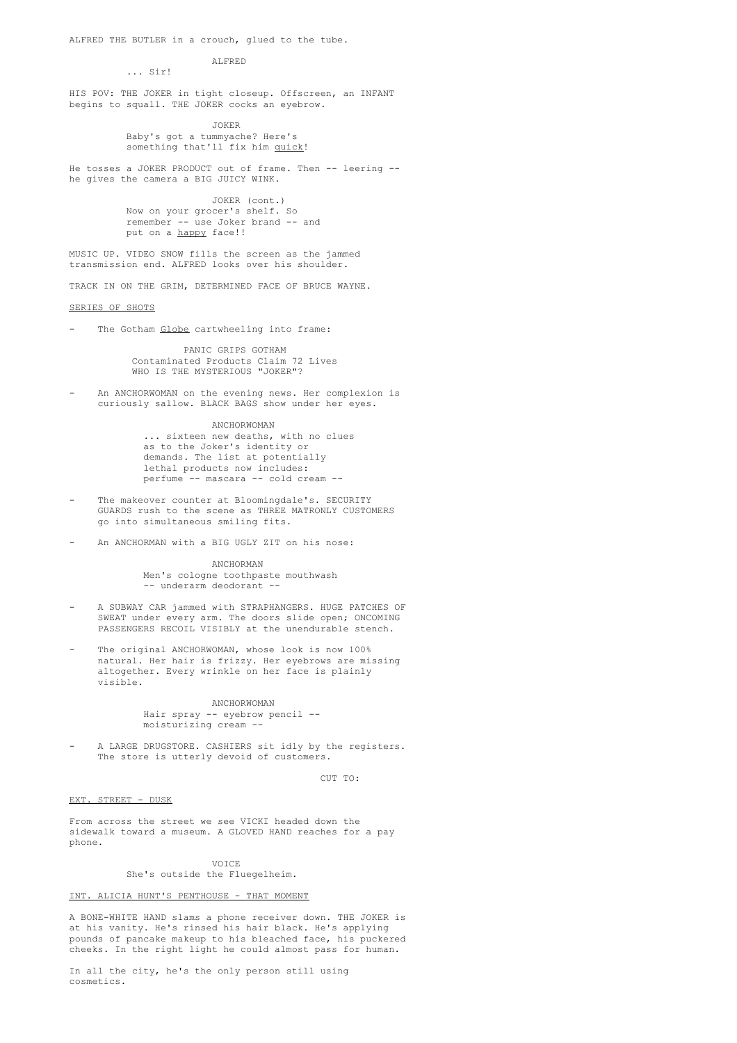ALFRED THE BUTLER in a crouch, glued to the tube.

### ALFRED ... Sir!

HIS POV: THE JOKER in tight closeup. Offscreen, an INFANT begins to squall. THE JOKER cocks an eyebrow.

> JOKER Baby's got a tummyache? Here's something that'll fix him quick!

He tosses a JOKER PRODUCT out of frame. Then -- leering - he gives the camera a BIG JUICY WINK.

> JOKER (cont.) Now on your grocer's shelf. So remember -- use Joker brand -- and put on a happy face!!

MUSIC UP. VIDEO SNOW fills the screen as the jammed transmission end. ALFRED looks over his shoulder.

TRACK IN ON THE GRIM, DETERMINED FACE OF BRUCE WAYNE.

SERIES OF SHOTS

The Gotham Globe cartwheeling into frame:

PANIC GRIPS GOTHAM Contaminated Products Claim 72 Lives WHO IS THE MYSTERIOUS "JOKER"?

An ANCHORWOMAN on the evening news. Her complexion is curiously sallow. BLACK BAGS show under her eyes.

> ANCHORWOMAN ... sixteen new deaths, with no clues as to the Joker's identity or demands. The list at potentially lethal products now includes: perfume -- mascara -- cold cream --

- The makeover counter at Bloomingdale's. SECURITY GUARDS rush to the scene as THREE MATRONLY CUSTOMERS go into simultaneous smiling fits.
- An ANCHORMAN with a BIG UGLY ZIT on his nose:

ANCHORMAN Men's cologne toothpaste mouthwash -- underarm deodorant --

- A SUBWAY CAR jammed with STRAPHANGERS. HUGE PATCHES OF SWEAT under every arm. The doors slide open; ONCOMING PASSENGERS RECOIL VISIBLY at the unendurable stench.
- The original ANCHORWOMAN, whose look is now 100% natural. Her hair is frizzy. Her eyebrows are missing altogether. Every wrinkle on her face is plainly visible.

# ANCHORWOMAN Hair spray -- eyebrow pencil - moisturizing cream --

A LARGE DRUGSTORE. CASHIERS sit idly by the registers. The store is utterly devoid of customers.

CUT TO:

# EXT. STREET - DUSK

From across the street we see VICKI headed down the sidewalk toward a museum. A GLOVED HAND reaches for a pay phone.

# VOICE

She's outside the Fluegelheim.

# INT. ALICIA HUNT'S PENTHOUSE - THAT MOMENT

A BONE-WHITE HAND slams a phone receiver down. THE JOKER is at his vanity. He's rinsed his hair black. He's applying pounds of pancake makeup to his bleached face, his puckered cheeks. In the right light he could almost pass for human.

In all the city, he's the only person still using cosmetics.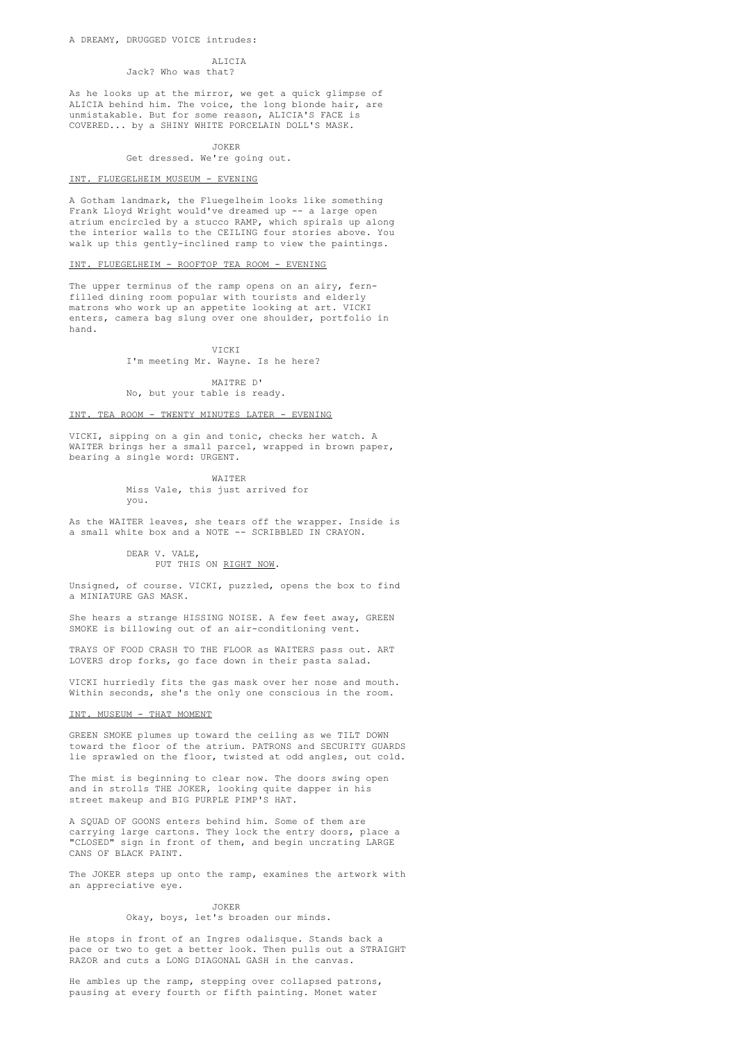#### ALICIA

Jack? Who was that?

As he looks up at the mirror, we get a quick glimpse of ALICIA behind him. The voice, the long blonde hair, are unmistakable. But for some reason, ALICIA'S FACE is COVERED... by a SHINY WHITE PORCELAIN DOLL'S MASK.

JOKER

Get dressed. We're going out.

### INT. FLUEGELHEIM MUSEUM - EVENING

A Gotham landmark, the Fluegelheim looks like something Frank Lloyd Wright would've dreamed up -- a large open atrium encircled by a stucco RAMP, which spirals up along the interior walls to the CEILING four stories above. You walk up this gently-inclined ramp to view the paintings.

# INT. FLUEGELHEIM - ROOFTOP TEA ROOM - EVENING

The upper terminus of the ramp opens on an airy, fernfilled dining room popular with tourists and elderly matrons who work up an appetite looking at art. VICKI enters, camera bag slung over one shoulder, portfolio in hand.

> VICKI I'm meeting Mr. Wayne. Is he here?

MAITRE D' No, but your table is ready.

# INT. TEA ROOM - TWENTY MINUTES LATER - EVENING

VICKI, sipping on a gin and tonic, checks her watch. A WAITER brings her a small parcel, wrapped in brown paper, bearing a single word: URGENT.

> WAITER Miss Vale, this just arrived for you.

As the WAITER leaves, she tears off the wrapper. Inside is a small white box and a NOTE -- SCRIBBLED IN CRAYON.

> DEAR V. VALE, PUT THIS ON RIGHT NOW.

Unsigned, of course. VICKI, puzzled, opens the box to find a MINIATURE GAS MASK.

She hears a strange HISSING NOISE. A few feet away, GREEN SMOKE is billowing out of an air-conditioning vent.

TRAYS OF FOOD CRASH TO THE FLOOR as WAITERS pass out. ART LOVERS drop forks, go face down in their pasta salad.

VICKI hurriedly fits the gas mask over her nose and mouth. Within seconds, she's the only one conscious in the room.

# INT. MUSEUM - THAT MOMENT

GREEN SMOKE plumes up toward the ceiling as we TILT DOWN toward the floor of the atrium. PATRONS and SECURITY GUARDS lie sprawled on the floor, twisted at odd angles, out cold.

The mist is beginning to clear now. The doors swing open and in strolls THE JOKER, looking quite dapper in his street makeup and BIG PURPLE PIMP'S HAT.

A SQUAD OF GOONS enters behind him. Some of them are carrying large cartons. They lock the entry doors, place a "CLOSED" sign in front of them, and begin uncrating LARGE CANS OF BLACK PAINT.

The JOKER steps up onto the ramp, examines the artwork with an appreciative eye.

#### JOKER

# Okay, boys, let's broaden our minds.

He stops in front of an Ingres odalisque. Stands back a pace or two to get a better look. Then pulls out a STRAIGHT RAZOR and cuts a LONG DIAGONAL GASH in the canvas.

He ambles up the ramp, stepping over collapsed patrons, pausing at every fourth or fifth painting. Monet water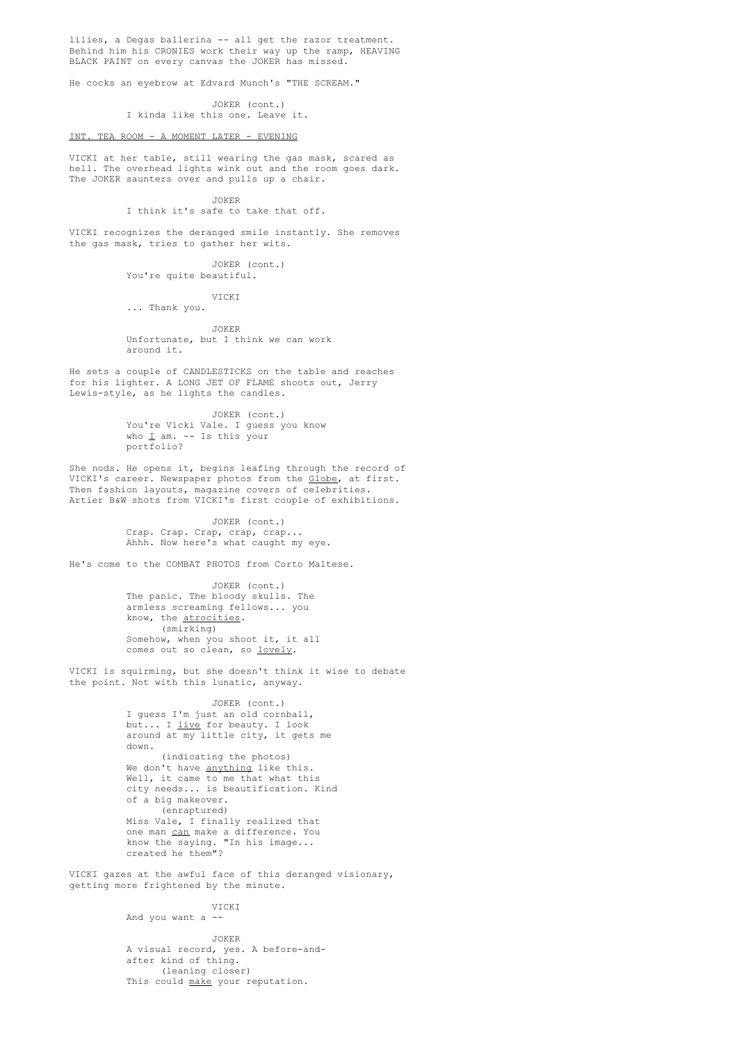lilies, a Degas ballerina -- all get the razor treatment. Behind him his CRONIES work their way up the ramp, HEAVING BLACK PAINT on every canvas the JOKER has missed.

He cocks an eyebrow at Edvard Munch's "THE SCREAM."

JOKER (cont.) I kinda like this one. Leave it.

### INT. TEA ROOM - A MOMENT LATER - EVENING

VICKI at her table, still wearing the gas mask, scared as hell. The overhead lights wink out and the room goes dark. The JOKER saunters over and pulls up a chair.

JOKER

I think it's safe to take that off.

VICKI recognizes the deranged smile instantly. She removes the gas mask, tries to gather her wits.

> JOKER (cont.) You're quite beautiful.

> > VICKI

... Thank you.

JOKER Unfortunate, but I think we can work around it.

He sets a couple of CANDLESTICKS on the table and reaches for his lighter. A LONG JET OF FLAME shoots out, Jerry Lewis-style, as he lights the candles.

> JOKER (cont.) You're Vicki Vale. I guess you know who  $\underline{I}$  am. -- Is this your portfolio?

She nods. He opens it, begins leafing through the record of VICKI's career. Newspaper photos from the Globe, at first. Then fashion layouts, magazine covers of celebrities. Artier B&W shots from VICKI's first couple of exhibitions.

> JOKER (cont.) Crap. Crap. Crap, crap, crap... Ahhh. Now here's what caught my eye.

He's come to the COMBAT PHOTOS from Corto Maltese.

JOKER (cont.) The panic. The bloody skulls. The armless screaming fellows... you know, the atrocities. (smirking) Somehow, when you shoot it, it all comes out so clean, so lovely.

VICKI is squirming, but she doesn't think it wise to debate the point. Not with this lunatic, anyway.

> JOKER (cont.) I guess I'm just an old cornball, but... I live for beauty. I look around at my little city, it gets me down. (indicating the photos) We don't have anything like this. Well, it came to me that what this city needs... is beautification. Kind of a big makeover. (enraptured) Miss Vale, I finally realized that one man can make a difference. You know the saying. "In his image... created he them"?

VICKI gazes at the awful face of this deranged visionary, getting more frightened by the minute.

### VICKI

And you want a --

JOKER A visual record, yes. A before-andafter kind of thing. (leaning closer) This could make your reputation.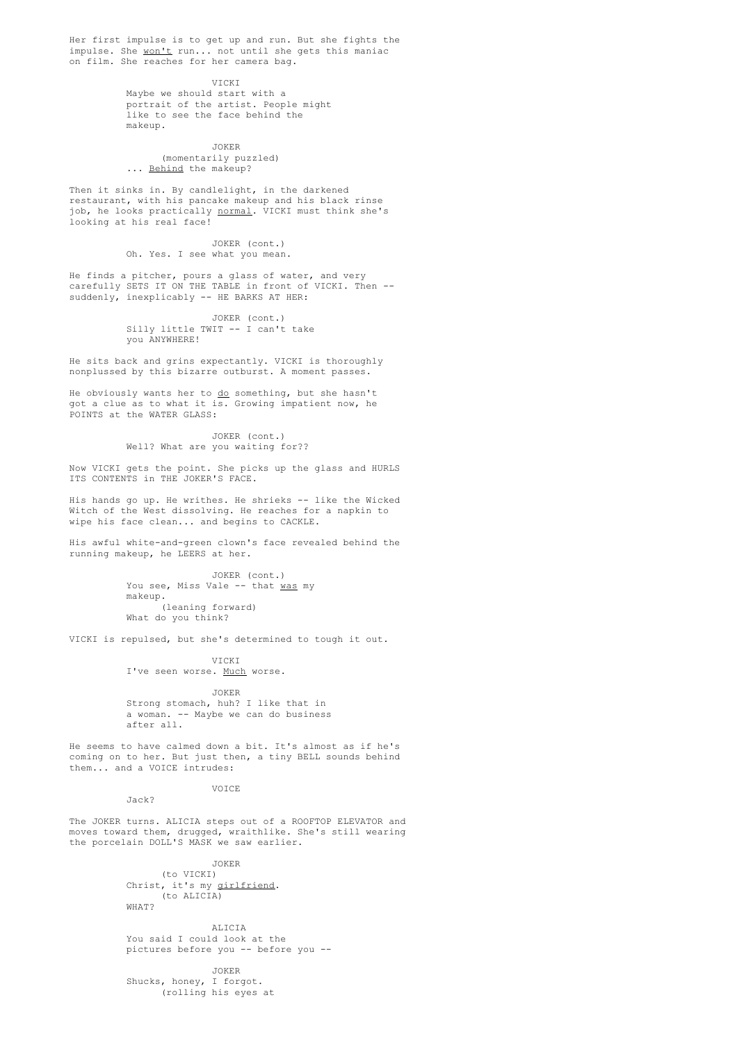Her first impulse is to get up and run. But she fights the impulse. She won't run... not until she gets this maniac on film. She reaches for her camera bag.

VICKI

Maybe we should start with a portrait of the artist. People might like to see the face behind the makeup.

JOKER

(momentarily puzzled) ... Behind the makeup?

Then it sinks in. By candlelight, in the darkened restaurant, with his pancake makeup and his black rinse job, he looks practically normal. VICKI must think she's looking at his real face!

> JOKER (cont.) Oh. Yes. I see what you mean.

He finds a pitcher, pours a glass of water, and very carefully SETS IT ON THE TABLE in front of VICKI. Then - suddenly, inexplicably -- HE BARKS AT HER:

> JOKER (cont.) Silly little TWIT -- I can't take you ANYWHERE!

He sits back and grins expectantly. VICKI is thoroughly nonplussed by this bizarre outburst. A moment passes.

He obviously wants her to do something, but she hasn't got a clue as to what it is. Growing impatient now, he POINTS at the WATER GLASS:

> JOKER (cont.) Well? What are you waiting for??

Now VICKI gets the point. She picks up the glass and HURLS ITS CONTENTS in THE JOKER'S FACE.

His hands go up. He writhes. He shrieks -- like the Wicked Witch of the West dissolving. He reaches for a napkin to wipe his face clean... and begins to CACKLE.

His awful white-and-green clown's face revealed behind the running makeup, he LEERS at her.

> JOKER (cont.) You see, Miss Vale -- that was my makeup. (leaning forward) What do you think?

VICKI is repulsed, but she's determined to tough it out.

VICKI

I've seen worse. Much worse.

JOKER Strong stomach, huh? I like that in a woman. -- Maybe we can do business after all.

He seems to have calmed down a bit. It's almost as if he's coming on to her. But just then, a tiny BELL sounds behind them... and a VOICE intrudes:

VOICE

Jack?

The JOKER turns. ALICIA steps out of a ROOFTOP ELEVATOR and moves toward them, drugged, wraithlike. She's still wearing the porcelain DOLL'S MASK we saw earlier.

> JOKER (to VICKI) Christ, it's my girlfriend. (to ALICIA) WHAT?

ALICIA You said I could look at the pictures before you -- before you --

JOKER Shucks, honey, I forgot. (rolling his eyes at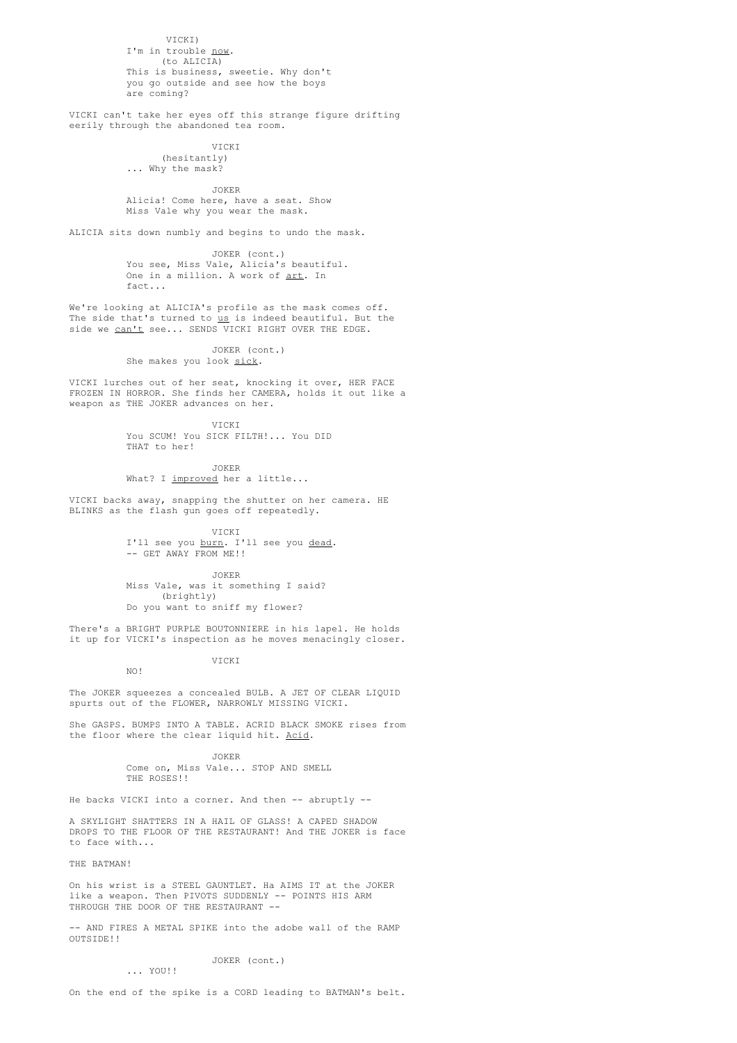VICKI) I'm in trouble now. (to ALICIA) This is business, sweetie. Why don't you go outside and see how the boys are coming?

VICKI can't take her eyes off this strange figure drifting eerily through the abandoned tea room.

# VICKI

(hesitantly) ... Why the mask?

#### JOKER

Alicia! Come here, have a seat. Show Miss Vale why you wear the mask.

ALICIA sits down numbly and begins to undo the mask.

JOKER (cont.) You see, Miss Vale, Alicia's beautiful. One in a million. A work of art. In fact...

We're looking at ALICIA's profile as the mask comes off. The side that's turned to <u>us</u> is indeed beautiful. But the side we can't see... SENDS VICKI RIGHT OVER THE EDGE.

> JOKER (cont.) She makes you look sick.

VICKI lurches out of her seat, knocking it over, HER FACE FROZEN IN HORROR. She finds her CAMERA, holds it out like a weapon as THE JOKER advances on her.

> VICKI You SCUM! You SICK FILTH!... You DID THAT to her!

JOKER What? I improved her a little...

VICKI backs away, snapping the shutter on her camera. HE BLINKS as the flash gun goes off repeatedly.

VICKI

I'll see you burn. I'll see you dead. -- GET AWAY FROM ME!!

JOKER

Miss Vale, was it something I said? (brightly) Do you want to sniff my flower?

VICKI

There's a BRIGHT PURPLE BOUTONNIERE in his lapel. He holds it up for VICKI's inspection as he moves menacingly closer.

NO!

The JOKER squeezes a concealed BULB. A JET OF CLEAR LIQUID spurts out of the FLOWER, NARROWLY MISSING VICKI.

She GASPS. BUMPS INTO A TABLE. ACRID BLACK SMOKE rises from the floor where the clear liquid hit. Acid.

> JOKER Come on, Miss Vale... STOP AND SMELL THE ROSES!!

He backs VICKI into a corner. And then -- abruptly --

A SKYLIGHT SHATTERS IN A HAIL OF GLASS! A CAPED SHADOW DROPS TO THE FLOOR OF THE RESTAURANT! And THE JOKER is face to face with...

THE BATMAN!

On his wrist is a STEEL GAUNTLET. Ha AIMS IT at the JOKER like a weapon. Then PIVOTS SUDDENLY -- POINTS HIS ARM THROUGH THE DOOR OF THE RESTAURANT --

-- AND FIRES A METAL SPIKE into the adobe wall of the RAMP OUTSIDE!!

> JOKER (cont.) ... YOU!!

On the end of the spike is a CORD leading to BATMAN's belt.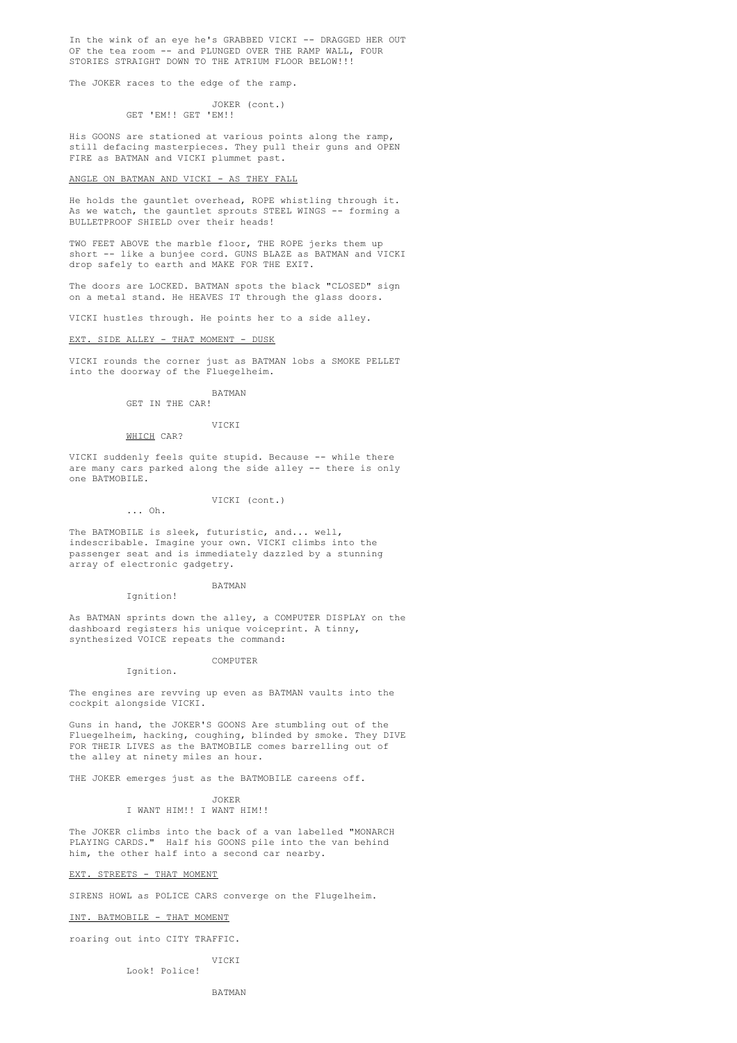In the wink of an eye he's GRABBED VICKI -- DRAGGED HER OUT OF the tea room -- and PLUNGED OVER THE RAMP WALL, FOUR STORIES STRAIGHT DOWN TO THE ATRIUM FLOOR BELOW!!!

The JOKER races to the edge of the ramp.

JOKER (cont.) GET 'EM!! GET 'EM!!

His GOONS are stationed at various points along the ramp, still defacing masterpieces. They pull their guns and OPEN FIRE as BATMAN and VICKI plummet past.

### ANGLE ON BATMAN AND VICKI - AS THEY FALL

He holds the gauntlet overhead, ROPE whistling through it. As we watch, the gauntlet sprouts STEEL WINGS -- forming a BULLETPROOF SHIELD over their heads!

TWO FEET ABOVE the marble floor, THE ROPE jerks them up short -- like a bunjee cord. GUNS BLAZE as BATMAN and VICKI drop safely to earth and MAKE FOR THE EXIT.

The doors are LOCKED. BATMAN spots the black "CLOSED" sign on a metal stand. He HEAVES IT through the glass doors.

VICKI hustles through. He points her to a side alley.

#### EXT. SIDE ALLEY - THAT MOMENT - DUSK

VICKI rounds the corner just as BATMAN lobs a SMOKE PELLET into the doorway of the Fluegelheim.

BATMAN

# GET IN THE CAR!

# VICKI

WHICH CAR?

... Oh.

VICKI suddenly feels quite stupid. Because -- while there are many cars parked along the side alley -- there is only one BATMOBILE.

### VICKI (cont.)

The BATMOBILE is sleek, futuristic, and... well, indescribable. Imagine your own. VICKI climbs into the passenger seat and is immediately dazzled by a stunning array of electronic gadgetry.

#### BATMAN Ignition!

As BATMAN sprints down the alley, a COMPUTER DISPLAY on the dashboard registers his unique voiceprint. A tinny, synthesized VOICE repeats the command:

### COMPUTER

Ignition.

The engines are revving up even as BATMAN vaults into the cockpit alongside VICKI.

Guns in hand, the JOKER'S GOONS Are stumbling out of the Fluegelheim, hacking, coughing, blinded by smoke. They DIVE FOR THEIR LIVES as the BATMOBILE comes barrelling out of the alley at ninety miles an hour.

THE JOKER emerges just as the BATMOBILE careens off.

JOKER I WANT HIM!! I WANT HIM!!

The JOKER climbs into the back of a van labelled "MONARCH PLAYING CARDS." Half his GOONS pile into the van behind him, the other half into a second car nearby.

### EXT. STREETS - THAT MOMENT

SIRENS HOWL as POLICE CARS converge on the Flugelheim.

INT. BATMOBILE - THAT MOMENT

roaring out into CITY TRAFFIC.

**VICKI** 

Look! Police!

BATMAN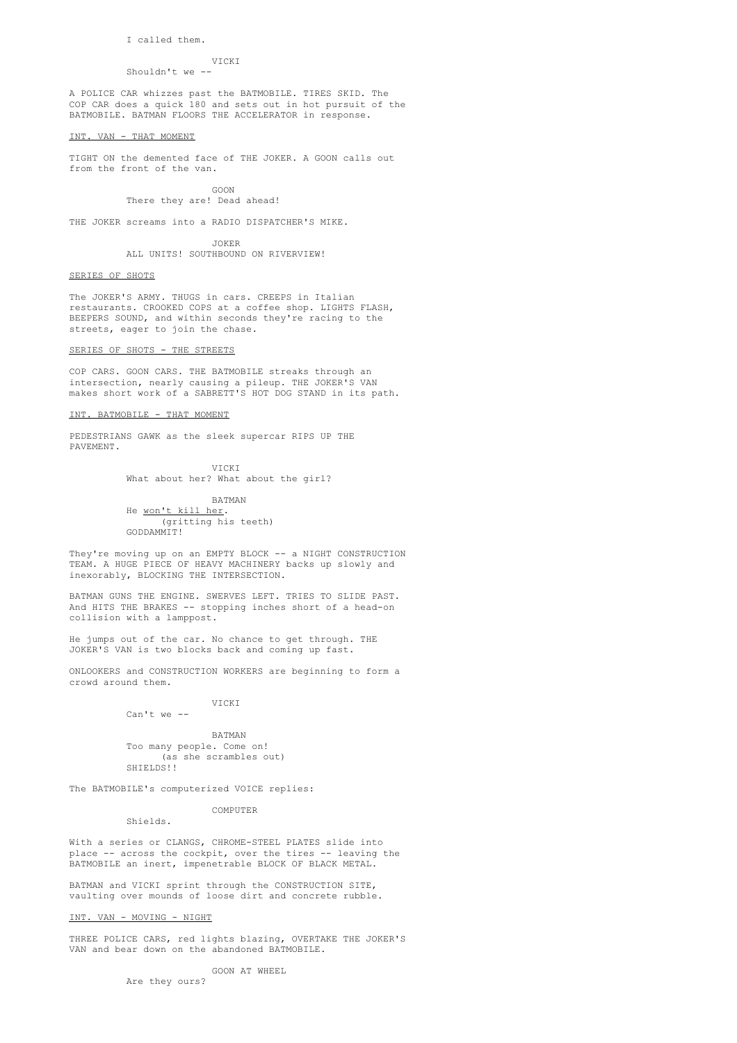I called them.

#### VICKI

### Shouldn't we --

A POLICE CAR whizzes past the BATMOBILE. TIRES SKID. The COP CAR does a quick 180 and sets out in hot pursuit of the BATMOBILE. BATMAN FLOORS THE ACCELERATOR in response.

#### INT. VAN - THAT MOMENT

TIGHT ON the demented face of THE JOKER. A GOON calls out from the front of the van.

> GOON There they are! Dead ahead!

THE JOKER screams into a RADIO DISPATCHER'S MIKE.

JOKER ALL UNITS! SOUTHBOUND ON RIVERVIEW!

### SERIES OF SHOTS

The JOKER'S ARMY. THUGS in cars. CREEPS in Italian restaurants. CROOKED COPS at a coffee shop. LIGHTS FLASH, BEEPERS SOUND, and within seconds they're racing to the streets, eager to join the chase.

### SERIES OF SHOTS - THE STREETS

COP CARS. GOON CARS. THE BATMOBILE streaks through an intersection, nearly causing a pileup. THE JOKER'S VAN makes short work of a SABRETT'S HOT DOG STAND in its path.

### INT. BATMOBILE - THAT MOMENT

PEDESTRIANS GAWK as the sleek supercar RIPS UP THE PAVEMENT.

> VICKI What about her? What about the girl?

BATMAN He won't kill her. (gritting his teeth) GODDAMMIT!

They're moving up on an EMPTY BLOCK -- a NIGHT CONSTRUCTION TEAM. A HUGE PIECE OF HEAVY MACHINERY backs up slowly and inexorably, BLOCKING THE INTERSECTION.

BATMAN GUNS THE ENGINE. SWERVES LEFT. TRIES TO SLIDE PAST. And HITS THE BRAKES -- stopping inches short of a head-on collision with a lamppost.

He jumps out of the car. No chance to get through. THE JOKER'S VAN is two blocks back and coming up fast.

ONLOOKERS and CONSTRUCTION WORKERS are beginning to form a crowd around them.

# VICKI

BATMAN Too many people. Come on! (as she scrambles out) SHIELDS!!

The BATMOBILE's computerized VOICE replies:

# COMPUTER

Shields.

Can't we --

With a series or CLANGS, CHROME-STEEL PLATES slide into place -- across the cockpit, over the tires -- leaving the BATMOBILE an inert, impenetrable BLOCK OF BLACK METAL.

BATMAN and VICKI sprint through the CONSTRUCTION SITE, vaulting over mounds of loose dirt and concrete rubble.

# INT. VAN - MOVING - NIGHT

THREE POLICE CARS, red lights blazing, OVERTAKE THE JOKER'S VAN and bear down on the abandoned BATMOBILE.

GOON AT WHEEL

Are they ours?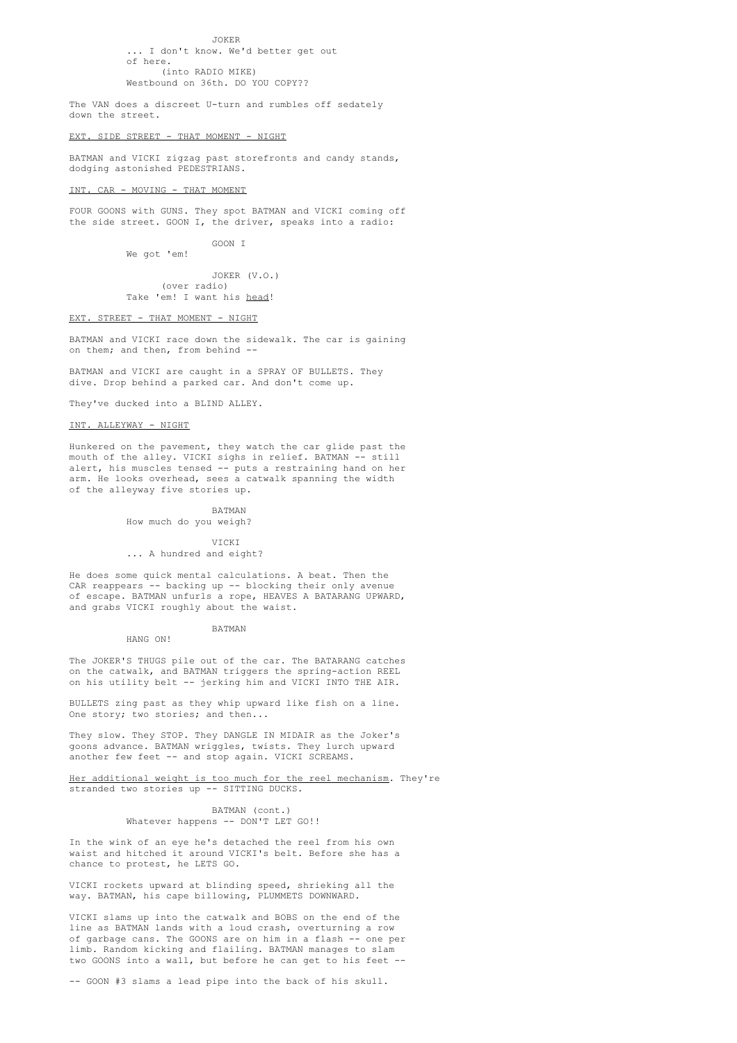JOKER .. I don't know. We'd better get out of here. (into RADIO MIKE) Westbound on 36th. DO YOU COPY??

The VAN does a discreet U-turn and rumbles off sedately down the street.

#### EXT. SIDE STREET - THAT MOMENT - NIGHT

BATMAN and VICKI zigzag past storefronts and candy stands, dodging astonished PEDESTRIANS.

### INT. CAR - MOVING - THAT MOMENT

FOUR GOONS with GUNS. They spot BATMAN and VICKI coming off the side street. GOON I, the driver, speaks into a radio:

GOON I

We got 'em!

JOKER (V.O.) (over radio) Take 'em! I want his head!

#### EXT. STREET - THAT MOMENT - NIGHT

BATMAN and VICKI race down the sidewalk. The car is gaining on them; and then, from behind --

BATMAN and VICKI are caught in a SPRAY OF BULLETS. They dive. Drop behind a parked car. And don't come up.

They've ducked into a BLIND ALLEY.

### INT. ALLEYWAY - NIGHT

Hunkered on the pavement, they watch the car glide past the mouth of the alley. VICKI sighs in relief. BATMAN -- still alert, his muscles tensed -- puts a restraining hand on her arm. He looks overhead, sees a catwalk spanning the width of the alleyway five stories up.

#### BATMAN

How much do you weigh?

# VICKI

... A hundred and eight?

He does some quick mental calculations. A beat. Then the CAR reappears -- backing up -- blocking their only avenue of escape. BATMAN unfurls a rope, HEAVES A BATARANG UPWARD, and grabs VICKI roughly about the waist.

> BATMAN HANG ON!

The JOKER'S THUGS pile out of the car. The BATARANG catches on the catwalk, and BATMAN triggers the spring-action REEL on his utility belt -- jerking him and VICKI INTO THE AIR.

BULLETS zing past as they whip upward like fish on a line. One story; two stories; and then...

They slow. They STOP. They DANGLE IN MIDAIR as the Joker's goons advance. BATMAN wriggles, twists. They lurch upward another few feet -- and stop again. VICKI SCREAMS.

Her additional weight is too much for the reel mechanism. They're stranded two stories up -- SITTING DUCKS.

> BATMAN (cont.) Whatever happens -- DON'T LET GO!!

In the wink of an eye he's detached the reel from his own waist and hitched it around VICKI's belt. Before she has a chance to protest, he LETS GO.

VICKI rockets upward at blinding speed, shrieking all the way. BATMAN, his cape billowing, PLUMMETS DOWNWARD.

VICKI slams up into the catwalk and BOBS on the end of the line as BATMAN lands with a loud crash, overturning a row of garbage cans. The GOONS are on him in a flash -- one per limb. Random kicking and flailing. BATMAN manages to slam two GOONS into a wall, but before he can get to his feet --

-- GOON #3 slams a lead pipe into the back of his skull.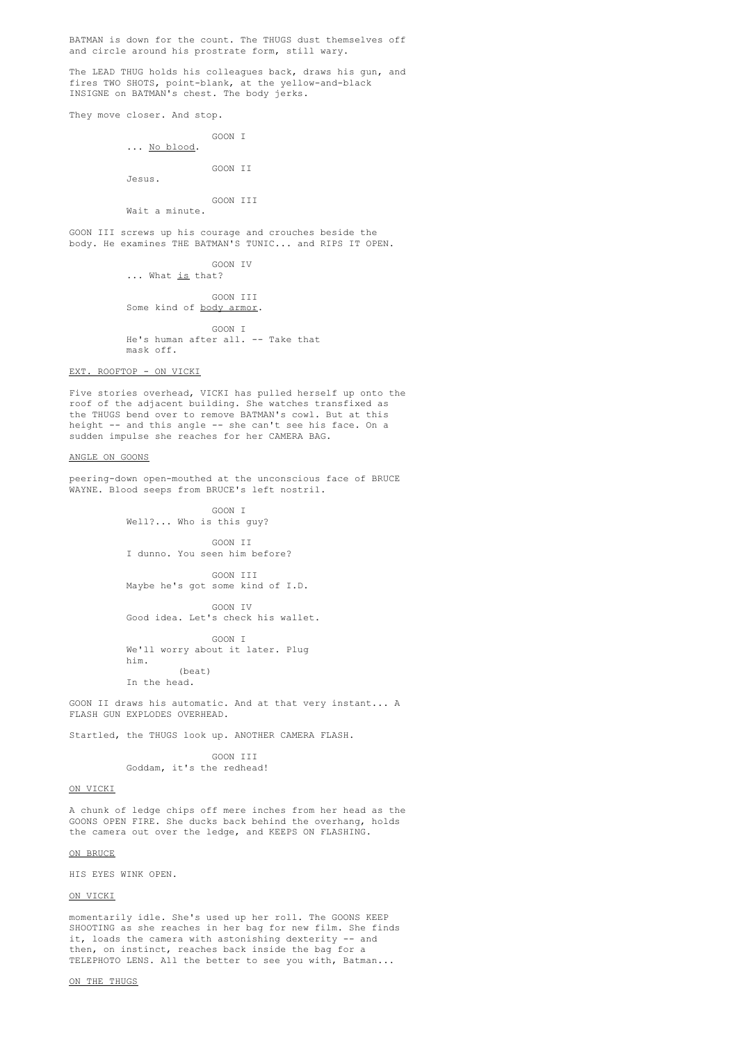BATMAN is down for the count. The THUGS dust themselves off and circle around his prostrate form, still wary.

The LEAD THUG holds his colleagues back, draws his gun, and fires TWO SHOTS, point-blank, at the yellow-and-black INSIGNE on BATMAN's chest. The body jerks.

They move closer. And stop.

GOON I ... No blood.

GOON II

Jesus.

# GOON TIT

Wait a minute.

GOON III screws up his courage and crouches beside the body. He examines THE BATMAN'S TUNIC... and RIPS IT OPEN.

> GOON IV ... What is that?

GOON TIT Some kind of <u>body armor</u>.

GOON I He's human after all. -- Take that mask off.

EXT. ROOFTOP - ON VICKI

Five stories overhead, VICKI has pulled herself up onto the roof of the adjacent building. She watches transfixed as the THUGS bend over to remove BATMAN's cowl. But at this height -- and this angle -- she can't see his face. On a sudden impulse she reaches for her CAMERA BAG.

#### ANGLE ON GOONS

peering-down open-mouthed at the unconscious face of BRUCE WAYNE. Blood seeps from BRUCE's left nostril.

> GOON I Well?... Who is this guy?

GOON II I dunno. You seen him before?

GOON III Maybe he's got some kind of I.D.

GOON IV Good idea. Let's check his wallet.

GOON I We'll worry about it later. Plug him. (beat) In the head.

GOON II draws his automatic. And at that very instant... A FLASH GUN EXPLODES OVERHEAD.

Startled, the THUGS look up. ANOTHER CAMERA FLASH.

GOON TIT Goddam, it's the redhead!

### ON VICKI

A chunk of ledge chips off mere inches from her head as the GOONS OPEN FIRE. She ducks back behind the overhang, holds the camera out over the ledge, and KEEPS ON FLASHING.

ON BRUCE

HIS EYES WINK OPEN.

ON VICKI

momentarily idle. She's used up her roll. The GOONS KEEP SHOOTING as she reaches in her bag for new film. She finds it, loads the camera with astonishing dexterity -- and then, on instinct, reaches back inside the bag for a TELEPHOTO LENS. All the better to see you with, Batman...

ON THE THUGS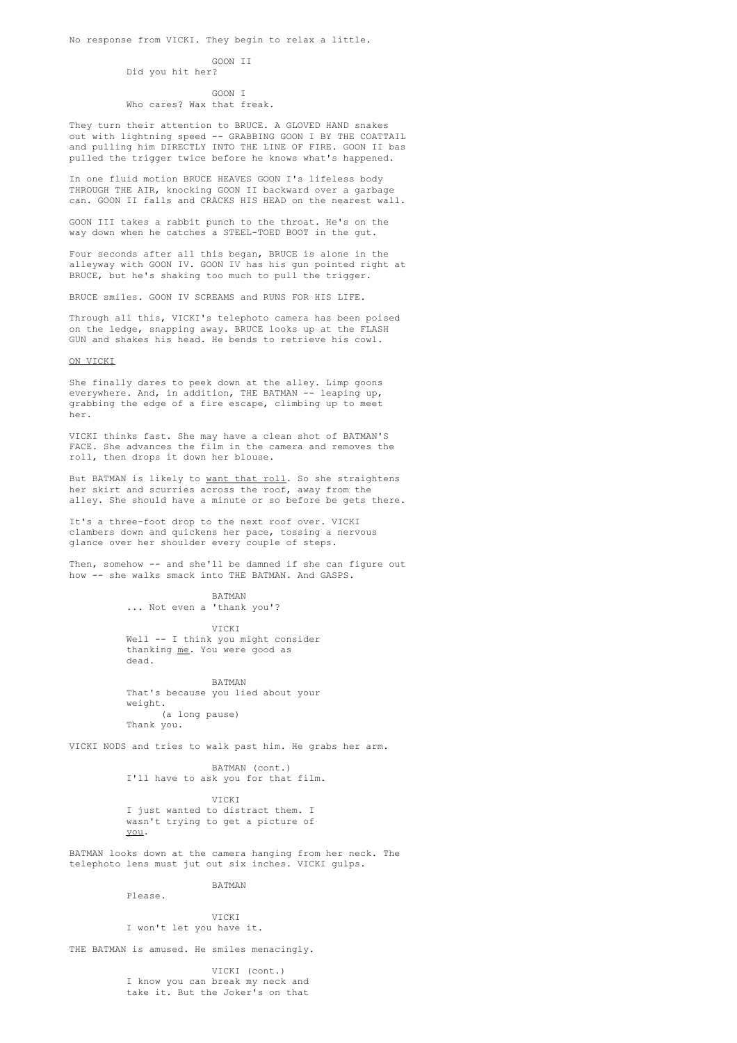#### GOON TT

Did you hit her?

#### GOON I

# Who cares? Wax that freak.

They turn their attention to BRUCE. A GLOVED HAND snakes out with lightning speed -- GRABBING GOON I BY THE COATTAIL and pulling him DIRECTLY INTO THE LINE OF FIRE. GOON II bas pulled the trigger twice before he knows what's happened.

In one fluid motion BRUCE HEAVES GOON I's lifeless body THROUGH THE AIR, knocking GOON II backward over a garbage can. GOON II falls and CRACKS HIS HEAD on the nearest wall.

GOON III takes a rabbit punch to the throat. He's on the way down when he catches a STEEL-TOED BOOT in the gut.

Four seconds after all this began, BRUCE is alone in the alleyway with GOON IV. GOON IV has his gun pointed right at BRUCE, but he's shaking too much to pull the trigger.

BRUCE smiles. GOON IV SCREAMS and RUNS FOR HIS LIFE.

Through all this, VICKI's telephoto camera has been poised on the ledge, snapping away. BRUCE looks up at the FLASH GUN and shakes his head. He bends to retrieve his cowl.

#### ON VICKI

She finally dares to peek down at the alley. Limp goons everywhere. And, in addition, THE BATMAN -- leaping up, grabbing the edge of a fire escape, climbing up to meet her.

VICKI thinks fast. She may have a clean shot of BATMAN'S FACE. She advances the film in the camera and removes the roll, then drops it down her blouse.

But BATMAN is likely to want that roll. So she straightens her skirt and scurries across the roof, away from the alley. She should have a minute or so before be gets there.

It's a three-foot drop to the next roof over. VICKI clambers down and quickens her pace, tossing a nervous glance over her shoulder every couple of steps.

Then, somehow -- and she'll be damned if she can figure out how -- she walks smack into THE BATMAN. And GASPS.

BATMAN

... Not even a 'thank you'?

VICKI Well -- I think you might consider thanking me. You were good as dead.

BATMAN That's because you lied about your weight. (a long pause) Thank you.

VICKI NODS and tries to walk past him. He grabs her arm.

BATMAN (cont.) I'll have to ask you for that film.

VICKI I just wanted to distract them. I wasn't trying to get a picture of you.

BATMAN looks down at the camera hanging from her neck. The telephoto lens must jut out six inches. VICKI gulps.

BATMAN

VICKI I won't let you have it.

THE BATMAN is amused. He smiles menacingly.

Please.

VICKI (cont.) I know you can break my neck and take it. But the Joker's on that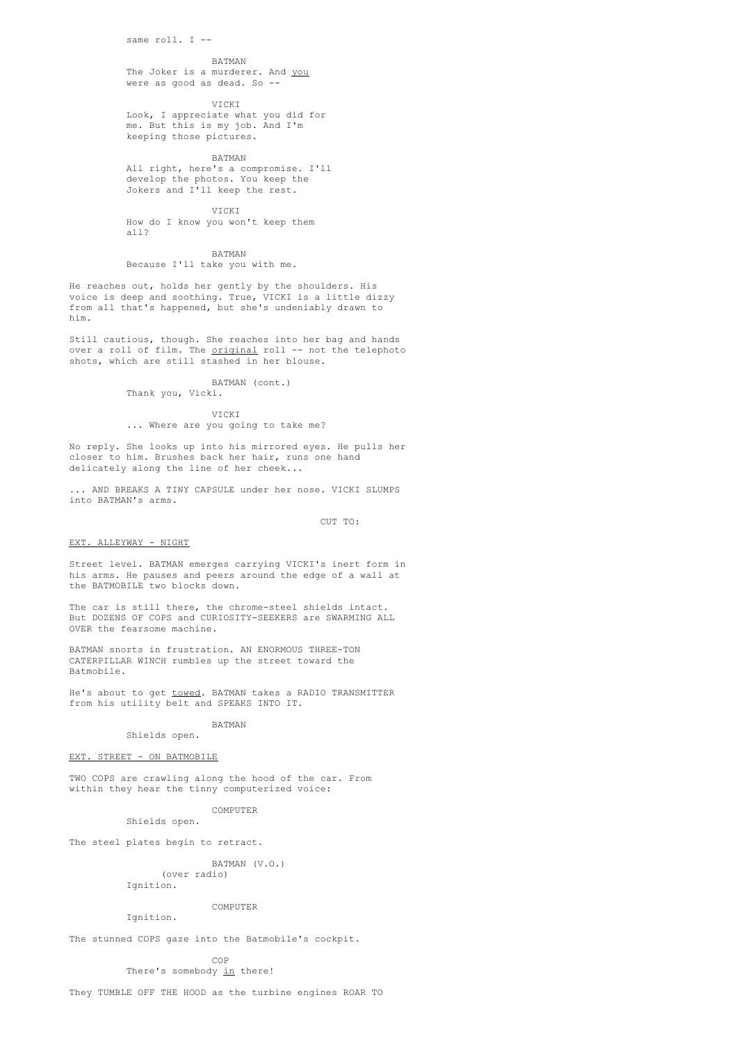same  $roll$  I  $-$ 

#### BATMAN

The Joker is a murderer. And you were as good as dead. So --

VICKI

Look, I appreciate what you did for me. But this is my job. And I'm keeping those pictures.

BATMAN

All right, here's a compromise. I'll develop the photos. You keep the Jokers and I'll keep the rest.

VICKI

How do I know you won't keep them all?

BATMAN

Because I'll take you with me.

He reaches out, holds her gently by the shoulders. His voice is deep and soothing. True, VICKI is a little dizzy from all that's happened, but she's undeniably drawn to him.

Still cautious, though. She reaches into her bag and hands over a roll of film. The original roll -- not the telephoto shots, which are still stashed in her blouse.

BATMAN (cont.)

Thank you, Vicki.

VICKI

### ... Where are you going to take me?

No reply. She looks up into his mirrored eyes. He pulls her closer to him. Brushes back her hair, runs one hand delicately along the line of her cheek...

... AND BREAKS A TINY CAPSULE under her nose. VICKI SLUMPS into BATMAN's arms.

CUT TO:

#### EXT. ALLEYWAY - NIGHT

Street level. BATMAN emerges carrying VICKI's inert form in his arms. He pauses and peers around the edge of a wall at the BATMOBILE two blocks down.

The car is still there, the chrome-steel shields intact. But DOZENS OF COPS and CURIOSITY-SEEKERS are SWARMING ALL OVER the fearsome machine.

BATMAN snorts in frustration. AN ENORMOUS THREE-TON CATERPILLAR WINCH rumbles up the street toward the Batmobile.

He's about to get <u>towed</u>. BATMAN takes a RADIO TRANSMITTER from his utility belt and SPEAKS INTO IT.

#### BATMAN Shields open.

EXT. STREET - ON BATMOBILE

TWO COPS are crawling along the hood of the car. From within they hear the tinny computerized voice:

> COMPUTER Shields open.

The steel plates begin to retract.

BATMAN (V.O.) (over radio)

Tanition.

### COMPUTER

Ignition.

The stunned COPS gaze into the Batmobile's cockpit.

COP There's somebody in there!

They TUMBLE OFF THE HOOD as the turbine engines ROAR TO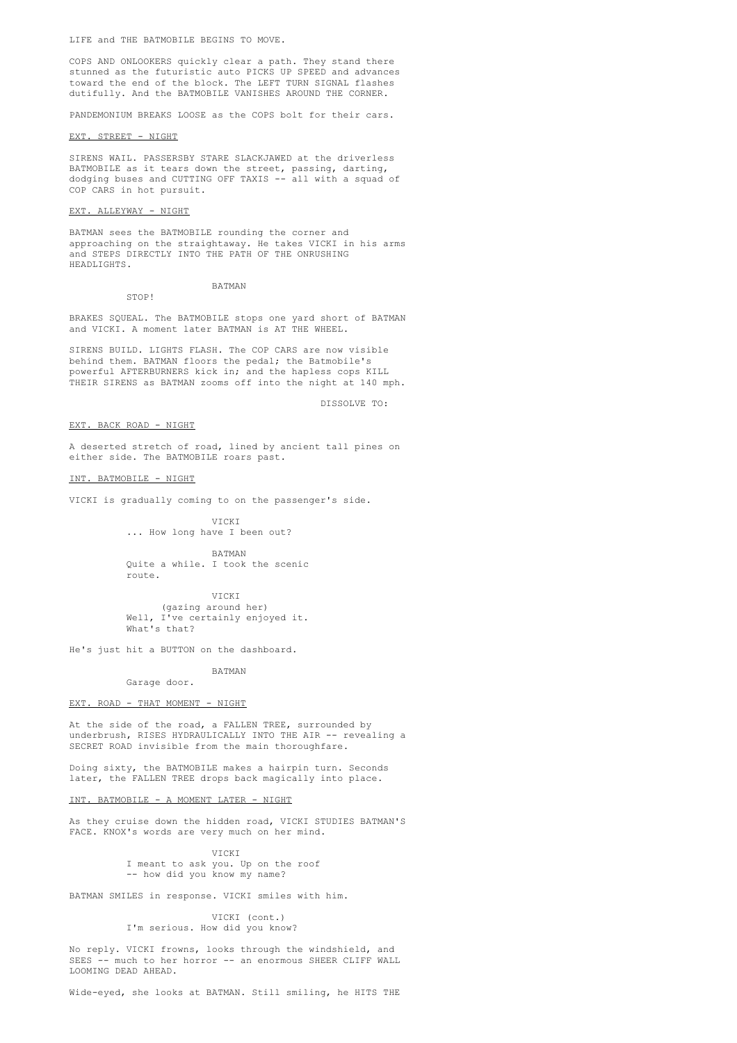LIFE and THE BATMOBILE BEGINS TO MOVE.

COPS AND ONLOOKERS quickly clear a path. They stand there stunned as the futuristic auto PICKS UP SPEED and advances toward the end of the block. The LEFT TURN SIGNAL flashes dutifully. And the BATMOBILE VANISHES AROUND THE CORNER.

PANDEMONIUM BREAKS LOOSE as the COPS bolt for their cars.

#### EXT. STREET - NIGHT

SIRENS WAIL. PASSERSBY STARE SLACKJAWED at the driverless BATMOBILE as it tears down the street, passing, darting, dodging buses and CUTTING OFF TAXIS -- all with a squad of COP CARS in hot pursuit.

### EXT. ALLEYWAY - NIGHT

STOP!

BATMAN sees the BATMOBILE rounding the corner and approaching on the straightaway. He takes VICKI in his arms and STEPS DIRECTLY INTO THE PATH OF THE ONRUSHING HEADLIGHTS.

BATMAN

BRAKES SQUEAL. The BATMOBILE stops one yard short of BATMAN

and VICKI. A moment later BATMAN is AT THE WHEEL.

SIRENS BUILD. LIGHTS FLASH. The COP CARS are now visible behind them. BATMAN floors the pedal; the Batmobile's

powerful AFTERBURNERS kick in; and the hapless cops KILL THEIR SIRENS as BATMAN zooms off into the night at 140 mph.

DISSOLVE TO:

EXT. BACK ROAD - NIGHT

A deserted stretch of road, lined by ancient tall pines on either side. The BATMOBILE roars past.

INT. BATMOBILE - NIGHT

VICKI is gradually coming to on the passenger's side.

VICKI ... How long have I been out?

BATMAN Quite a while. I took the scenic route.

VICKI (gazing around her) Well, I've certainly enjoyed it. What's that?

He's just hit a BUTTON on the dashboard.

BATMAN Garage door.

#### EXT. ROAD - THAT MOMENT - NIGHT

At the side of the road, a FALLEN TREE, surrounded by underbrush, RISES HYDRAULICALLY INTO THE AIR -- revealing a SECRET ROAD invisible from the main thoroughfare.

Doing sixty, the BATMOBILE makes a hairpin turn. Seconds later, the FALLEN TREE drops back magically into place.

#### INT. BATMOBILE - A MOMENT LATER - NIGHT

As they cruise down the hidden road, VICKI STUDIES BATMAN'S FACE. KNOX's words are very much on her mind.

> VICKI I meant to ask you. Up on the roof -- how did you know my name?

BATMAN SMILES in response. VICKI smiles with him.

VICKI (cont.) I'm serious. How did you know?

No reply. VICKI frowns, looks through the windshield, and SEES -- much to her horror -- an enormous SHEER CLIFF WALL LOOMING DEAD AHEAD.

Wide-eyed, she looks at BATMAN. Still smiling, he HITS THE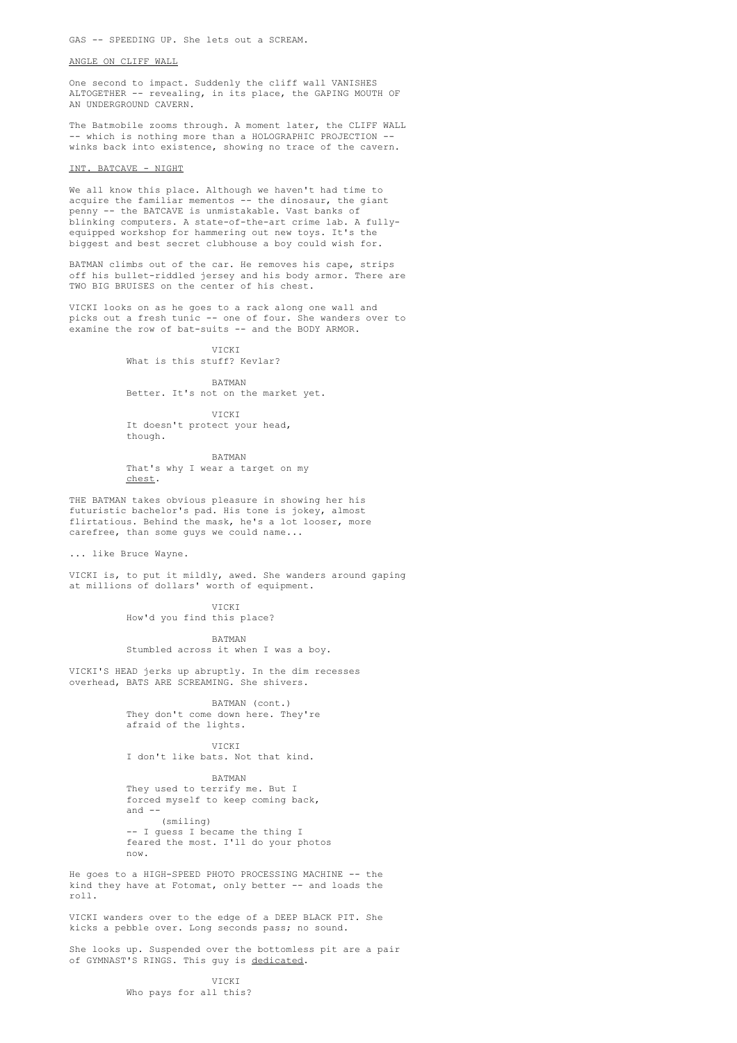### ANGLE ON CLIFF WALL

One second to impact. Suddenly the cliff wall VANISHES ALTOGETHER -- revealing, in its place, the GAPING MOUTH OF AN UNDERGROUND CAVERN.

The Batmobile zooms through. A moment later, the CLIFF WALL -- which is nothing more than a HOLOGRAPHIC PROJECTION - winks back into existence, showing no trace of the cavern.

### INT. BATCAVE - NIGHT

We all know this place. Although we haven't had time to acquire the familiar mementos -- the dinosaur, the giant penny -- the BATCAVE is unmistakable. Vast banks of blinking computers. A state-of-the-art crime lab. A fullyequipped workshop for hammering out new toys. It's the biggest and best secret clubhouse a boy could wish for.

BATMAN climbs out of the car. He removes his cape, strips off his bullet-riddled jersey and his body armor. There are TWO BIG BRUISES on the center of his chest.

VICKI looks on as he goes to a rack along one wall and picks out a fresh tunic -- one of four. She wanders over to examine the row of bat-suits -- and the BODY ARMOR.

> What is this stuff? Kevlar? BATMAN

Better. It's not on the market yet.

VICKI

VICKI It doesn't protect your head, though.

BATMAN That's why I wear a target on my chest.

THE BATMAN takes obvious pleasure in showing her his futuristic bachelor's pad. His tone is jokey, almost flirtatious. Behind the mask, he's a lot looser, more carefree, than some guys we could name...

... like Bruce Wayne.

VICKI is, to put it mildly, awed. She wanders around gaping at millions of dollars' worth of equipment.

> **VICKI** How'd you find this place?

BATMAN Stumbled across it when I was a boy.

VICKI'S HEAD jerks up abruptly. In the dim recesses overhead, BATS ARE SCREAMING. She shivers.

> BATMAN (cont.) They don't come down here. They're afraid of the lights.

VICKI I don't like bats. Not that kind.

BATMAN They used to terrify me. But I forced myself to keep coming back, and -- (smiling) -- I guess I became the thing I feared the most. I'll do your photos now.

He goes to a HIGH-SPEED PHOTO PROCESSING MACHINE -- the kind they have at Fotomat, only better -- and loads the roll.

VICKI wanders over to the edge of a DEEP BLACK PIT. She kicks a pebble over. Long seconds pass; no sound.

She looks up. Suspended over the bottomless pit are a pair of GYMNAST'S RINGS. This guy is dedicated.

> VICKI Who pays for all this?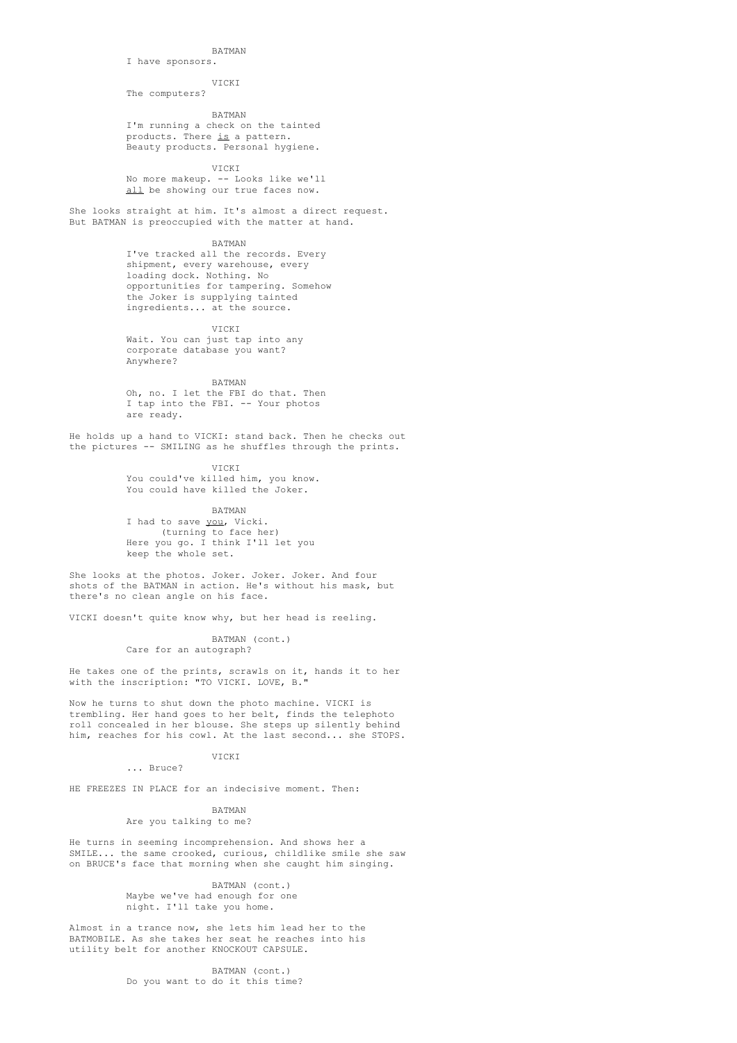### BATMAN

#### I have sponsors.

VICKI The computers?

BATMAN I'm running a check on the tainted products. There <u>is</u> a pattern. Beauty products. Personal hygiene.

VICKI

No more makeup. -- Looks like we'll all be showing our true faces now.

She looks straight at him. It's almost a direct request. But BATMAN is preoccupied with the matter at hand.

BATMAN

I've tracked all the records. Every shipment, every warehouse, every loading dock. Nothing. No opportunities for tampering. Somehow the Joker is supplying tainted ingredients... at the source.

**VICKI** 

Wait. You can just tap into any corporate database you want? Anywhere?

BATMAN

Oh, no. I let the FBI do that. Then I tap into the FBI. -- Your photos are ready.

He holds up a hand to VICKI: stand back. Then he checks out the pictures -- SMILING as he shuffles through the prints.

> VICKI You could've killed him, you know. You could have killed the Joker.

> > BATMAN

I had to save you, Vicki. (turning to face her) Here you go. I think I'll let you keep the whole set.

She looks at the photos. Joker. Joker. Joker. And four shots of the BATMAN in action. He's without his mask, but there's no clean angle on his face.

VICKI doesn't quite know why, but her head is reeling.

BATMAN (cont.) Care for an autograph?

He takes one of the prints, scrawls on it, hands it to her with the inscription: "TO VICKI. LOVE, B."

Now he turns to shut down the photo machine. VICKI is trembling. Her hand goes to her belt, finds the telephoto roll concealed in her blouse. She steps up silently behind him, reaches for his cowl. At the last second... she STOPS.

VITCKT

... Bruce?

HE FREEZES IN PLACE for an indecisive moment. Then:

BATMAN Are you talking to me?

He turns in seeming incomprehension. And shows her a SMILE... the same crooked, curious, childlike smile she saw on BRUCE's face that morning when she caught him singing.

> BATMAN (cont.) Maybe we've had enough for one night. I'll take you home.

Almost in a trance now, she lets him lead her to the BATMOBILE. As she takes her seat he reaches into his utility belt for another KNOCKOUT CAPSULE.

> BATMAN (cont.) Do you want to do it this time?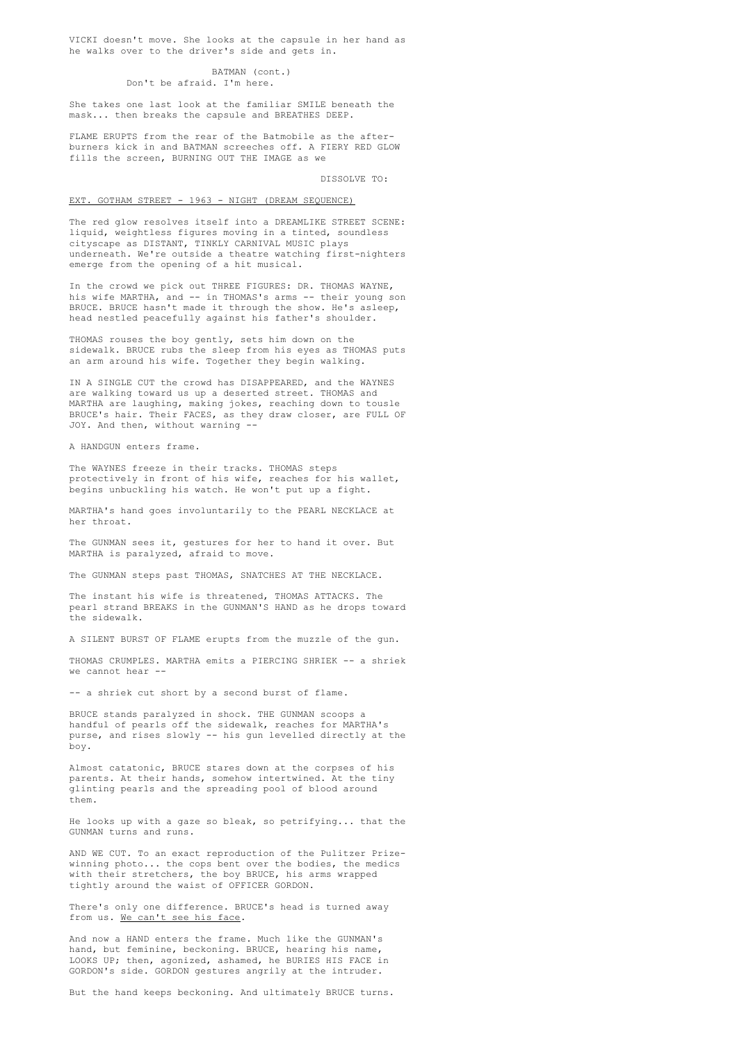VICKI doesn't move. She looks at the capsule in her hand as he walks over to the driver's side and gets in.

### BATMAN (cont.) Don't be afraid. I'm here.

She takes one last look at the familiar SMILE beneath the mask... then breaks the capsule and BREATHES DEEP.

FLAME ERUPTS from the rear of the Batmobile as the afterburners kick in and BATMAN screeches off. A FIERY RED GLOW fills the screen, BURNING OUT THE IMAGE as we

DISSOLVE TO:

#### EXT. GOTHAM STREET - 1963 - NIGHT (DREAM SEQUENCE)

The red glow resolves itself into a DREAMLIKE STREET SCENE: liquid, weightless figures moving in a tinted, soundless cityscape as DISTANT, TINKLY CARNIVAL MUSIC plays underneath. We're outside a theatre watching first-nighters emerge from the opening of a hit musical.

In the crowd we pick out THREE FIGURES: DR. THOMAS WAYNE, his wife MARTHA, and -- in THOMAS's arms -- their young son BRUCE. BRUCE hasn't made it through the show. He's asleep, head nestled peacefully against his father's shoulder.

THOMAS rouses the boy gently, sets him down on the sidewalk. BRUCE rubs the sleep from his eyes as THOMAS puts an arm around his wife. Together they begin walking.

IN A SINGLE CUT the crowd has DISAPPEARED, and the WAYNES are walking toward us up a deserted street. THOMAS and MARTHA are laughing, making jokes, reaching down to tousle BRUCE's hair. Their FACES, as they draw closer, are FULL OF JOY. And then, without warning --

A HANDGUN enters frame.

The WAYNES freeze in their tracks. THOMAS steps protectively in front of his wife, reaches for his wallet, begins unbuckling his watch. He won't put up a fight.

MARTHA's hand goes involuntarily to the PEARL NECKLACE at her throat.

The GUNMAN sees it, gestures for her to hand it over. But MARTHA is paralyzed, afraid to move.

The GUNMAN steps past THOMAS, SNATCHES AT THE NECKLACE.

The instant his wife is threatened, THOMAS ATTACKS. The pearl strand BREAKS in the GUNMAN'S HAND as he drops toward the sidewalk.

A SILENT BURST OF FLAME erupts from the muzzle of the gun.

THOMAS CRUMPLES. MARTHA emits a PIERCING SHRIEK -- a shriek we cannot hear --

-- a shriek cut short by a second burst of flame.

BRUCE stands paralyzed in shock. THE GUNMAN scoops a handful of pearls off the sidewalk, reaches for MARTHA's purse, and rises slowly -- his gun levelled directly at the boy.

Almost catatonic, BRUCE stares down at the corpses of his parents. At their hands, somehow intertwined. At the tiny glinting pearls and the spreading pool of blood around them.

He looks up with a gaze so bleak, so petrifying... that the GUNMAN turns and runs.

AND WE CUT. To an exact reproduction of the Pulitzer Prizewinning photo... the cops bent over the bodies, the medics with their stretchers, the boy BRUCE, his arms wrapped tightly around the waist of OFFICER GORDON.

There's only one difference. BRUCE's head is turned away from us. We can't see his face.

And now a HAND enters the frame. Much like the GUNMAN's hand, but feminine, beckoning. BRUCE, hearing his name, LOOKS UP; then, agonized, ashamed, he BURIES HIS FACE in GORDON's side. GORDON gestures angrily at the intruder.

But the hand keeps beckoning. And ultimately BRUCE turns.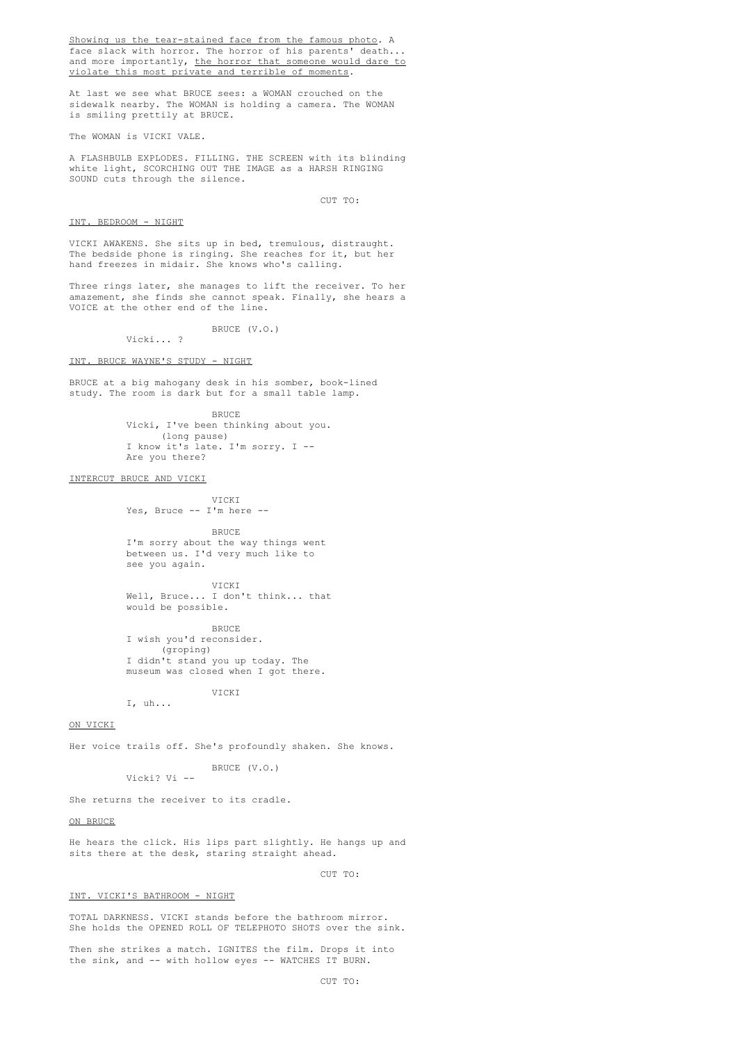Showing us the tear-stained face from the famous photo. A face slack with horror. The horror of his parents' death... and more importantly, the horror that someone would dare to violate this most private and terrible of moments.

At last we see what BRUCE sees: a WOMAN crouched on the sidewalk nearby. The WOMAN is holding a camera. The WOMAN is smiling prettily at BRUCE.

The WOMAN is VICKI VALE.

A FLASHBULB EXPLODES. FILLING. THE SCREEN with its blinding white light, SCORCHING OUT THE IMAGE as a HARSH RINGING SOUND cuts through the silence.

CUT TO:

### INT. BEDROOM - NIGHT

VICKI AWAKENS. She sits up in bed, tremulous, distraught. The bedside phone is ringing. She reaches for it, but her hand freezes in midair. She knows who's calling.

Three rings later, she manages to lift the receiver. To her amazement, she finds she cannot speak. Finally, she hears a VOICE at the other end of the line.

> BRUCE (V.O.) Vicki... ?

#### INT. BRUCE WAYNE'S STUDY - NIGHT

BRUCE at a big mahogany desk in his somber, book-lined study. The room is dark but for a small table lamp.

> BRUCE Vicki, I've been thinking about you. (long pause) I know it's late. I'm sorry. I -- Are you there?

### INTERCUT BRUCE AND VICKI

VICKI Yes, Bruce -- I'm here --

BRUCE

I'm sorry about the way things went between us. I'd very much like to see you again.

VICKI Well, Bruce... I don't think... that would be possible.

BRUCE I wish you'd reconsider. (groping) I didn't stand you up today. The museum was closed when I got there.

VICKI

I, uh...

### ON VICKI

Her voice trails off. She's profoundly shaken. She knows.

BRUCE (V.O.) Vicki? Vi --

She returns the receiver to its cradle.

### ON BRUCE

He hears the click. His lips part slightly. He hangs up and sits there at the desk, staring straight ahead.

CUT TO:

#### INT. VICKI'S BATHROOM - NIGHT

TOTAL DARKNESS. VICKI stands before the bathroom mirror. She holds the OPENED ROLL OF TELEPHOTO SHOTS over the sink.

Then she strikes a match. IGNITES the film. Drops it into the sink, and -- with hollow eyes -- WATCHES IT BURN.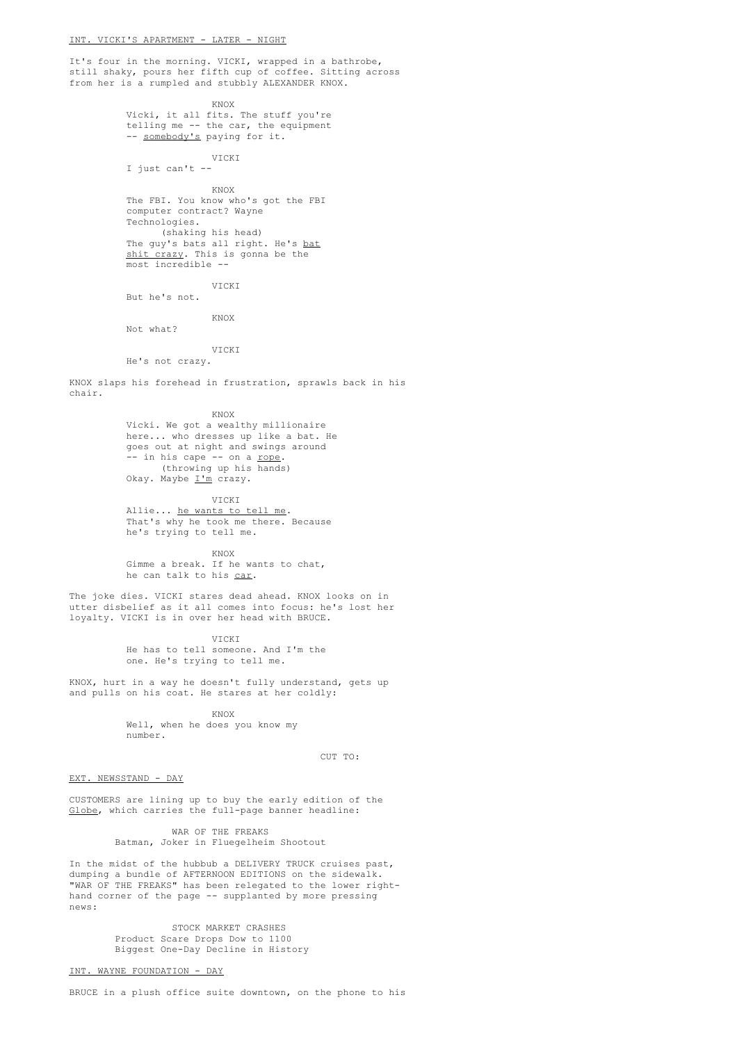It's four in the morning. VICKI, wrapped in a bathrobe, still shaky, pours her fifth cup of coffee. Sitting across from her is a rumpled and stubbly ALEXANDER KNOX.

KNOX

Vicki, it all fits. The stuff you're telling me -- the car, the equipment -- somebody's paying for it.

VICKI I just can't --

KNOX

The FBI. You know who's got the FBI computer contract? Wayne Technologies. (shaking his head) The guy's bats all right. He's bat shit crazy. This is gonna be the most incredible --

VICKI But he's not.

KNOX

Not what?

VICKI He's not crazy.

KNOX slaps his forehead in frustration, sprawls back in his chair.

KNOX

Vicki. We got a wealthy millionaire here... who dresses up like a bat. He goes out at night and swings around -- in his cape -- on a rope. (throwing up his hands) Okay. Maybe  $\mathbb{I}^{\prime m}$  crazy.

VICKI Allie... he wants to tell me. That's why he took me there. Because he's trying to tell me.

KNOX

Gimme a break. If he wants to chat, he can talk to his car.

The joke dies. VICKI stares dead ahead. KNOX looks on in utter disbelief as it all comes into focus: he's lost her loyalty. VICKI is in over her head with BRUCE.

> **VICKI** He has to tell someone. And I'm the one. He's trying to tell me.

KNOX, hurt in a way he doesn't fully understand, gets up and pulls on his coat. He stares at her coldly:

KNOX

Well, when he does you know my number.

 $C \text{IIP}$  TO:

### EXT. NEWSSTAND - DAY

CUSTOMERS are lining up to buy the early edition of the Globe, which carries the full-page banner headline:

> WAR OF THE FREAKS Batman, Joker in Fluegelheim Shootout

In the midst of the hubbub a DELIVERY TRUCK cruises past, dumping a bundle of AFTERNOON EDITIONS on the sidewalk. "WAR OF THE FREAKS" has been relegated to the lower righthand corner of the page -- supplanted by more pressing news:

> STOCK MARKET CRASHES Product Scare Drops Dow to 1100 Biggest One-Day Decline in History

INT. WAYNE FOUNDATION - DAY

BRUCE in a plush office suite downtown, on the phone to his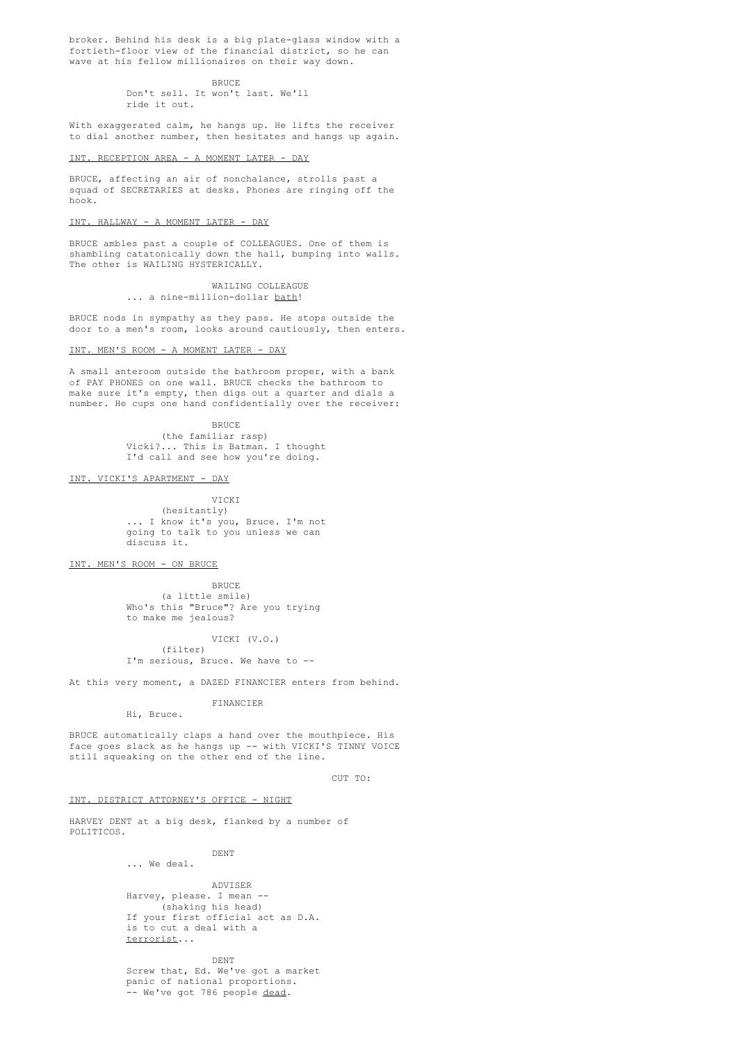broker. Behind his desk is a big plate-glass window with a fortieth-floor view of the financial district, so he can wave at his fellow millionaires on their way down.

BRUCE

Don't sell. It won't last. We'll ride it out.

With exaggerated calm, he hangs up. He lifts the receiver to dial another number, then hesitates and hangs up again.

### INT. RECEPTION AREA - A MOMENT LATER - DAY

BRUCE, affecting an air of nonchalance, strolls past a squad of SECRETARIES at desks. Phones are ringing off the hook.

### INT. HALLWAY - A MOMENT LATER - DAY

BRUCE ambles past a couple of COLLEAGUES. One of them is shambling catatonically down the hall, bumping into walls. The other is WAILING HYSTERICALLY.

> WAILING COLLEAGUE ... a nine-million-dollar bath!

BRUCE nods in sympathy as they pass. He stops outside the door to a men's room, looks around cautiously, then enters.

### INT. MEN'S ROOM - A MOMENT LATER - DAY

A small anteroom outside the bathroom proper, with a bank of PAY PHONES on one wall. BRUCE checks the bathroom to make sure it's empty, then digs out a quarter and dials a number. He cups one hand confidentially over the receiver:

> BRUCE (the familiar rasp) Vicki?... This is Batman. I thought I'd call and see how you're doing.

### INT. VICKI'S APARTMENT - DAY

VICKI (hesitantly) ... I know it's you, Bruce. I'm not going to talk to you unless we can discuss it.

# INT. MEN'S ROOM - ON BRUCE

**BRUCE** (a little smile) Who's this "Bruce"? Are you trying to make me jealous?

VICKI (V.O.) (filter) I'm serious, Bruce. We have to --

At this very moment, a DAZED FINANCIER enters from behind.

FINANCIER Hi, Bruce.

BRUCE automatically claps a hand over the mouthpiece. His face goes slack as he hangs up -- with VICKI'S TINNY VOICE still squeaking on the other end of the line.

CUT TO:

### INT. DISTRICT ATTORNEY'S OFFICE - NIGHT

HARVEY DENT at a big desk, flanked by a number of POLITICOS.

> DENT ... We deal.

ADVISER Harvey, please. I mean -- (shaking his head) If your first official act as D.A. is to cut a deal with a terrorist...

DENT Screw that, Ed. We've got a market panic of national proportions. -- We've got 786 people dead.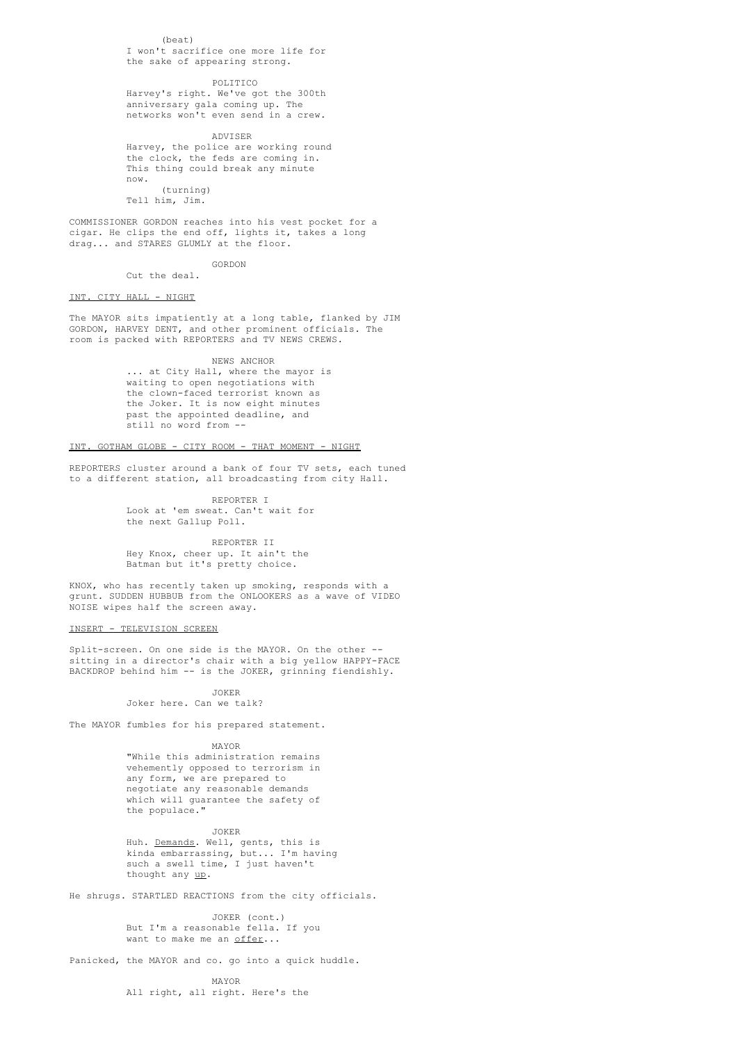### $(haat)$

I won't sacrifice one more life for the sake of appearing strong.

#### POLITICO

Harvey's right. We've got the 300th anniversary gala coming up. The networks won't even send in a crew.

ADVISER Harvey, the police are working round the clock, the feds are coming in. This thing could break any minute now.  $(t + \text{unning})$ Tell him, Jim.

COMMISSIONER GORDON reaches into his vest pocket for a cigar. He clips the end off, lights it, takes a long drag... and STARES GLUMLY at the floor.

### GORDON Cut the deal.

INT. CITY HALL - NIGHT

The MAYOR sits impatiently at a long table, flanked by JIM GORDON, HARVEY DENT, and other prominent officials. The room is packed with REPORTERS and TV NEWS CREWS.

NEWS ANCHOR

... at City Hall, where the mayor is waiting to open negotiations with the clown-faced terrorist known as the Joker. It is now eight minutes past the appointed deadline, and still no word from --

# INT. GOTHAM GLOBE - CITY ROOM - THAT MOMENT - NIGHT

REPORTERS cluster around a bank of four TV sets, each tuned to a different station, all broadcasting from city Hall.

> REPORTER I Look at 'em sweat. Can't wait for the next Gallup Poll.

REPORTER II Hey Knox, cheer up. It ain't the Batman but it's pretty choice.

KNOX, who has recently taken up smoking, responds with a grunt. SUDDEN HUBBUB from the ONLOOKERS as a wave of VIDEO NOISE wipes half the screen away.

### INSERT - TELEVISION SCREEN

Split-screen. On one side is the MAYOR. On the other - sitting in a director's chair with a big yellow HAPPY-FACE BACKDROP behind him -- is the JOKER, grinning fiendishly.

### JOKER

## Joker here. Can we talk?

The MAYOR fumbles for his prepared statement.

MAYOR

"While this administration remains vehemently opposed to terrorism in any form, we are prepared to negotiate any reasonable demands which will guarantee the safety of the populace."

JOKER Huh. Demands. Well, gents, this is kinda embarrassing, but... I'm having such a swell time, I just haven't thought any up.

He shrugs. STARTLED REACTIONS from the city officials.

JOKER (cont.) But I'm a reasonable fella. If you want to make me an offer...

Panicked, the MAYOR and co. go into a quick huddle.

MAYOR All right, all right. Here's the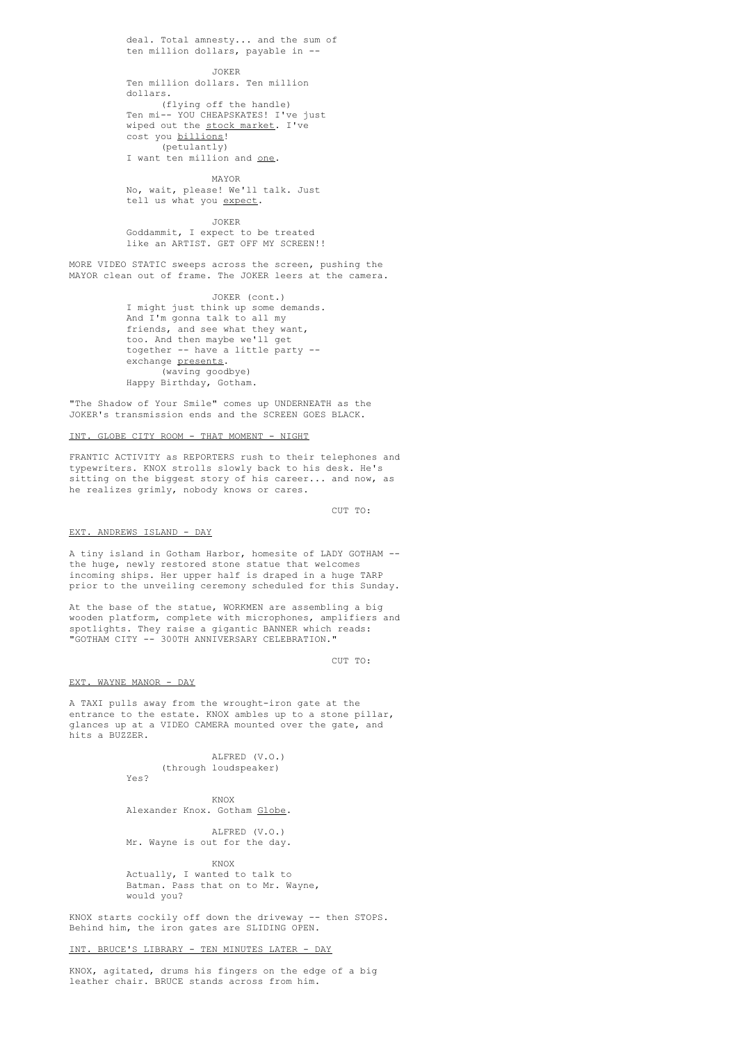deal. Total amnesty... and the sum of ten million dollars, payable in -- JOKER Ten million dollars. Ten million dollars.

(flying off the handle) Ten mi-- YOU CHEAPSKATES! I've just wiped out the stock market. I've cost you billions! (petulantly)

# I want ten million and <u>one</u>.

MAYOR No, wait, please! We'll talk. Just tell us what you expect.

JOKER

Goddammit, I expect to be treated like an ARTIST. GET OFF MY SCREEN!!

MORE VIDEO STATIC sweeps across the screen, pushing the MAYOR clean out of frame. The JOKER leers at the camera.

> JOKER (cont.) I might just think up some demands. And I'm gonna talk to all my friends, and see what they want, too. And then maybe we'll get together -- have a little party - exchange presents. (waving goodbye) Happy Birthday, Gotham.

"The Shadow of Your Smile" comes up UNDERNEATH as the JOKER's transmission ends and the SCREEN GOES BLACK.

### INT. GLOBE CITY ROOM - THAT MOMENT - NIGHT

FRANTIC ACTIVITY as REPORTERS rush to their telephones and typewriters. KNOX strolls slowly back to his desk. He's sitting on the biggest story of his career... and now, as he realizes grimly, nobody knows or cares.

CUT TO:

#### EXT. ANDREWS ISLAND - DAY

A tiny island in Gotham Harbor, homesite of LADY GOTHAM - the huge, newly restored stone statue that welcomes incoming ships. Her upper half is draped in a huge TARP prior to the unveiling ceremony scheduled for this Sunday.

At the base of the statue, WORKMEN are assembling a big wooden platform, complete with microphones, amplifiers and spotlights. They raise a gigantic BANNER which reads: "GOTHAM CITY -- 300TH ANNIVERSARY CELEBRATION."

CUT TO:

#### EXT. WAYNE MANOR - DAY

A TAXI pulls away from the wrought-iron gate at the entrance to the estate. KNOX ambles up to a stone pillar, glances up at a VIDEO CAMERA mounted over the gate, and hits a BUZZER.

> ALFRED (V.O.) (through loudspeaker) Yes?

> > KNOX

### Alexander Knox. Gotham Globe.

ALFRED (V.O.) Mr. Wayne is out for the day.

KNOX

Actually, I wanted to talk to Batman. Pass that on to Mr. Wayne, would you?

KNOX starts cockily off down the driveway -- then STOPS. Behind him, the iron gates are SLIDING OPEN.

INT. BRUCE'S LIBRARY - TEN MINUTES LATER - DAY

KNOX, agitated, drums his fingers on the edge of a big leather chair. BRUCE stands across from him.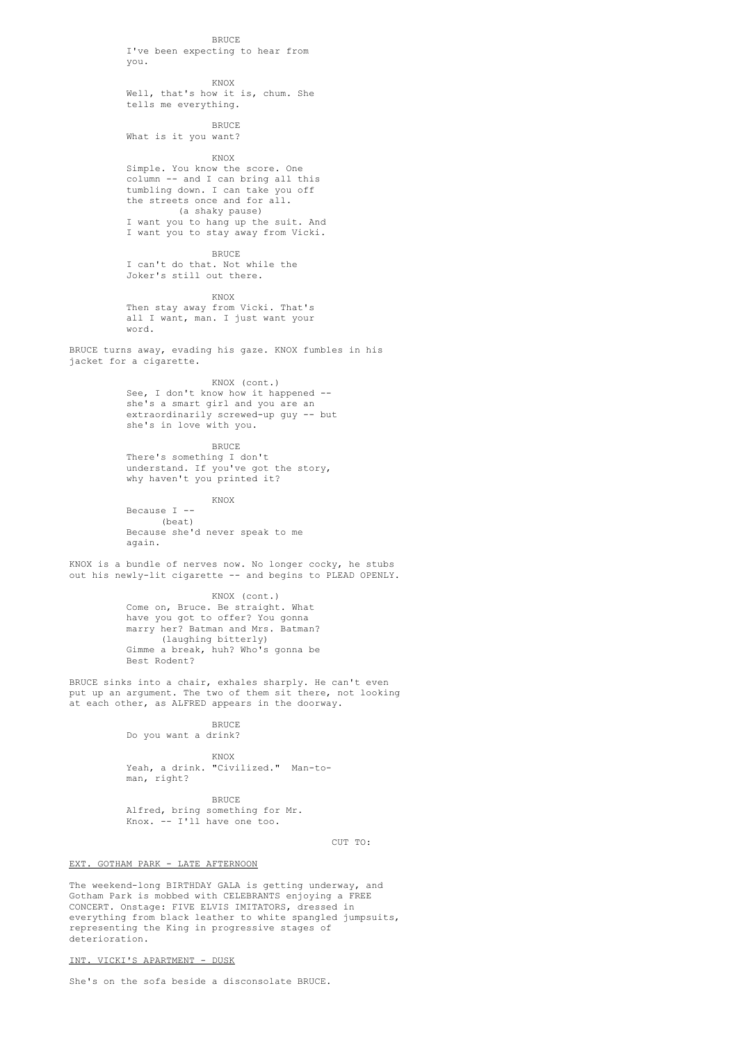**BRUCE** I've been expecting to hear from you.

### KNOX Well, that's how it is, chum. She tells me everything.

BRUCE What is it you want?

KNOX

Simple. You know the score. One column -- and I can bring all this tumbling down. I can take you off the streets once and for all. (a shaky pause) I want you to hang up the suit. And I want you to stay away from Vicki.

BRUCE

I can't do that. Not while the Joker's still out there.

KNOX

Then stay away from Vicki. That's all I want, man. I just want your word.

BRUCE turns away, evading his gaze. KNOX fumbles in his jacket for a cigarette.

KNOX (cont.)

See, I don't know how it happened - she's a smart girl and you are an extraordinarily screwed-up guy -- but she's in love with you.

**BRUCE** 

There's something I don't understand. If you've got the story, why haven't you printed it?

KNOX Because I -- (beat) Because she'd never speak to me again.

KNOX is a bundle of nerves now. No longer cocky, he stubs out his newly-lit cigarette -- and begins to PLEAD OPENLY.

> KNOX (cont.) Come on, Bruce. Be straight. What have you got to offer? You gonna marry her? Batman and Mrs. Batman? (laughing bitterly) Gimme a break, huh? Who's gonna be Best Rodent?

BRUCE sinks into a chair, exhales sharply. He can't even put up an argument. The two of them sit there, not looking at each other, as ALFRED appears in the doorway.

# **BRUCE**

Do you want a drink?

KNOX Yeah, a drink. "Civilized." Man-toman, right?

**BRUCE** Alfred, bring something for Mr. Knox. -- I'll have one too.

CUT TO:

### EXT. GOTHAM PARK - LATE AFTERNOON

The weekend-long BIRTHDAY GALA is getting underway, and Gotham Park is mobbed with CELEBRANTS enjoying a FREE CONCERT. Onstage: FIVE ELVIS IMITATORS, dressed in everything from black leather to white spangled jumpsuits, representing the King in progressive stages of deterioration.

### INT. VICKI'S APARTMENT - DUSK

She's on the sofa beside a disconsolate BRUCE.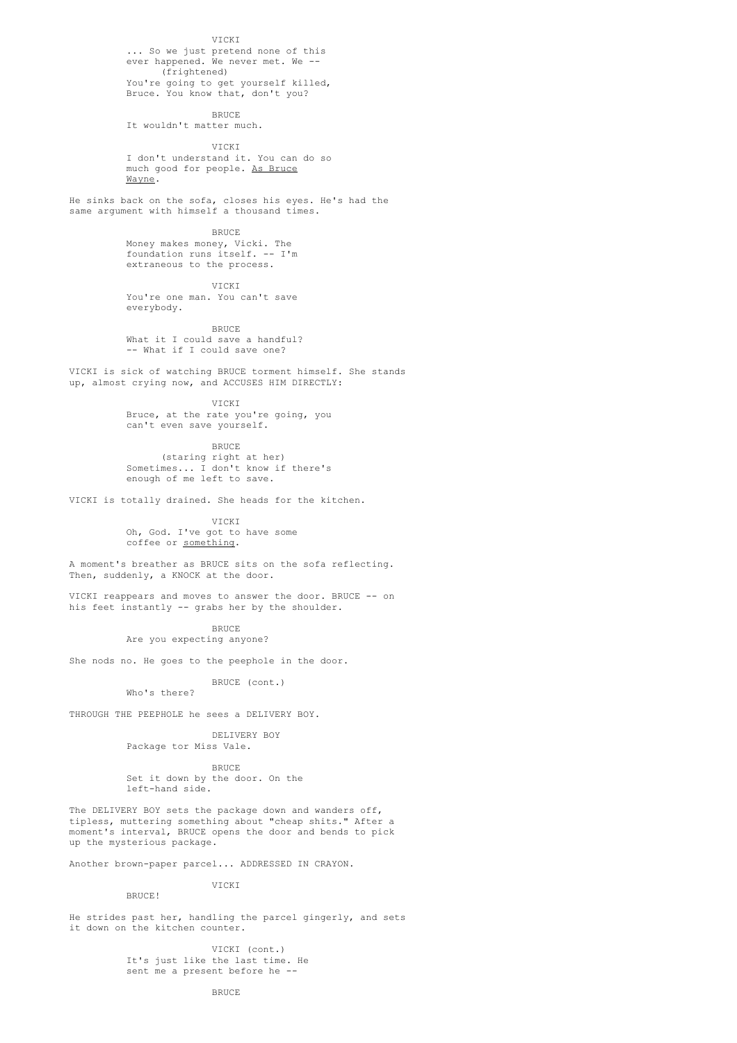### VICKI

... So we just pretend none of this ever happened. We never met. We -- (frightened) You're going to get yourself killed, Bruce. You know that, don't you?

BRUCE

It wouldn't matter much.

VICKI I don't understand it. You can do so much good for people. As Bruce Wayne.

He sinks back on the sofa, closes his eyes. He's had the same argument with himself a thousand times.

BRUCE

Money makes money, Vicki. The foundation runs itself. -- I'm extraneous to the process.

VICKI

You're one man. You can't save everybody.

**BRUCE** What it I could save a handful? -- What if I could save one?

VICKI is sick of watching BRUCE torment himself. She stands up, almost crying now, and ACCUSES HIM DIRECTLY:

VICKI

Bruce, at the rate you're going, you can't even save yourself.

**BRUCE** 

(staring right at her) Sometimes... I don't know if there's enough of me left to save.

VICKI is totally drained. She heads for the kitchen.

VICKI Oh, God. I've got to have some coffee or something.

A moment's breather as BRUCE sits on the sofa reflecting. Then, suddenly, a KNOCK at the door.

VICKI reappears and moves to answer the door. BRUCE -- on his feet instantly -- grabs her by the shoulder.

> **BRUCE** Are you expecting anyone?

She nods no. He goes to the peephole in the door.

BRUCE (cont.) Who's there?

THROUGH THE PEEPHOLE he sees a DELIVERY BOY.

DELIVERY BOY Package tor Miss Vale.

BRUCE Set it down by the door. On the left-hand side.

The DELIVERY BOY sets the package down and wanders off, tipless, muttering something about "cheap shits." After a moment's interval, BRUCE opens the door and bends to pick up the mysterious package.

Another brown-paper parcel... ADDRESSED IN CRAYON.

VICKI

BRUCE!

He strides past her, handling the parcel gingerly, and sets it down on the kitchen counter.

> VICKI (cont.) It's just like the last time. He sent me a present before he --

> > **BRUCE**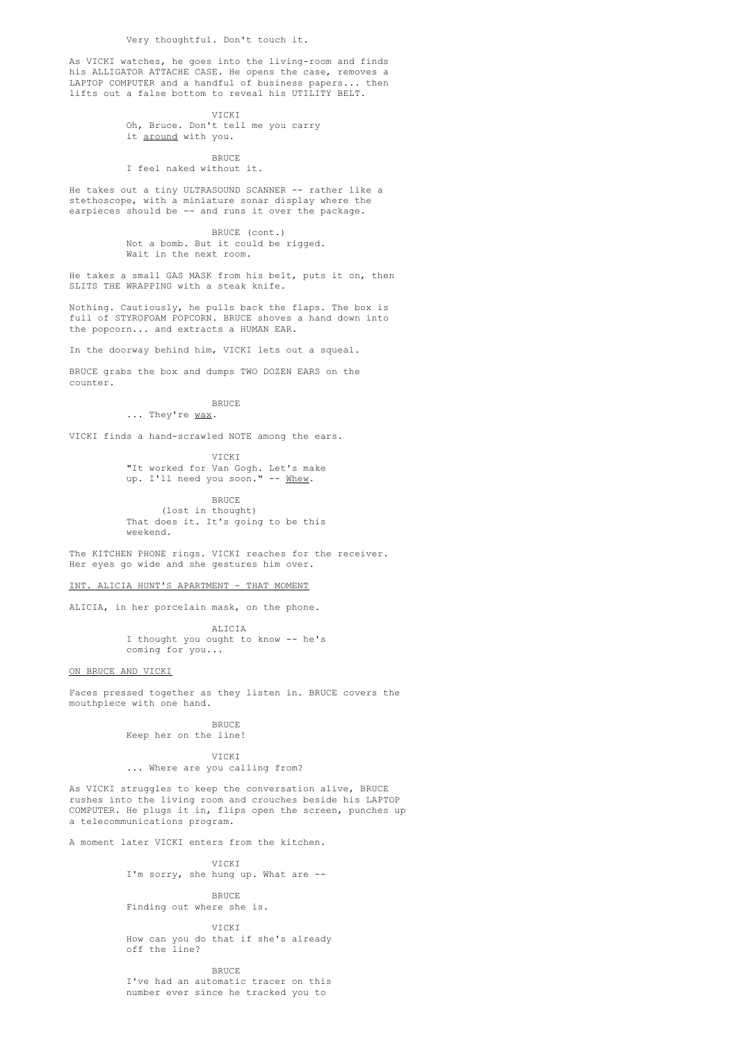As VICKI watches, he goes into the living-room and finds his ALLIGATOR ATTACHE CASE. He opens the case, removes a LAPTOP COMPUTER and a handful of business papers... then lifts out a false bottom to reveal his UTILITY BELT.

> VICKI Oh, Bruce. Don't tell me you carry it around with you.

> > BRUCE

# I feel naked without it.

He takes out a tiny ULTRASOUND SCANNER -- rather like a stethoscope, with a miniature sonar display where the earpieces should be -- and runs it over the package.

> BRUCE (cont.) Not a bomb. But it could be rigged. Wait in the next room.

He takes a small GAS MASK from his belt, puts it on, then SLITS THE WRAPPING with a steak knife.

Nothing. Cautiously, he pulls back the flaps. The box is full of STYROFOAM POPCORN. BRUCE shoves a hand down into the popcorn... and extracts a HUMAN EAR.

In the doorway behind him, VICKI lets out a squeal.

BRUCE grabs the box and dumps TWO DOZEN EARS on the counter.

**BRUCE** 

... They're wax.

VICKI finds a hand-scrawled NOTE among the ears.

VICKI "It worked for Van Gogh. Let's make up. I'll need you soon." -- Whew.

BRUCE (lost in thought) That does it. It's going to be this weekend.

The KITCHEN PHONE rings. VICKI reaches for the receiver. Her eyes go wide and she gestures him over.

INT. ALICIA HUNT'S APARTMENT - THAT MOMENT

ALICIA, in her porcelain mask, on the phone.

ALICIA I thought you ought to know -- he's coming for you...

ON BRUCE AND VICKI

Faces pressed together as they listen in. BRUCE covers the mouthpiece with one hand.

BRUCE

Keep her on the line!

### VICKI ... Where are you calling from?

As VICKI struggles to keep the conversation alive, BRUCE rushes into the living room and crouches beside his LAPTOP COMPUTER. He plugs it in, flips open the screen, punches up a telecommunications program.

A moment later VICKI enters from the kitchen.

#### VICKI

I'm sorry, she hung up. What are --

BRUCE

Finding out where she is. VICKI

How can you do that if she's already off the line?

BRUCE

I've had an automatic tracer on this number ever since he tracked you to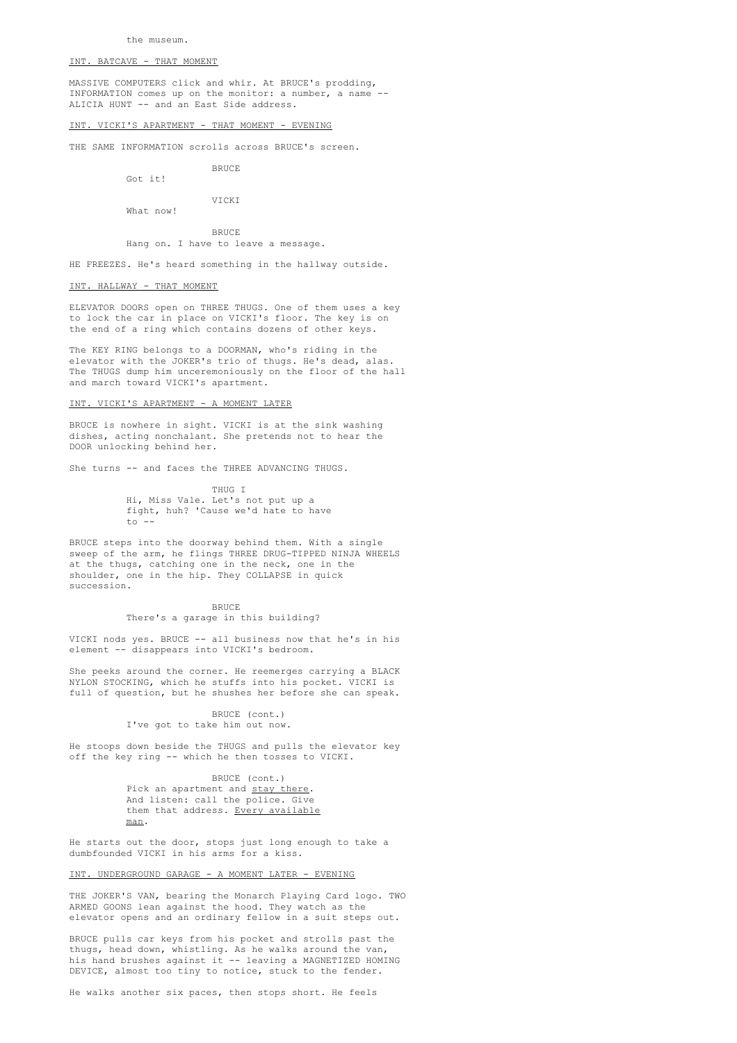### INT. BATCAVE - THAT MOMENT

MASSIVE COMPUTERS click and whir. At BRUCE's prodding, INFORMATION comes up on the monitor: a number, a name -- ALICIA HUNT -- and an East Side address.

#### INT. VICKI'S APARTMENT - THAT MOMENT - EVENING

THE SAME INFORMATION scrolls across BRUCE's screen.

BRUCE

Got it!

VICKI What now!

BRUCE

Hang on. I have to leave a message.

HE FREEZES. He's heard something in the hallway outside.

### INT. HALLWAY - THAT MOMENT

ELEVATOR DOORS open on THREE THUGS. One of them uses a key to lock the car in place on VICKI's floor. The key is on the end of a ring which contains dozens of other keys.

The KEY RING belongs to a DOORMAN, who's riding in the elevator with the JOKER's trio of thugs. He's dead, alas. The THUGS dump him unceremoniously on the floor of the hall and march toward VICKI's apartment.

#### INT. VICKI'S APARTMENT - A MOMENT LATER

BRUCE is nowhere in sight. VICKI is at the sink washing dishes, acting nonchalant. She pretends not to hear the DOOR unlocking behind her.

She turns -- and faces the THREE ADVANCING THUGS.

THUG I Hi, Miss Vale. Let's not put up a fight, huh? 'Cause we'd hate to have to  $-$ 

BRUCE steps into the doorway behind them. With a single sweep of the arm, he flings THREE DRUG-TIPPED NINJA WHEELS at the thugs, catching one in the neck, one in the shoulder, one in the hip. They COLLAPSE in quick succession.

> **BRUCE** There's a garage in this building?

VICKI nods yes. BRUCE -- all business now that he's in his element -- disappears into VICKI's bedroom.

She peeks around the corner. He reemerges carrying a BLACK NYLON STOCKING, which he stuffs into his pocket. VICKI is full of question, but he shushes her before she can speak.

> BRUCE (cont.) I've got to take him out now.

He stoops down beside the THUGS and pulls the elevator key off the key ring -- which he then tosses to VICKI.

# BRUCE (cont.)

Pick an apartment and stay there. And listen: call the police. Give them that address. Every available man.

He starts out the door, stops just long enough to take a dumbfounded VICKI in his arms for a kiss.

### INT. UNDERGROUND GARAGE - A MOMENT LATER - EVENING

THE JOKER'S VAN, bearing the Monarch Playing Card logo. TWO ARMED GOONS lean against the hood. They watch as the elevator opens and an ordinary fellow in a suit steps out.

BRUCE pulls car keys from his pocket and strolls past the thugs, head down, whistling. As he walks around the van, his hand brushes against it -- leaving a MAGNETIZED HOMING DEVICE, almost too tiny to notice, stuck to the fender.

He walks another six paces, then stops short. He feels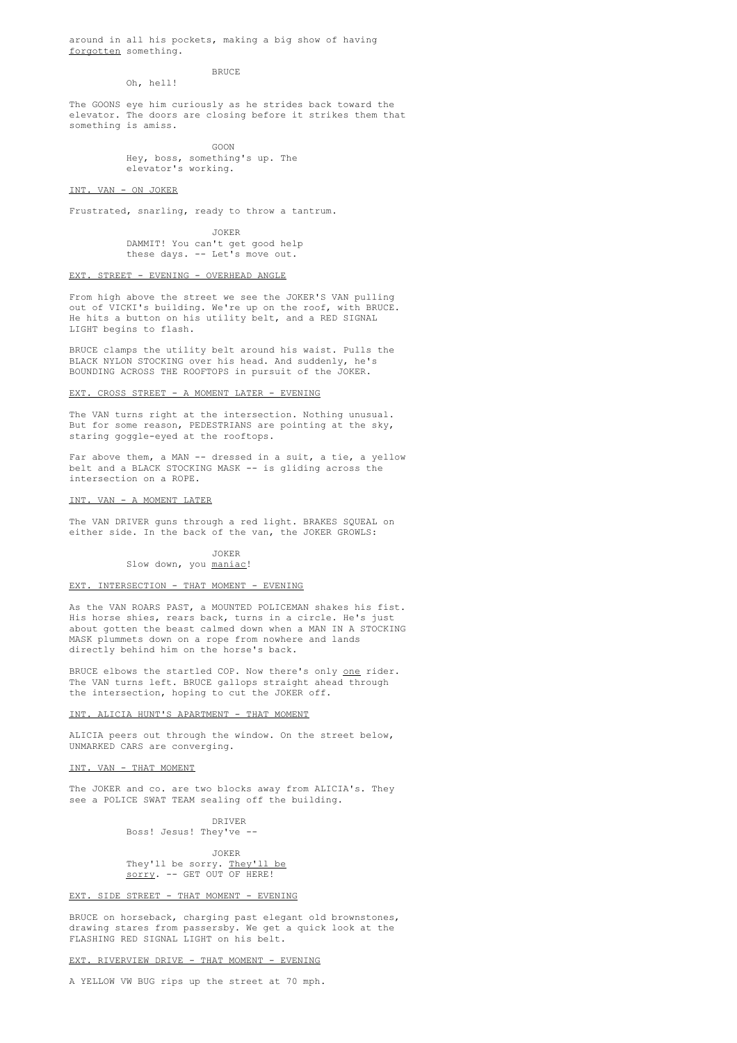around in all his pockets, making a big show of having forgotten something.

**BRUCE** 

Oh, hell!

The GOONS eye him curiously as he strides back toward the elevator. The doors are closing before it strikes them that something is amiss.

> GOON Hey, boss, something's up. The elevator's working.

#### INT. VAN - ON JOKER

Frustrated, snarling, ready to throw a tantrum.

JOKER DAMMIT! You can't get good help these days. -- Let's move out.

### EXT. STREET - EVENING - OVERHEAD ANGLE

From high above the street we see the JOKER'S VAN pulling out of VICKI's building. We're up on the roof, with BRUCE. He hits a button on his utility belt, and a RED SIGNAL LIGHT begins to flash.

BRUCE clamps the utility belt around his waist. Pulls the BLACK NYLON STOCKING over his head. And suddenly, he's BOUNDING ACROSS THE ROOFTOPS in pursuit of the JOKER.

### EXT. CROSS STREET - A MOMENT LATER - EVENING

The VAN turns right at the intersection. Nothing unusual. But for some reason, PEDESTRIANS are pointing at the sky, staring goggle-eyed at the rooftops.

Far above them, a MAN -- dressed in a suit, a tie, a yellow belt and a BLACK STOCKING MASK -- is gliding across the intersection on a ROPE.

#### INT. VAN - A MOMENT LATER

The VAN DRIVER guns through a red light. BRAKES SQUEAL on either side. In the back of the van, the JOKER GROWLS:

# JOKER

#### Slow down, you maniac!

#### EXT. INTERSECTION - THAT MOMENT - EVENING

As the VAN ROARS PAST, a MOUNTED POLICEMAN shakes his fist. His horse shies, rears back, turns in a circle. He's just about gotten the beast calmed down when a MAN IN A STOCKING MASK plummets down on a rope from nowhere and lands directly behind him on the horse's back.

BRUCE elbows the startled COP. Now there's only one rider. The VAN turns left. BRUCE gallops straight ahead through the intersection, hoping to cut the JOKER off.

### INT. ALICIA HUNT'S APARTMENT - THAT MOMENT

ALICIA peers out through the window. On the street below, UNMARKED CARS are converging.

#### INT. VAN - THAT MOMENT

The JOKER and co. are two blocks away from ALICIA's. They see a POLICE SWAT TEAM sealing off the building.

> DRIVER Boss! Jesus! They've --

JOKER They'll be sorry. They'll be sorry. -- GET OUT OF HERE!

### EXT. SIDE STREET - THAT MOMENT - EVENING

BRUCE on horseback, charging past elegant old brownstones, drawing stares from passersby. We get a quick look at the FLASHING RED SIGNAL LIGHT on his belt.

### EXT. RIVERVIEW DRIVE - THAT MOMENT - EVENING

A YELLOW VW BUG rips up the street at 70 mph.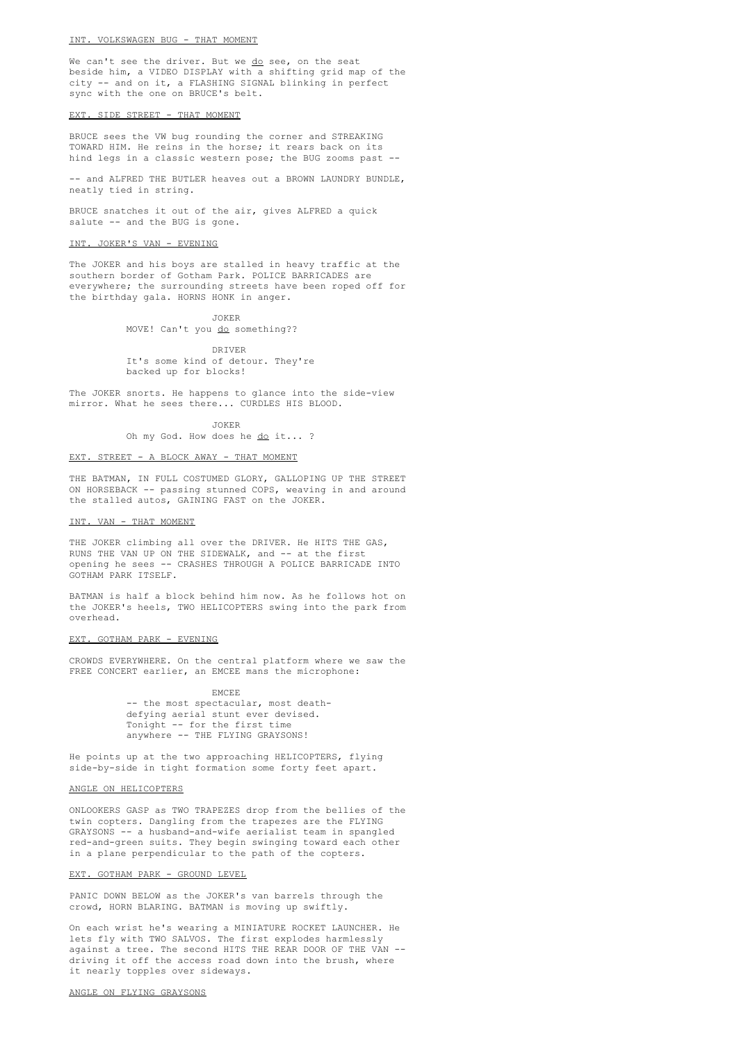#### INT. VOLKSWAGEN BUG - THAT MOMENT

We can't see the driver. But we do see, on the seat beside him, a VIDEO DISPLAY with a shifting grid map of the city -- and on it, a FLASHING SIGNAL blinking in perfect sync with the one on BRUCE's belt.

### EXT. SIDE STREET - THAT MOMENT

BRUCE sees the VW bug rounding the corner and STREAKING TOWARD HIM. He reins in the horse; it rears back on its hind legs in a classic western pose; the BUG zooms past --

-- and ALFRED THE BUTLER heaves out a BROWN LAUNDRY BUNDLE, neatly tied in string.

BRUCE snatches it out of the air, gives ALFRED a quick salute -- and the BUG is gone.

#### INT. JOKER'S VAN - EVENING

The JOKER and his boys are stalled in heavy traffic at the southern border of Gotham Park. POLICE BARRICADES are everywhere; the surrounding streets have been roped off for the birthday gala. HORNS HONK in anger.

> JOKER MOVE! Can't you do something??

DRIVER It's some kind of detour. They're backed up for blocks!

The JOKER snorts. He happens to glance into the side-view mirror. What he sees there... CURDLES HIS BLOOD.

JOKER

Oh my God. How does he do it... ?

### EXT. STREET - A BLOCK AWAY - THAT MOMENT

THE BATMAN, IN FULL COSTUMED GLORY, GALLOPING UP THE STREET ON HORSEBACK -- passing stunned COPS, weaving in and around the stalled autos, GAINING FAST on the JOKER.

### INT. VAN - THAT MOMENT

THE JOKER climbing all over the DRIVER. He HITS THE GAS, RUNS THE VAN UP ON THE SIDEWALK, and -- at the first opening he sees -- CRASHES THROUGH A POLICE BARRICADE INTO GOTHAM PARK ITSELF.

BATMAN is half a block behind him now. As he follows hot on the JOKER's heels, TWO HELICOPTERS swing into the park from overhead.

#### EXT. GOTHAM PARK - EVENING

CROWDS EVERYWHERE. On the central platform where we saw the FREE CONCERT earlier, an EMCEE mans the microphone:

EMCEE

-- the most spectacular, most deathdefying aerial stunt ever devised. Tonight -- for the first time anywhere -- THE FLYING GRAYSONS!

He points up at the two approaching HELICOPTERS, flying side-by-side in tight formation some forty feet apart.

#### ANGLE ON HELICOPTERS

ONLOOKERS GASP as TWO TRAPEZES drop from the bellies of the twin copters. Dangling from the trapezes are the FLYING GRAYSONS -- a husband-and-wife aerialist team in spangled red-and-green suits. They begin swinging toward each other in a plane perpendicular to the path of the copters.

### EXT. GOTHAM PARK - GROUND LEVEL

PANIC DOWN BELOW as the JOKER's van barrels through the crowd, HORN BLARING. BATMAN is moving up swiftly.

On each wrist he's wearing a MINIATURE ROCKET LAUNCHER. He lets fly with TWO SALVOS. The first explodes harmlessly against a tree. The second HITS THE REAR DOOR OF THE VAN - driving it off the access road down into the brush, where it nearly topples over sideways.

#### ANGLE ON FLYING GRAYSONS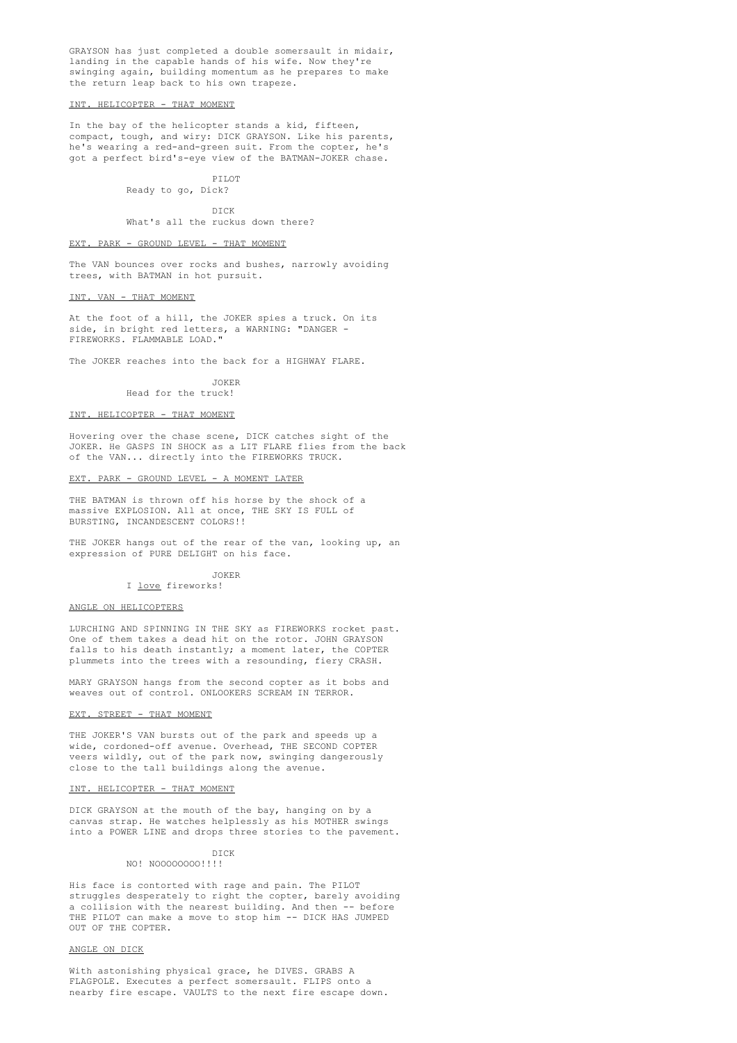GRAYSON has just completed a double somersault in midair, landing in the capable hands of his wife. Now they're swinging again, building momentum as he prepares to make the return leap back to his own trapeze.

#### INT. HELICOPTER - THAT MOMENT

In the bay of the helicopter stands a kid, fifteen, compact, tough, and wiry: DICK GRAYSON. Like his parents, he's wearing a red-and-green suit. From the copter, he's got a perfect bird's-eye view of the BATMAN-JOKER chase.

> PILOT Ready to go, Dick?

> > DICK

What's all the ruckus down there?

### EXT. PARK - GROUND LEVEL - THAT MOMENT

The VAN bounces over rocks and bushes, narrowly avoiding trees, with BATMAN in hot pursuit.

#### INT. VAN - THAT MOMENT

At the foot of a hill, the JOKER spies a truck. On its side, in bright red letters, a WARNING: "DANGER -FIREWORKS. FLAMMABLE LOAD."

The JOKER reaches into the back for a HIGHWAY FLARE.

JOKER Head for the truck!

# INT. HELICOPTER - THAT MOMENT

Hovering over the chase scene, DICK catches sight of the JOKER. He GASPS IN SHOCK as a LIT FLARE flies from the back of the VAN... directly into the FIREWORKS TRUCK.

### EXT. PARK - GROUND LEVEL - A MOMENT LATER

THE BATMAN is thrown off his horse by the shock of a massive EXPLOSION. All at once, THE SKY IS FULL of BURSTING, INCANDESCENT COLORS!!

THE JOKER hangs out of the rear of the van, looking up, an expression of PURE DELIGHT on his face.

### JOKER

#### I love fireworks!

#### ANGLE ON HELICOPTERS

LURCHING AND SPINNING IN THE SKY as FIREWORKS rocket past. One of them takes a dead hit on the rotor. JOHN GRAYSON falls to his death instantly; a moment later, the COPTER plummets into the trees with a resounding, fiery CRASH.

MARY GRAYSON hangs from the second copter as it bobs and weaves out of control. ONLOOKERS SCREAM IN TERROR.

### EXT. STREET - THAT MOMENT

THE JOKER'S VAN bursts out of the park and speeds up a wide, cordoned-off avenue. Overhead, THE SECOND COPTER veers wildly, out of the park now, swinging dangerously close to the tall buildings along the avenue.

#### INT. HELICOPTER - THAT MOMENT

DICK GRAYSON at the mouth of the bay, hanging on by a canvas strap. He watches helplessly as his MOTHER swings into a POWER LINE and drops three stories to the pavement.

#### DICK NO! NOOOOOOOO!!!!

His face is contorted with rage and pain. The PILOT struggles desperately to right the copter, barely avoiding a collision with the nearest building. And then -- before THE PILOT can make a move to stop him -- DICK HAS JUMPED OUT OF THE COPTER.

### ANGLE ON DICK

With astonishing physical grace, he DIVES. GRABS A FLAGPOLE. Executes a perfect somersault. FLIPS onto a nearby fire escape. VAULTS to the next fire escape down.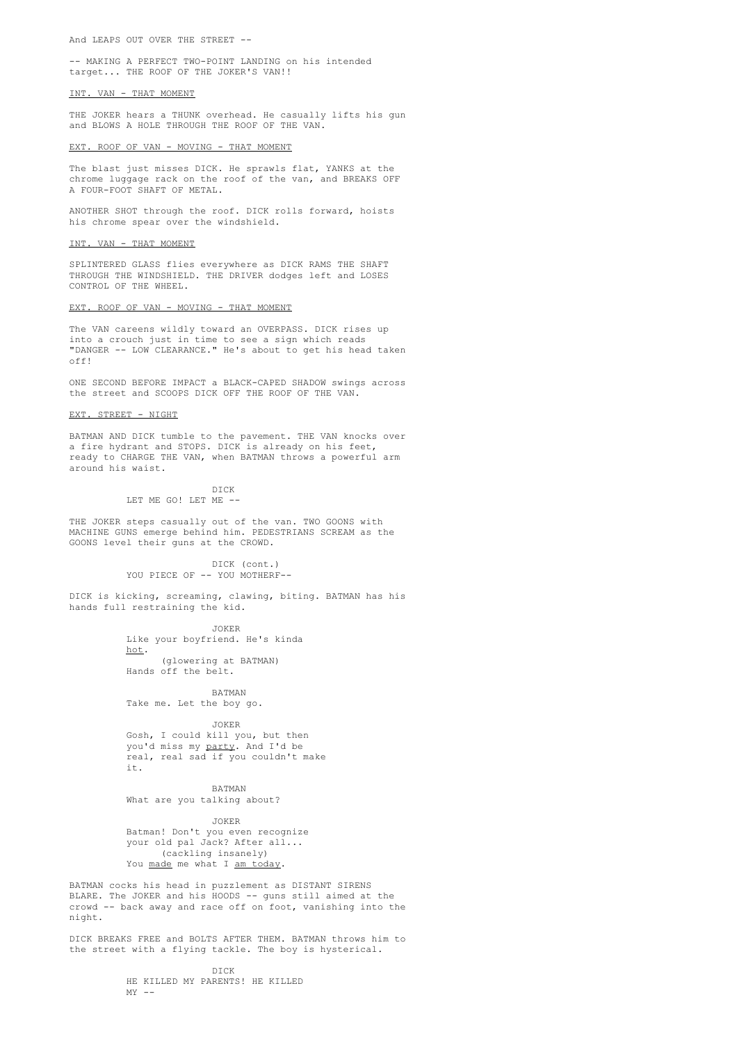And LEAPS OUT OVER THE STREET --

-- MAKING A PERFECT TWO-POINT LANDING on his intended target... THE ROOF OF THE JOKER'S VAN!!

#### INT. VAN - THAT MOMENT

THE JOKER hears a THUNK overhead. He casually lifts his gun and BLOWS A HOLE THROUGH THE ROOF OF THE VAN.

#### EXT. ROOF OF VAN - MOVING - THAT MOMENT

The blast just misses DICK. He sprawls flat, YANKS at the chrome luggage rack on the roof of the van, and BREAKS OFF A FOUR-FOOT SHAFT OF METAL.

ANOTHER SHOT through the roof. DICK rolls forward, hoists his chrome spear over the windshield.

#### INT. VAN - THAT MOMENT

SPLINTERED GLASS flies everywhere as DICK RAMS THE SHAFT THROUGH THE WINDSHIELD. THE DRIVER dodges left and LOSES CONTROL OF THE WHEEL.

### EXT. ROOF OF VAN - MOVING - THAT MOMENT

The VAN careens wildly toward an OVERPASS. DICK rises up into a crouch just in time to see a sign which reads "DANGER -- LOW CLEARANCE." He's about to get his head taken off!

ONE SECOND BEFORE IMPACT a BLACK-CAPED SHADOW swings across the street and SCOOPS DICK OFF THE ROOF OF THE VAN.

### EXT. STREET - NIGHT

BATMAN AND DICK tumble to the pavement. THE VAN knocks over a fire hydrant and STOPS. DICK is already on his feet, ready to CHARGE THE VAN, when BATMAN throws a powerful arm around his waist.

> DICK LET ME GO! LET ME -

THE JOKER steps casually out of the van. TWO GOONS with MACHINE GUNS emerge behind him. PEDESTRIANS SCREAM as the GOONS level their guns at the CROWD.

> DICK (cont.) YOU PIECE OF -- YOU MOTHERF--

DICK is kicking, screaming, clawing, biting. BATMAN has his hands full restraining the kid.

> JOKER Like your boyfriend. He's kinda hot. (glowering at BATMAN)

Hands off the belt.

BATMAN Take me. Let the boy go.

JOKER

Gosh, I could kill you, but then you'd miss my party. And I'd be real, real sad if you couldn't make it.

BATMAN What are you talking about?

JOKER Batman! Don't you even recognize your old pal Jack? After all... (cackling insanely) You made me what I am today.

BATMAN cocks his head in puzzlement as DISTANT SIRENS BLARE. The JOKER and his HOODS -- guns still aimed at the crowd -- back away and race off on foot, vanishing into the night.

DICK BREAKS FREE and BOLTS AFTER THEM. BATMAN throws him to the street with a flying tackle. The boy is hysterical.

> DICK HE KILLED MY PARENTS! HE KILLED  $MY = -$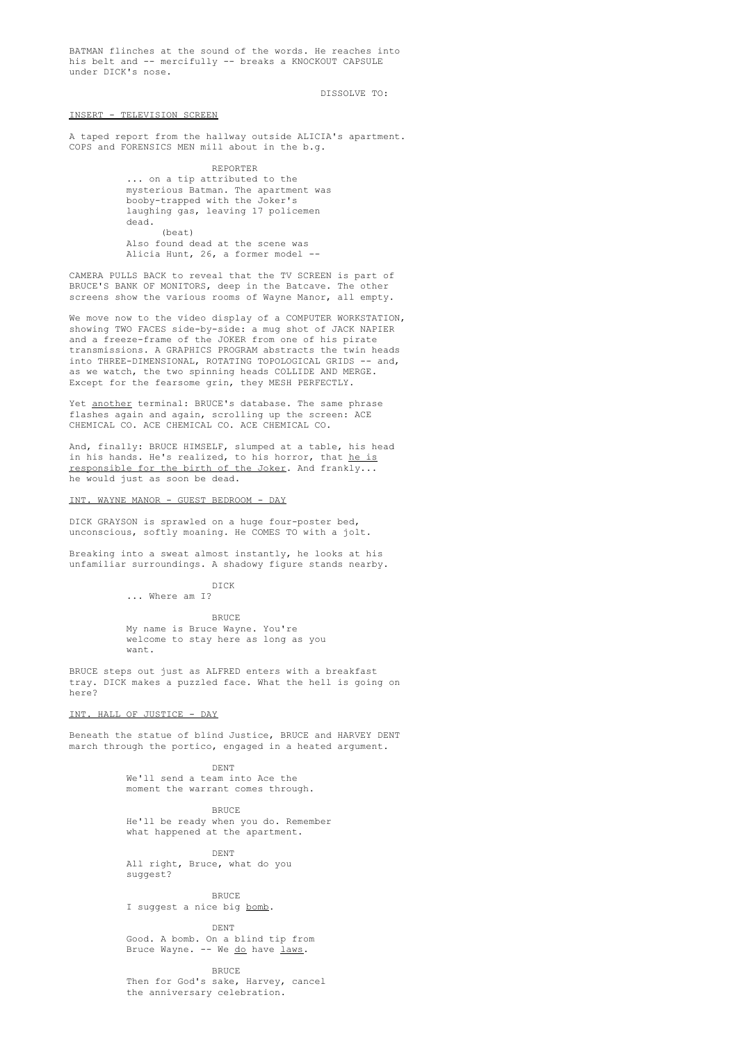BATMAN flinches at the sound of the words. He reaches into his belt and -- mercifully -- breaks a KNOCKOUT CAPSULE under DICK's nose.

DISSOLVE TO:

### INSERT - TELEVISION SCREEN

A taped report from the hallway outside ALICIA's apartment. COPS and FORENSICS MEN mill about in the b.g.

> REPORTER ... on a tip attributed to the mysterious Batman. The apartment was booby-trapped with the Joker's laughing gas, leaving 17 policemen dead. (beat) Also found dead at the scene was Alicia Hunt, 26, a former model --

CAMERA PULLS BACK to reveal that the TV SCREEN is part of BRUCE'S BANK OF MONITORS, deep in the Batcave. The other screens show the various rooms of Wayne Manor, all empty.

We move now to the video display of a COMPUTER WORKSTATION, showing TWO FACES side-by-side: a mug shot of JACK NAPIER and a freeze-frame of the JOKER from one of his pirate transmissions. A GRAPHICS PROGRAM abstracts the twin heads into THREE-DIMENSIONAL, ROTATING TOPOLOGICAL GRIDS -- and, as we watch, the two spinning heads COLLIDE AND MERGE. Except for the fearsome grin, they MESH PERFECTLY.

Yet another terminal: BRUCE's database. The same phrase flashes again and again, scrolling up the screen: ACE CHEMICAL CO. ACE CHEMICAL CO. ACE CHEMICAL CO.

And, finally: BRUCE HIMSELF, slumped at a table, his head in his hands. He's realized, to his horror, that he is responsible for the birth of the Joker. And frankly... he would just as soon be dead.

### WAYNE MANOR - GUEST BEDROOM - DAY

DICK GRAYSON is sprawled on a huge four-poster bed, unconscious, softly moaning. He COMES TO with a jolt.

Breaking into a sweat almost instantly, he looks at his unfamiliar surroundings. A shadowy figure stands nearby.

> DICK ... Where am I?

> > BRUCE

My name is Bruce Wayne. You're welcome to stay here as long as you want.

BRUCE steps out just as ALFRED enters with a breakfast tray. DICK makes a puzzled face. What the hell is going on here?

### INT. HALL OF JUSTICE - DAY

Beneath the statue of blind Justice, BRUCE and HARVEY DENT march through the portico, engaged in a heated argument.

> DENT We'll send a team into Ace the moment the warrant comes through.

> > BRUCE

He'll be ready when you do. Remember what happened at the apartment.

DENT All right, Bruce, what do you

suggest?

BRUCE I suggest a nice big bomb.

DENT

Good. A bomb. On a blind tip from Bruce Wayne. -- We do have laws.

**BRUCE** Then for God's sake, Harvey, cancel the anniversary celebration.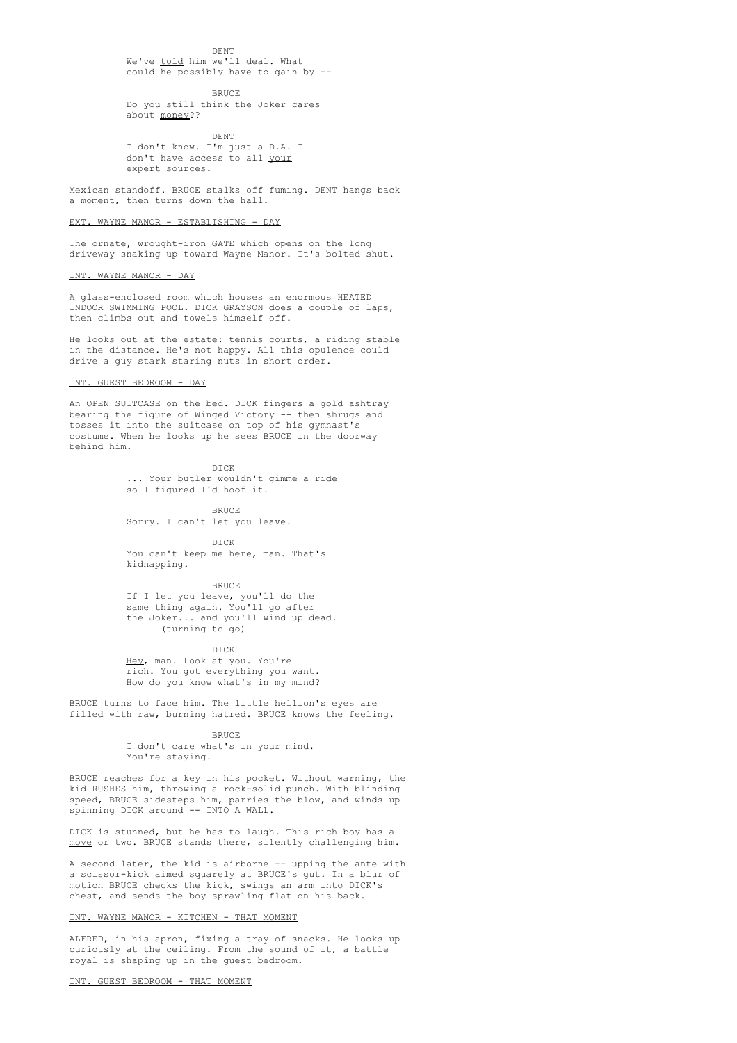DENT

We've told him we'll deal. What could he possibly have to gain by --

**BRUCE** Do you still think the Joker cares about money??

DENT

I don't know. I'm just a D.A. I don't have access to all your expert sources.

Mexican standoff. BRUCE stalks off fuming. DENT hangs back a moment, then turns down the hall.

### WAYNE MANOR - ESTABLISHING - DAY

The ornate, wrought-iron GATE which opens on the long driveway snaking up toward Wayne Manor. It's bolted shut.

### INT. WAYNE MANOR - DAY

A glass-enclosed room which houses an enormous HEATED INDOOR SWIMMING POOL. DICK GRAYSON does a couple of laps, then climbs out and towels himself off.

He looks out at the estate: tennis courts, a riding stable in the distance. He's not happy. All this opulence could drive a guy stark staring nuts in short order.

#### INT. GUEST BEDROOM - DAY

An OPEN SUITCASE on the bed. DICK fingers a gold ashtray bearing the figure of Winged Victory -- then shrugs and tosses it into the suitcase on top of his gymnast's costume. When he looks up he sees BRUCE in the doorway behind him.

> DICK ... Your butler wouldn't gimme a ride so I figured I'd hoof it.

> > BRUCE

Sorry. I can't let you leave.

DICK You can't keep me here, man. That's kidnapping.

BRUCE If I let you leave, you'll do the same thing again. You'll go after the Joker... and you'll wind up dead. (turning to go)

DICK

Hey, man. Look at you. You're rich. You got everything you want. How do you know what's in my mind?

BRUCE turns to face him. The little hellion's eyes are filled with raw, burning hatred. BRUCE knows the feeling.

**BRUCE** 

I don't care what's in your mind. You're staying.

BRUCE reaches for a key in his pocket. Without warning, the kid RUSHES him, throwing a rock-solid punch. With blinding speed, BRUCE sidesteps him, parries the blow, and winds up spinning DICK around -- INTO A WALL.

DICK is stunned, but he has to laugh. This rich boy has a move or two. BRUCE stands there, silently challenging him.

A second later, the kid is airborne -- upping the ante with a scissor-kick aimed squarely at BRUCE's gut. In a blur of motion BRUCE checks the kick, swings an arm into DICK's chest, and sends the boy sprawling flat on his back.

### INT. WAYNE MANOR - KITCHEN - THAT MOMENT

ALFRED, in his apron, fixing a tray of snacks. He looks up curiously at the ceiling. From the sound of it, a battle royal is shaping up in the guest bedroom.

INT. GUEST BEDROOM - THAT MOMENT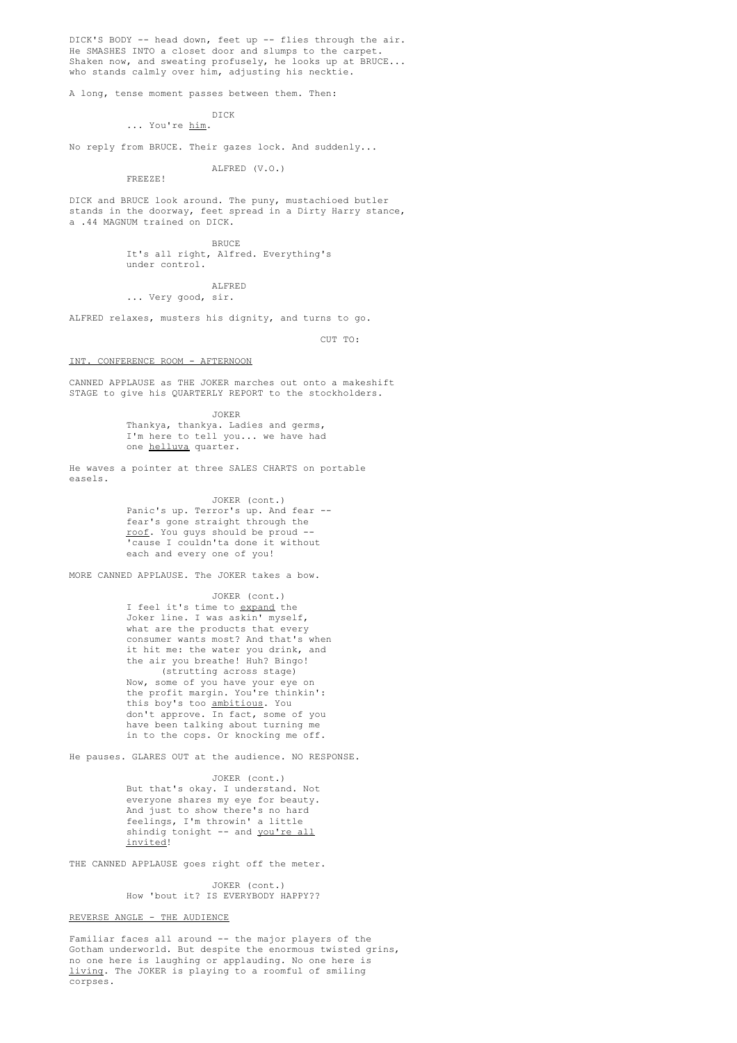DICK'S BODY -- head down, feet up -- flies through the air. He SMASHES INTO a closet door and slumps to the carpet. Shaken now, and sweating profusely, he looks up at BRUCE... who stands calmly over him, adjusting his necktie.

A long, tense moment passes between them. Then:

### DICK ... You're him.

No reply from BRUCE. Their gazes lock. And suddenly...

### ALFRED (V.O.)

FREEZE!

DICK and BRUCE look around. The puny, mustachioed butler stands in the doorway, feet spread in a Dirty Harry stance, a .44 MAGNUM trained on DICK.

> BRUCE It's all right, Alfred. Everything's under control.

### ALFRED ... Very good, sir.

ALFRED relaxes, musters his dignity, and turns to go.

 $C \text{IIT}$  TO:

#### INT. CONFERENCE ROOM - AFTERNOON

CANNED APPLAUSE as THE JOKER marches out onto a makeshift STAGE to give his QUARTERLY REPORT to the stockholders.

> JOKER Thankya, thankya. Ladies and germs, I'm here to tell you... we have had one helluva quarter.

He waves a pointer at three SALES CHARTS on portable easels.

> JOKER (cont.) Panic's up. Terror's up. And fear - fear's gone straight through the roof. You guys should be proud -- 'cause I couldn'ta done it without each and every one of you!

MORE CANNED APPLAUSE. The JOKER takes a bow.

JOKER (cont.) I feel it's time to expand the Joker line. I was askin' myself, what are the products that every consumer wants most? And that's when it hit me: the water you drink, and the air you breathe! Huh? Bingo! (strutting across stage) Now, some of you have your eye on the profit margin. You're thinkin': this boy's too <u>ambitious</u>. You don't approve. In fact, some of you have been talking about turning me in to the cops. Or knocking me off.

He pauses. GLARES OUT at the audience. NO RESPONSE.

### JOKER (cont.)

But that's okay. I understand. Not everyone shares my eye for beauty. And just to show there's no hard feelings, I'm throwin' a little shindig tonight -- and you're all invited!

THE CANNED APPLAUSE goes right off the meter.

JOKER (cont.) How 'bout it? IS EVERYBODY HAPPY??

### REVERSE ANGLE - THE AUDIENCE

Familiar faces all around -- the major players of the Gotham underworld. But despite the enormous twisted grins, no one here is laughing or applauding. No one here is living. The JOKER is playing to a roomful of smiling corpses.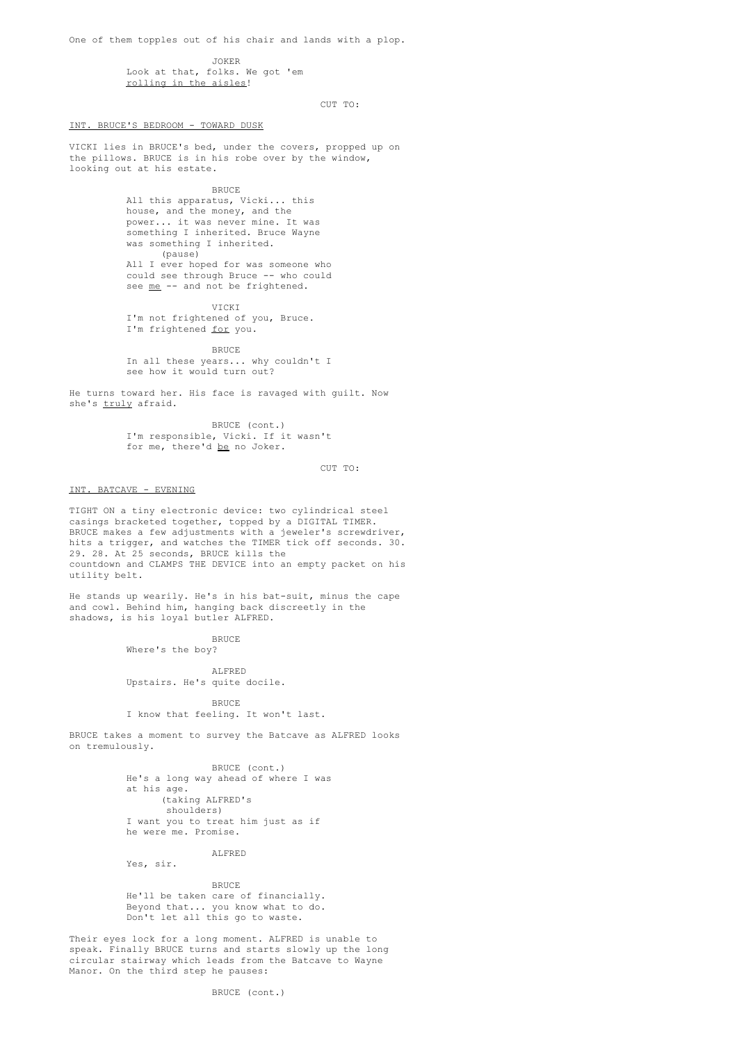One of them topples out of his chair and lands with a plop.

#### JOKER

Look at that, folks. We got 'em rolling in the aisles!

CUT TO:

INT. BRUCE'S BEDROOM - TOWARD DUSK

VICKI lies in BRUCE's bed, under the covers, propped up on the pillows. BRUCE is in his robe over by the window, looking out at his estate.

**BRUCE** 

All this apparatus, Vicki... this house, and the money, and the power... it was never mine. It was something I inherited. Bruce Wayne was something I inherited. (pause) All I ever hoped for was someone who could see through Bruce -- who could see <u>me</u> -- and not be frightened.

VICKI I'm not frightened of you, Bruce. I'm frightened for you.

**BRUCE** In all these years... why couldn't I see how it would turn out?

He turns toward her. His face is ravaged with guilt. Now she's truly afraid.

> BRUCE (cont.) I'm responsible, Vicki. If it wasn't for me, there'd be no Joker.

> > $C \text{IIP}$  TO:

#### INT. BATCAVE - EVENING

TIGHT ON a tiny electronic device: two cylindrical steel casings bracketed together, topped by a DIGITAL TIMER. BRUCE makes a few adjustments with a jeweler's screwdriver, hits a trigger, and watches the TIMER tick off seconds. 30. 29. 28. At 25 seconds, BRUCE kills the countdown and CLAMPS THE DEVICE into an empty packet on his utility belt.

He stands up wearily. He's in his bat-suit, minus the cape and cowl. Behind him, hanging back discreetly in the shadows, is his loyal butler ALFRED.

**BRUCE** 

Where's the boy?

ALFRED Upstairs. He's quite docile.

**BRUCE** 

## I know that feeling. It won't last.

BRUCE takes a moment to survey the Batcave as ALFRED looks on tremulously.

> BRUCE (cont.) He's a long way ahead of where I was at his age. (taking ALFRED's shoulders) I want you to treat him just as if he were me. Promise.

Yes, sir.

**BRUCE** 

ALFRED

He'll be taken care of financially. Beyond that... you know what to do. Don't let all this go to waste.

Their eyes lock for a long moment. ALFRED is unable to speak. Finally BRUCE turns and starts slowly up the long circular stairway which leads from the Batcave to Wayne Manor. On the third step he pauses: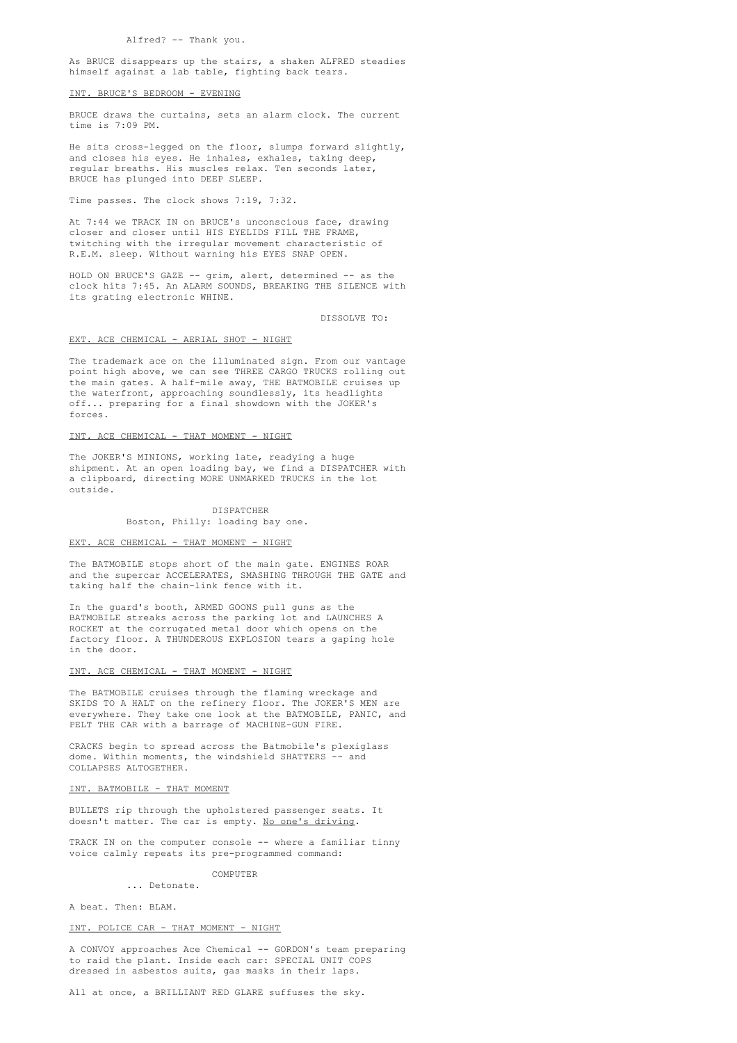As BRUCE disappears up the stairs, a shaken ALFRED steadies himself against a lab table, fighting back tears.

### INT. BRUCE'S BEDROOM - EVENING

BRUCE draws the curtains, sets an alarm clock. The current time is 7:09 PM.

He sits cross-legged on the floor, slumps forward slightly, and closes his eyes. He inhales, exhales, taking deep, regular breaths. His muscles relax. Ten seconds later, BRUCE has plunged into DEEP SLEEP.

Time passes. The clock shows 7:19, 7:32.

At 7:44 we TRACK IN on BRUCE's unconscious face, drawing closer and closer until HIS EYELIDS FILL THE FRAME, twitching with the irregular movement characteristic of R.E.M. sleep. Without warning his EYES SNAP OPEN.

HOLD ON BRUCE'S GAZE -- grim, alert, determined -- as the clock hits 7:45. An ALARM SOUNDS, BREAKING THE SILENCE with its grating electronic WHINE.

DISSOLVE TO:

#### EXT. ACE CHEMICAL - AERIAL SHOT - NIGHT

The trademark ace on the illuminated sign. From our vantage point high above, we can see THREE CARGO TRUCKS rolling out the main gates. A half-mile away, THE BATMOBILE cruises up the waterfront, approaching soundlessly, its headlights off... preparing for a final showdown with the JOKER's forces.

### INT. ACE CHEMICAL - THAT MOMENT - NIGHT

The JOKER'S MINIONS, working late, readying a huge shipment. At an open loading bay, we find a DISPATCHER with a clipboard, directing MORE UNMARKED TRUCKS in the lot outside.

### DISPATCHER

Boston, Philly: loading bay one.

#### EXT. ACE CHEMICAL - THAT MOMENT - NIGHT

The BATMOBILE stops short of the main gate. ENGINES ROAR and the supercar ACCELERATES, SMASHING THROUGH THE GATE and taking half the chain-link fence with it.

In the guard's booth, ARMED GOONS pull guns as the BATMOBILE streaks across the parking lot and LAUNCHES A ROCKET at the corrugated metal door which opens on the factory floor. A THUNDEROUS EXPLOSION tears a gaping hole in the door.

### INT. ACE CHEMICAL - THAT MOMENT - NIGHT

The BATMOBILE cruises through the flaming wreckage and SKIDS TO A HALT on the refinery floor. The JOKER'S MEN are everywhere. They take one look at the BATMOBILE, PANIC, and PELT THE CAR with a barrage of MACHINE-GUN FIRE.

CRACKS begin to spread across the Batmobile's plexiglass dome. Within moments, the windshield SHATTERS -- and COLLAPSES ALTOGETHER.

#### INT. BATMOBILE - THAT MOMENT

BULLETS rip through the upholstered passenger seats. It doesn't matter. The car is empty. No one's driving.

TRACK IN on the computer console -- where a familiar tinny voice calmly repeats its pre-programmed command:

> COMPUTER ... Detonate.

A beat. Then: BLAM.

### INT. POLICE CAR - THAT MOMENT - NIGHT

A CONVOY approaches Ace Chemical -- GORDON's team preparing to raid the plant. Inside each car: SPECIAL UNIT COPS dressed in asbestos suits, gas masks in their laps.

All at once, a BRILLIANT RED GLARE suffuses the sky.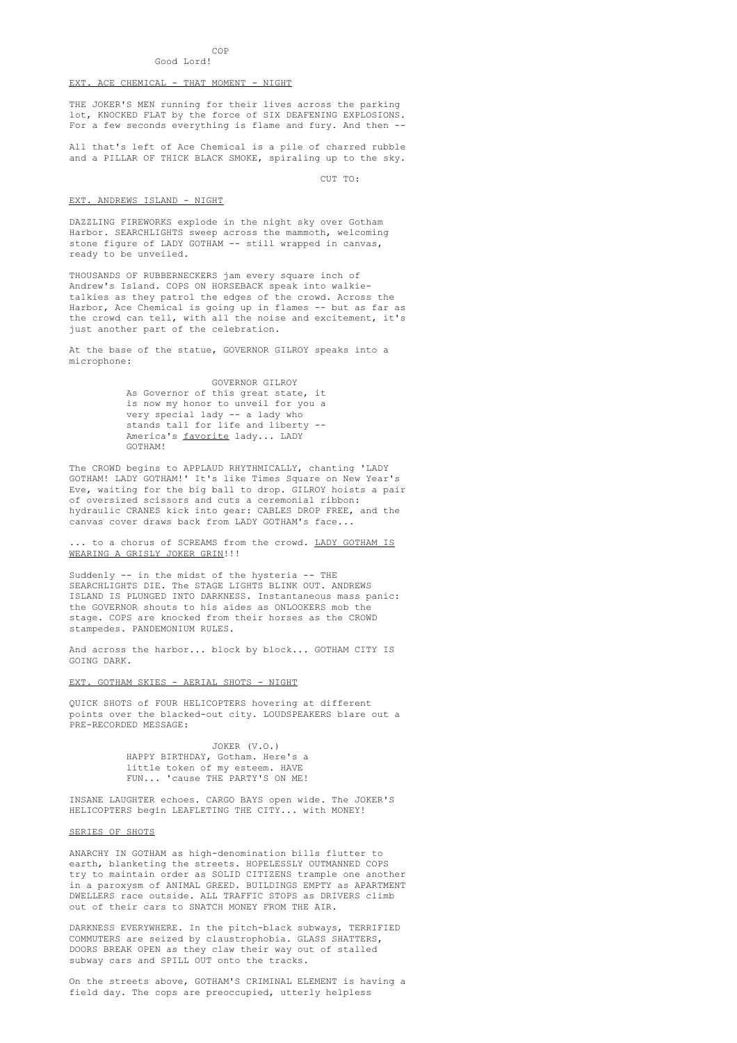#### COP Good Lord!

#### EXT. ACE CHEMICAL - THAT MOMENT - NIGHT

THE JOKER'S MEN running for their lives across the parking lot, KNOCKED FLAT by the force of SIX DEAFENING EXPLOSIONS. For a few seconds everything is flame and fury. And then -

All that's left of Ace Chemical is a pile of charred rubble and a PILLAR OF THICK BLACK SMOKE, spiraling up to the sky.

CUT TO:

#### EXT. ANDREWS ISLAND - NIGHT

DAZZLING FIREWORKS explode in the night sky over Gotham Harbor. SEARCHLIGHTS sweep across the mammoth, welcoming stone figure of LADY GOTHAM -- still wrapped in canvas, ready to be unveiled.

THOUSANDS OF RUBBERNECKERS jam every square inch of Andrew's Island. COPS ON HORSEBACK speak into walkietalkies as they patrol the edges of the crowd. Across the Harbor, Ace Chemical is going up in flames -- but as far as the crowd can tell, with all the noise and excitement, it's just another part of the celebration.

At the base of the statue, GOVERNOR GILROY speaks into a microphone:

> GOVERNOR GILROY As Governor of this great state, it is now my honor to unveil for you a very special lady -- a lady who stands tall for life and liberty -- America's favorite lady... LADY GOTHAM!

The CROWD begins to APPLAUD RHYTHMICALLY, chanting 'LADY GOTHAM! LADY GOTHAM!' It's like Times Square on New Year's Eve, waiting for the big ball to drop. GILROY hoists a pair of oversized scissors and cuts a ceremonial ribbon: hydraulic CRANES kick into gear: CABLES DROP FREE, and the canvas cover draws back from LADY GOTHAM's face...

.. to a chorus of SCREAMS from the crowd. LADY GOTHAM IS WEARING A GRISLY JOKER GRIN!!!

Suddenly -- in the midst of the hysteria -- THE SEARCHLIGHTS DIE. The STAGE LIGHTS BLINK OUT. ANDREWS ISLAND IS PLUNGED INTO DARKNESS. Instantaneous mass panic: the GOVERNOR shouts to his aides as ONLOOKERS mob the stage. COPS are knocked from their horses as the CROWD stampedes. PANDEMONIUM RULES.

And across the harbor... block by block... GOTHAM CITY IS GOING DARK.

EXT. GOTHAM SKIES - AERIAL SHOTS - NIGHT

QUICK SHOTS of FOUR HELICOPTERS hovering at different points over the blacked-out city. LOUDSPEAKERS blare out a PRE-RECORDED MESSAGE:

> JOKER (V.O.) HAPPY BIRTHDAY, Gotham. Here's a little token of my esteem. HAVE FUN... 'cause THE PARTY'S ON ME!

INSANE LAUGHTER echoes. CARGO BAYS open wide. The JOKER'S HELICOPTERS begin LEAFLETING THE CITY... with MONEY!

### SERIES OF SHOTS

ANARCHY IN GOTHAM as high-denomination bills flutter to earth, blanketing the streets. HOPELESSLY OUTMANNED COPS try to maintain order as SOLID CITIZENS trample one another in a paroxysm of ANIMAL GREED. BUILDINGS EMPTY as APARTMENT DWELLERS race outside. ALL TRAFFIC STOPS as DRIVERS climb out of their cars to SNATCH MONEY FROM THE AIR.

DARKNESS EVERYWHERE. In the pitch-black subways, TERRIFIED COMMUTERS are seized by claustrophobia. GLASS SHATTERS, DOORS BREAK OPEN as they claw their way out of stalled subway cars and SPILL OUT onto the tracks.

On the streets above, GOTHAM'S CRIMINAL ELEMENT is having a field day. The cops are preoccupied, utterly helpless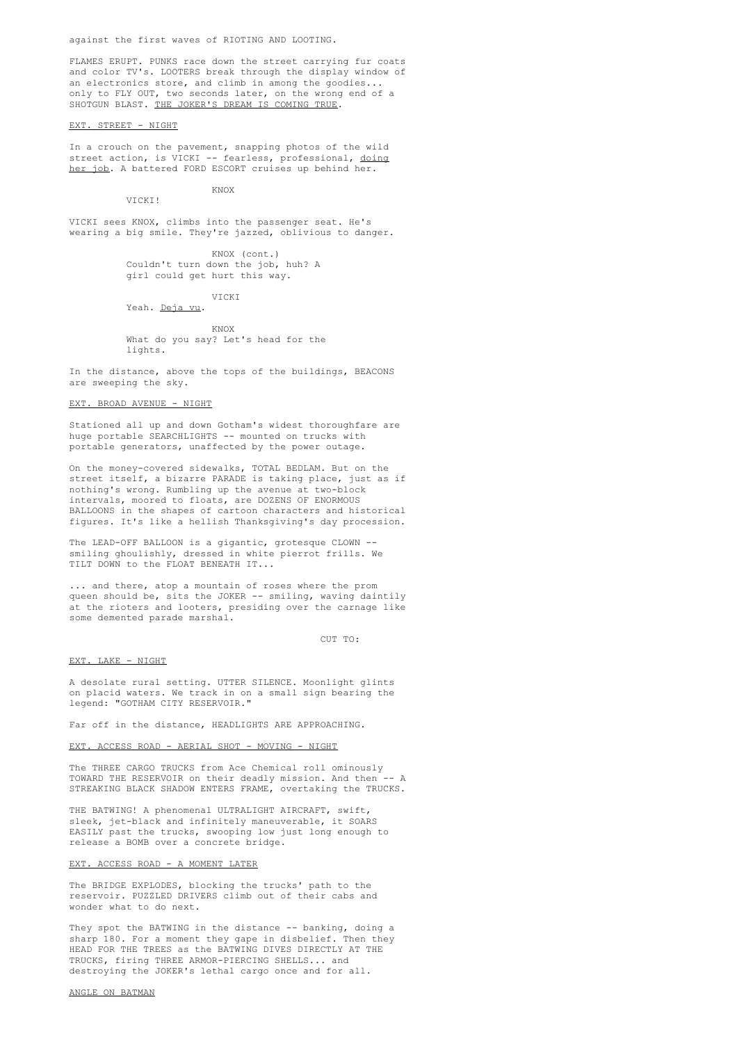against the first waves of RIOTING AND LOOTING.

FLAMES ERUPT. PUNKS race down the street carrying fur coats and color TV's. LOOTERS break through the display window of an electronics store, and climb in among the goodies... only to FLY OUT, two seconds later, on the wrong end of a SHOTGUN BLAST. THE JOKER'S DREAM IS COMING TRUE.

EXT. STREET - NIGHT

VICKI<sup>!</sup>

In a crouch on the pavement, snapping photos of the wild street action, is VICKI -- fearless, professional, doing her job. A battered FORD ESCORT cruises up behind her.

**KNOY** 

VICKI sees KNOX, climbs into the passenger seat. He's wearing a big smile. They're jazzed, oblivious to danger.

> KNOX (cont.) Couldn't turn down the job, huh? A girl could get hurt this way.

> > VICKI

Yeah. Deja vu.

**KNOY** What do you say? Let's head for the lights.

In the distance, above the tops of the buildings, BEACONS are sweeping the sky.

#### EXT. BROAD AVENUE - NIGHT

Stationed all up and down Gotham's widest thoroughfare are huge portable SEARCHLIGHTS -- mounted on trucks with portable generators, unaffected by the power outage.

On the money-covered sidewalks, TOTAL BEDLAM. But on the street itself, a bizarre PARADE is taking place, just as if nothing's wrong. Rumbling up the avenue at two-block intervals, moored to floats, are DOZENS OF ENORMOUS BALLOONS in the shapes of cartoon characters and historical figures. It's like a hellish Thanksgiving's day procession.

The LEAD-OFF BALLOON is a gigantic, grotesque CLOWN - smiling ghoulishly, dressed in white pierrot frills. We TILT DOWN to the FLOAT BENEATH IT...

... and there, atop a mountain of roses where the prom queen should be, sits the JOKER -- smiling, waving daintily at the rioters and looters, presiding over the carnage like some demented parade marshal.

CUT TO:

#### EXT. LAKE - NIGHT

A desolate rural setting. UTTER SILENCE. Moonlight glints on placid waters. We track in on a small sign bearing the legend: "GOTHAM CITY RESERVOIR."

Far off in the distance, HEADLIGHTS ARE APPROACHING.

### EXT. ACCESS ROAD - AERIAL SHOT - MOVING - NIGHT

The THREE CARGO TRUCKS from Ace Chemical roll ominously TOWARD THE RESERVOIR on their deadly mission. And then -- A STREAKING BLACK SHADOW ENTERS FRAME, overtaking the TRUCKS.

THE BATWING! A phenomenal ULTRALIGHT AIRCRAFT, swift, sleek, jet-black and infinitely maneuverable, it SOARS EASILY past the trucks, swooping low just long enough to release a BOMB over a concrete bridge.

### EXT. ACCESS ROAD - A MOMENT LATER

The BRIDGE EXPLODES, blocking the trucks' path to the reservoir. PUZZLED DRIVERS climb out of their cabs and wonder what to do next.

They spot the BATWING in the distance -- banking, doing a sharp 180. For a moment they gape in disbelief. Then they HEAD FOR THE TREES as the BATWING DIVES DIRECTLY AT THE TRUCKS, firing THREE ARMOR-PIERCING SHELLS... and destroying the JOKER's lethal cargo once and for all.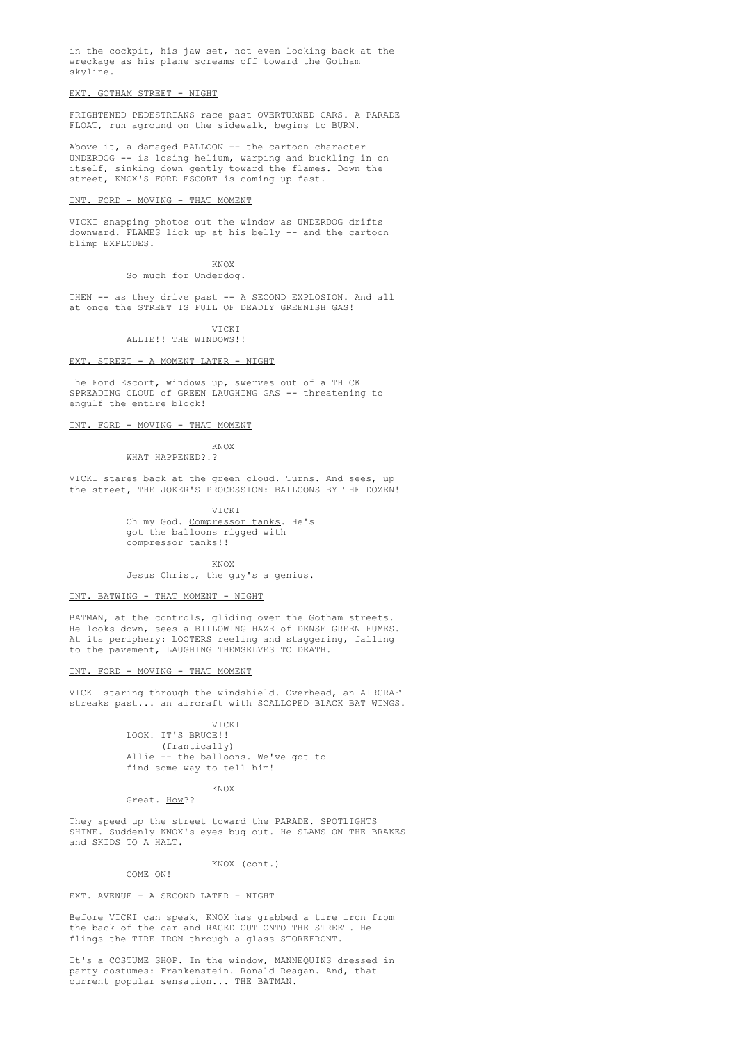in the cockpit, his jaw set, not even looking back at the wreckage as his plane screams off toward the Gotham skyline.

### EXT. GOTHAM STREET - NIGHT

FRIGHTENED PEDESTRIANS race past OVERTURNED CARS. A PARADE FLOAT, run aground on the sidewalk, begins to BURN.

Above it, a damaged BALLOON -- the cartoon character UNDERDOG -- is losing helium, warping and buckling in on itself, sinking down gently toward the flames. Down the street, KNOX'S FORD ESCORT is coming up fast.

### INT. FORD - MOVING - THAT MOMENT

VICKI snapping photos out the window as UNDERDOG drifts downward. FLAMES lick up at his belly -- and the cartoon blimp EXPLODES.

> KNOX So much for Underdog.

THEN -- as they drive past -- A SECOND EXPLOSION. And all at once the STREET IS FULL OF DEADLY GREENISH GAS!

> **VICKI** ALLIE!! THE WINDOWS!!

EXT. STREET - A MOMENT LATER - NIGHT

The Ford Escort, windows up, swerves out of a THICK SPREADING CLOUD of GREEN LAUGHING GAS -- threatening to engulf the entire block!

INT. FORD - MOVING - THAT MOMENT

KNOX

WHAT HAPPENED?!?

VICKI stares back at the green cloud. Turns. And sees, up the street, THE JOKER'S PROCESSION: BALLOONS BY THE DOZEN!

> VICKI Oh my God. Compressor tanks. He's got the balloons rigged with compressor tanks!!

> KNOX Jesus Christ, the guy's a genius.

#### INT. BATWING - THAT MOMENT - NIGHT

BATMAN, at the controls, gliding over the Gotham streets. He looks down, sees a BILLOWING HAZE of DENSE GREEN FUMES. At its periphery: LOOTERS reeling and staggering, falling to the pavement, LAUGHING THEMSELVES TO DEATH.

INT. FORD - MOVING - THAT MOMENT

VICKI staring through the windshield. Overhead, an AIRCRAFT streaks past... an aircraft with SCALLOPED BLACK BAT WINGS.

> VICKI LOOK! IT'S BRUCE!! (frantically) Allie -- the balloons. We've got to find some way to tell him!

KNOX Great. How??

They speed up the street toward the PARADE. SPOTLIGHTS SHINE. Suddenly KNOX's eyes bug out. He SLAMS ON THE BRAKES and SKIDS TO A HALT.

KNOX (cont.)

COME ON!

### EXT. AVENUE - A SECOND LATER - NIGHT

Before VICKI can speak, KNOX has grabbed a tire iron from the back of the car and RACED OUT ONTO THE STREET. He flings the TIRE IRON through a glass STOREFRONT.

It's a COSTUME SHOP. In the window, MANNEQUINS dressed in party costumes: Frankenstein. Ronald Reagan. And, that current popular sensation... THE BATMAN.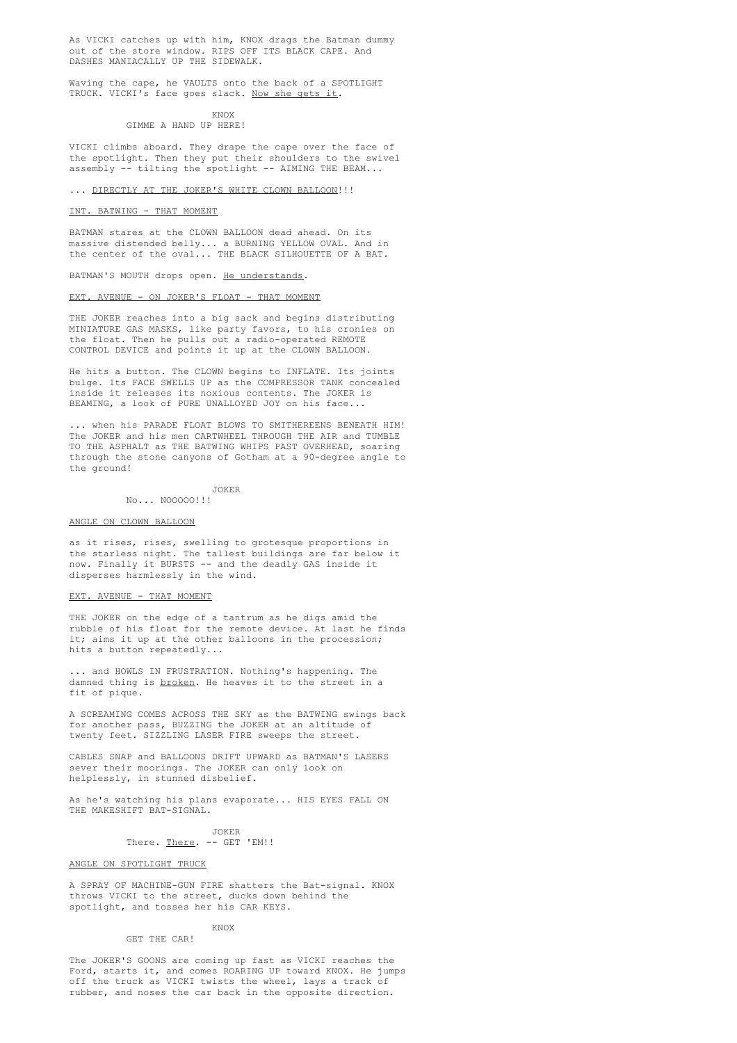As VICKI catches up with him, KNOX drags the Batman dummy out of the store window. RIPS OFF ITS BLACK CAPE. And DASHES MANIACALLY UP THE SIDEWALK.

Waving the cape, he VAULTS onto the back of a SPOTLIGHT TRUCK. VICKI's face goes slack. Now she gets it.

> KNOX GIMME A HAND UP HERE!

VICKI climbs aboard. They drape the cape over the face of the spotlight. Then they put their shoulders to the swivel assembly -- tilting the spotlight -- AIMING THE BEAM...

#### ... DIRECTLY AT THE JOKER'S WHITE CLOWN BALLOON!!!

### INT. BATWING - THAT MOMENT

BATMAN stares at the CLOWN BALLOON dead ahead. On its massive distended belly... a BURNING YELLOW OVAL. And in the center of the oval... THE BLACK SILHOUETTE OF A BAT.

BATMAN'S MOUTH drops open. He understands.

### EXT. AVENUE - ON JOKER'S FLOAT - THAT MOMENT

THE JOKER reaches into a big sack and begins distributing MINIATURE GAS MASKS, like party favors, to his cronies on the float. Then he pulls out a radio-operated REMOTE CONTROL DEVICE and points it up at the CLOWN BALLOON.

He hits a button. The CLOWN begins to INFLATE. Its joints bulge. Its FACE SWELLS UP as the COMPRESSOR TANK concealed inside it releases its noxious contents. The JOKER is BEAMING, a look of PURE UNALLOYED JOY on his face...

... when his PARADE FLOAT BLOWS TO SMITHEREENS BENEATH HIM! The JOKER and his men CARTWHEEL THROUGH THE AIR and TUMBLE TO THE ASPHALT as THE BATWING WHIPS PAST OVERHEAD, soaring through the stone canyons of Gotham at a 90-degree angle to the ground!

JOKER

No... NOOOOO!!!

### ANGLE ON CLOWN BALLOON

as it rises, rises, swelling to grotesque proportions in the starless night. The tallest buildings are far below it now. Finally it BURSTS -- and the deadly GAS inside it disperses harmlessly in the wind.

#### EXT. AVENUE - THAT MOMENT

THE JOKER on the edge of a tantrum as he digs amid the rubble of his float for the remote device. At last he finds it; aims it up at the other balloons in the procession; hits a button repeatedly...

... and HOWLS IN FRUSTRATION. Nothing's happening. The damned thing is broken. He heaves it to the street in a fit of pique.

A SCREAMING COMES ACROSS THE SKY as the BATWING swings back for another pass, BUZZING the JOKER at an altitude of twenty feet. SIZZLING LASER FIRE sweeps the street.

CABLES SNAP and BALLOONS DRIFT UPWARD as BATMAN'S LASERS sever their moorings. The JOKER can only look on helplessly, in stunned disbelief.

As he's watching his plans evaporate... HIS EYES FALL ON THE MAKESHIFT BAT-SIGNAL.

> JOKER There. There. -- GET 'EM!!

### ANGLE ON SPOTLIGHT TRUCK

A SPRAY OF MACHINE-GUN FIRE shatters the Bat-signal. KNOX throws VICKI to the street, ducks down behind the spotlight, and tosses her his CAR KEYS.

#### KNOX

#### GET THE CAR!

The JOKER'S GOONS are coming up fast as VICKI reaches the Ford, starts it, and comes ROARING UP toward KNOX. He jumps off the truck as VICKI twists the wheel, lays a track of rubber, and noses the car back in the opposite direction.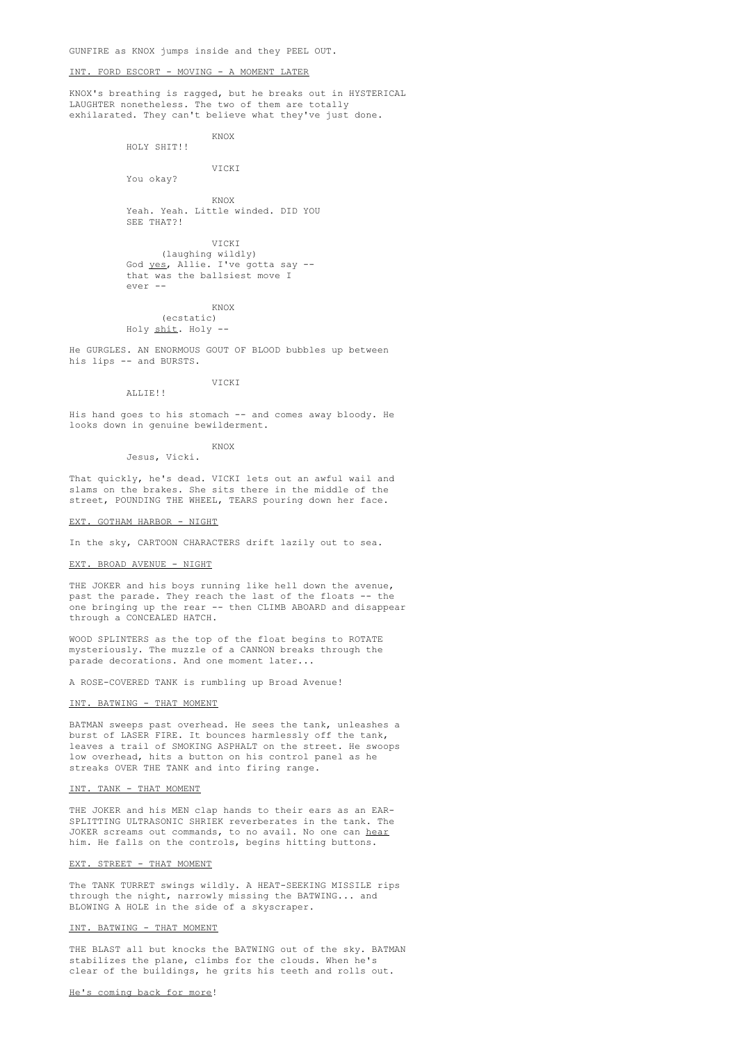GUNFIRE as KNOX jumps inside and they PEEL OUT.

### INT. FORD ESCORT - MOVING - A MOMENT LATER

KNOX's breathing is ragged, but he breaks out in HYSTERICAL LAUGHTER nonetheless. The two of them are totally exhilarated. They can't believe what they've just done.

> KNOX HOLY SHIT!!

> > VICKI

You okay?

KNOX Yeah. Yeah. Little winded. DID YOU SEE THAT?!

VICKI (laughing wildly) God yes, Allie. I've gotta say - that was the ballsiest move I ever --

KNOX (ecstatic) Holy shit. Holy --

He GURGLES. AN ENORMOUS GOUT OF BLOOD bubbles up between his lips -- and BURSTS.

VICKI

His hand goes to his stomach -- and comes away bloody. He looks down in genuine bewilderment.

KNOX

Jesus, Vicki.

That quickly, he's dead. VICKI lets out an awful wail and slams on the brakes. She sits there in the middle of the street, POUNDING THE WHEEL, TEARS pouring down her face.

EXT. GOTHAM HARBOR - NIGHT

ALLIE!!

In the sky, CARTOON CHARACTERS drift lazily out to sea.

# EXT. BROAD AVENUE - NIGHT

THE JOKER and his boys running like hell down the avenue, past the parade. They reach the last of the floats -- the one bringing up the rear -- then CLIMB ABOARD and disappear through a CONCEALED HATCH.

WOOD SPLINTERS as the top of the float begins to ROTATE mysteriously. The muzzle of a CANNON breaks through the parade decorations. And one moment later...

A ROSE-COVERED TANK is rumbling up Broad Avenue!

### INT. BATWING - THAT MOMENT

BATMAN sweeps past overhead. He sees the tank, unleashes a burst of LASER FIRE. It bounces harmlessly off the tank, leaves a trail of SMOKING ASPHALT on the street. He swoops low overhead, hits a button on his control panel as he streaks OVER THE TANK and into firing range.

#### INT. TANK - THAT MOMENT

THE JOKER and his MEN clap hands to their ears as an EAR-SPLITTING ULTRASONIC SHRIEK reverberates in the tank. The JOKER screams out commands, to no avail. No one can hear him. He falls on the controls, begins hitting buttons.

### EXT. STREET - THAT MOMENT

The TANK TURRET swings wildly. A HEAT-SEEKING MISSILE rips through the night, narrowly missing the BATWING... and BLOWING A HOLE in the side of a skyscraper.

### INT. BATWING - THAT MOMENT

THE BLAST all but knocks the BATWING out of the sky. BATMAN stabilizes the plane, climbs for the clouds. When he's clear of the buildings, he grits his teeth and rolls out.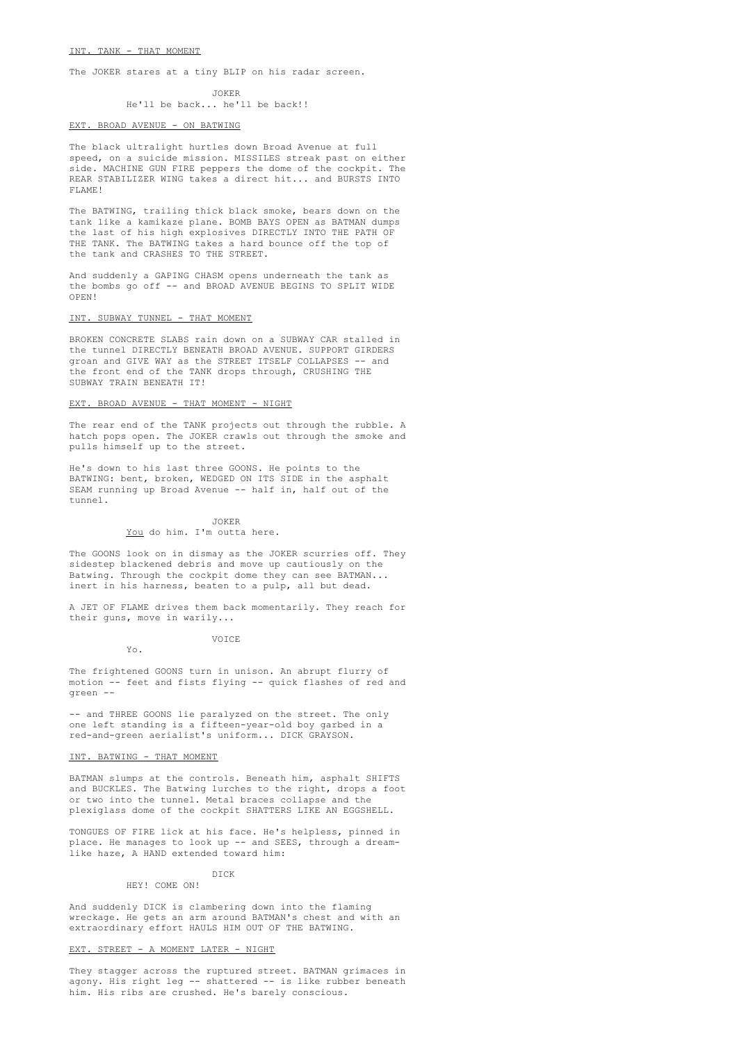#### INT. TANK - THAT MOMENT

The JOKER stares at a tiny BLIP on his radar screen.

JOKER He'll be back... he'll be back!!

#### EXT. BROAD AVENUE - ON BATWING

The black ultralight hurtles down Broad Avenue at full speed, on a suicide mission. MISSILES streak past on either side. MACHINE GUN FIRE peppers the dome of the cockpit. The REAR STABILIZER WING takes a direct hit... and BURSTS INTO FLAME!

The BATWING, trailing thick black smoke, bears down on the tank like a kamikaze plane. BOMB BAYS OPEN as BATMAN dumps the last of his high explosives DIRECTLY INTO THE PATH OF THE TANK. The BATWING takes a hard bounce off the top of the tank and CRASHES TO THE STREET.

And suddenly a GAPING CHASM opens underneath the tank as the bombs go off -- and BROAD AVENUE BEGINS TO SPLIT WIDE OPEN!

# INT. SUBWAY TUNNEL - THAT MOMENT

BROKEN CONCRETE SLABS rain down on a SUBWAY CAR stalled in the tunnel DIRECTLY BENEATH BROAD AVENUE. SUPPORT GIRDERS groan and GIVE WAY as the STREET ITSELF COLLAPSES -- and the front end of the TANK drops through, CRUSHING THE SUBWAY TRAIN BENEATH IT!

# EXT. BROAD AVENUE - THAT MOMENT - NIGHT

The rear end of the TANK projects out through the rubble. A hatch pops open. The JOKER crawls out through the smoke and pulls himself up to the street.

He's down to his last three GOONS. He points to the BATWING: bent, broken, WEDGED ON ITS SIDE in the asphalt SEAM running up Broad Avenue -- half in, half out of the tunnel.

#### JOKER

# You do him. I'm outta here.

The GOONS look on in dismay as the JOKER scurries off. They sidestep blackened debris and move up cautiously on the Batwing. Through the cockpit dome they can see BATMAN... inert in his harness, beaten to a pulp, all but dead.

A JET OF FLAME drives them back momentarily. They reach for their guns, move in warily...

VOICE

Yo.

The frightened GOONS turn in unison. An abrupt flurry of motion -- feet and fists flying -- quick flashes of red and green --

-- and THREE GOONS lie paralyzed on the street. The only one left standing is a fifteen-year-old boy garbed in a red-and-green aerialist's uniform... DICK GRAYSON.

#### INT. BATWING - THAT MOMENT

BATMAN slumps at the controls. Beneath him, asphalt SHIFTS and BUCKLES. The Batwing lurches to the right, drops a foot or two into the tunnel. Metal braces collapse and the plexiglass dome of the cockpit SHATTERS LIKE AN EGGSHELL.

TONGUES OF FIRE lick at his face. He's helpless, pinned in place. He manages to look up -- and SEES, through a dreamlike haze, A HAND extended toward him:

#### DICK HEY! COME ON!

And suddenly DICK is clambering down into the flaming wreckage. He gets an arm around BATMAN's chest and with an extraordinary effort HAULS HIM OUT OF THE BATWING.

#### EXT. STREET - A MOMENT LATER - NIGHT

They stagger across the ruptured street. BATMAN grimaces in agony. His right leg -- shattered -- is like rubber beneath him. His ribs are crushed. He's barely conscious.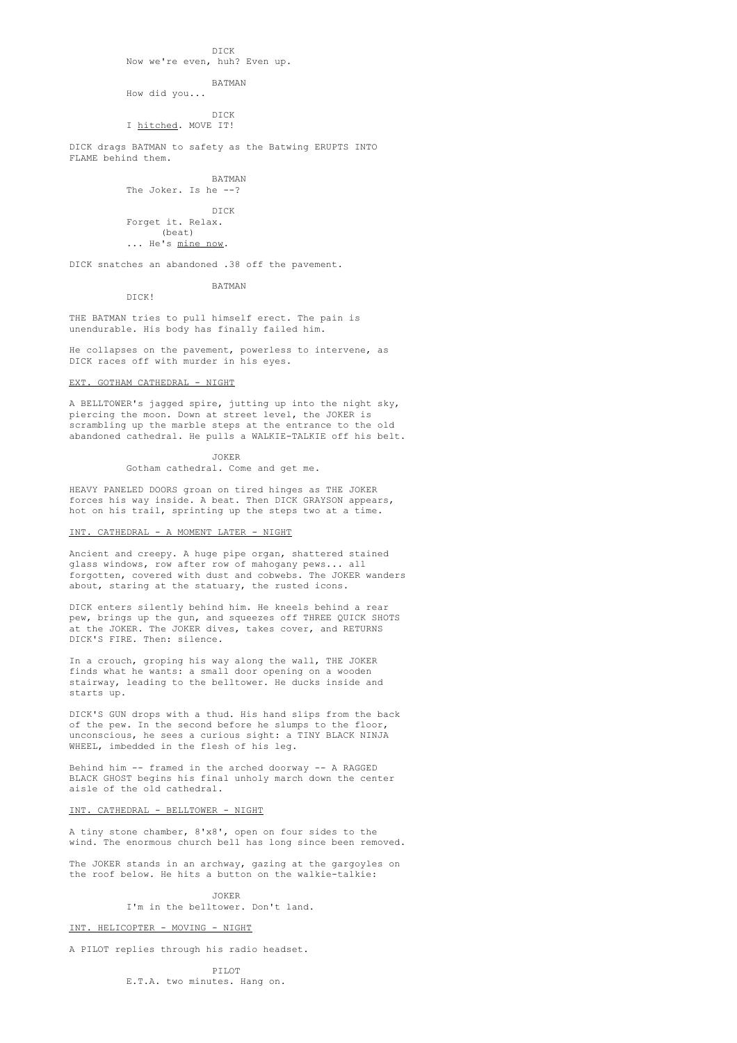# DICK Now we're even, huh? Even up.

BATMAN

How did you...

DICK I hitched. MOVE IT!

DICK drags BATMAN to safety as the Batwing ERUPTS INTO FLAME behind them.

> BATMAN The Joker. Is he --?

DICK Forget it. Relax. (beat)

... He's mine now.

DICK snatches an abandoned .38 off the pavement.

BATMAN

DICK!

THE BATMAN tries to pull himself erect. The pain is unendurable. His body has finally failed him.

He collapses on the pavement, powerless to intervene, as DICK races off with murder in his eyes.

## EXT. GOTHAM CATHEDRAL - NIGHT

A BELLTOWER's jagged spire, jutting up into the night sky, piercing the moon. Down at street level, the JOKER is scrambling up the marble steps at the entrance to the old abandoned cathedral. He pulls a WALKIE-TALKIE off his belt.

JOKER

Gotham cathedral. Come and get me.

HEAVY PANELED DOORS groan on tired hinges as THE JOKER forces his way inside. A beat. Then DICK GRAYSON appears, hot on his trail, sprinting up the steps two at a time.

#### INT. CATHEDRAL - A MOMENT LATER - NIGHT

Ancient and creepy. A huge pipe organ, shattered stained glass windows, row after row of mahogany pews... all forgotten, covered with dust and cobwebs. The JOKER wanders about, staring at the statuary, the rusted icons.

DICK enters silently behind him. He kneels behind a rear pew, brings up the gun, and squeezes off THREE QUICK SHOTS at the JOKER. The JOKER dives, takes cover, and RETURNS DICK'S FIRE. Then: silence.

In a crouch, groping his way along the wall, THE JOKER finds what he wants: a small door opening on a wooden stairway, leading to the belltower. He ducks inside and starts up.

DICK'S GUN drops with a thud. His hand slips from the back of the pew. In the second before he slumps to the floor, unconscious, he sees a curious sight: a TINY BLACK NINJA WHEEL, imbedded in the flesh of his leg.

Behind him -- framed in the arched doorway -- A RAGGED BLACK GHOST begins his final unholy march down the center aisle of the old cathedral.

# INT. CATHEDRAL - BELLTOWER - NIGHT

A tiny stone chamber, 8'x8', open on four sides to the wind. The enormous church bell has long since been removed.

The JOKER stands in an archway, gazing at the gargoyles on the roof below. He hits a button on the walkie-talkie:

> JOKER I'm in the belltower. Don't land.

# INT. HELICOPTER - MOVING - NIGHT

A PILOT replies through his radio headset.

PILOT E.T.A. two minutes. Hang on.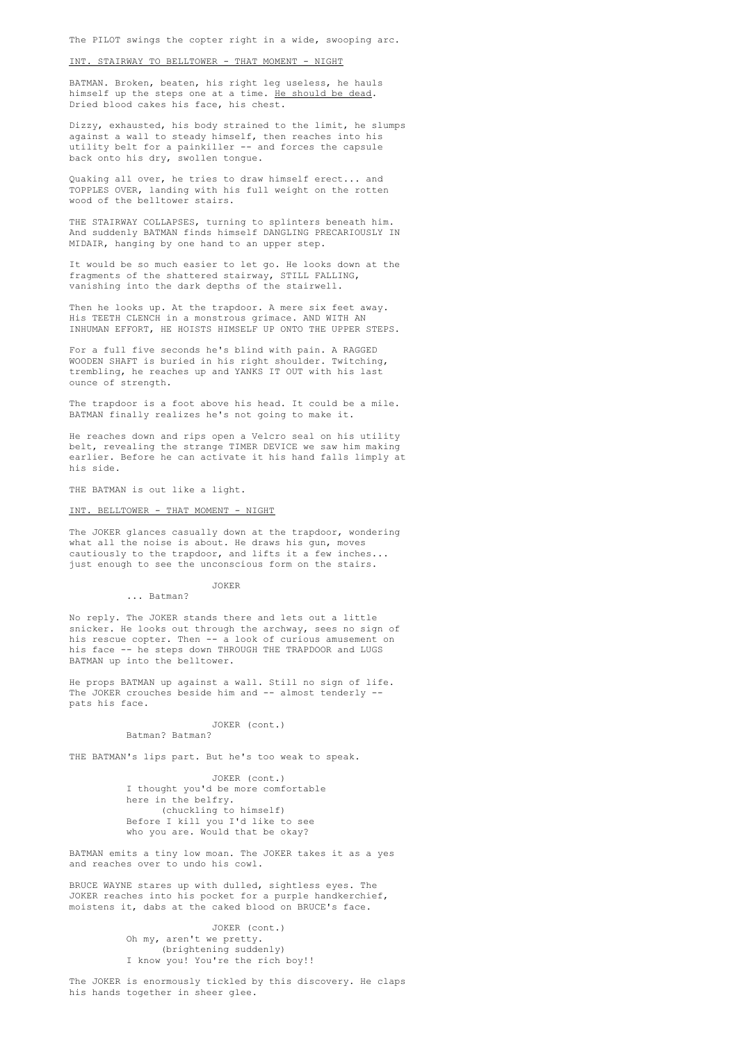# INT. STAIRWAY TO BELLTOWER - THAT MOMENT - NIGHT

BATMAN. Broken, beaten, his right leg useless, he hauls himself up the steps one at a time. He should be dead. Dried blood cakes his face, his chest.

Dizzy, exhausted, his body strained to the limit, he slumps against a wall to steady himself, then reaches into his utility belt for a painkiller -- and forces the capsule back onto his dry, swollen tongue.

Quaking all over, he tries to draw himself erect... and TOPPLES OVER, landing with his full weight on the rotten wood of the belltower stairs.

THE STAIRWAY COLLAPSES, turning to splinters beneath him. And suddenly BATMAN finds himself DANGLING PRECARIOUSLY IN MIDAIR, hanging by one hand to an upper step.

It would be so much easier to let go. He looks down at the fragments of the shattered stairway, STILL FALLING, vanishing into the dark depths of the stairwell.

Then he looks up. At the trapdoor. A mere six feet away. His TEETH CLENCH in a monstrous grimace. AND WITH AN INHUMAN EFFORT, HE HOISTS HIMSELF UP ONTO THE UPPER STEPS.

For a full five seconds he's blind with pain. A RAGGED WOODEN SHAFT is buried in his right shoulder. Twitching, trembling, he reaches up and YANKS IT OUT with his last ounce of strength.

The trapdoor is a foot above his head. It could be a mile. BATMAN finally realizes he's not going to make it.

He reaches down and rips open a Velcro seal on his utility belt, revealing the strange TIMER DEVICE we saw him making earlier. Before he can activate it his hand falls limply at his side.

THE BATMAN is out like a light.

# INT. BELLTOWER - THAT MOMENT - NIGHT

The JOKER glances casually down at the trapdoor, wondering what all the noise is about. He draws his gun, moves cautiously to the trapdoor, and lifts it a few inches... just enough to see the unconscious form on the stairs.

> JOKER ... Batman?

No reply. The JOKER stands there and lets out a little snicker. He looks out through the archway, sees no sign of his rescue copter. Then -- a look of curious amusement on his face -- he steps down THROUGH THE TRAPDOOR and LUGS BATMAN up into the belltower.

He props BATMAN up against a wall. Still no sign of life. The JOKER crouches beside him and -- almost tenderly - pats his face.

#### JOKER (cont.) Batman? Batman?

THE BATMAN's lips part. But he's too weak to speak.

JOKER (cont.) I thought you'd be more comfortable here in the belfry. (chuckling to himself) Before I kill you I'd like to see who you are. Would that be okay?

BATMAN emits a tiny low moan. The JOKER takes it as a yes and reaches over to undo his cowl.

BRUCE WAYNE stares up with dulled, sightless eyes. The JOKER reaches into his pocket for a purple handkerchief, moistens it, dabs at the caked blood on BRUCE's face.

> JOKER (cont.) Oh my, aren't we pretty. (brightening suddenly) I know you! You're the rich boy!!

The JOKER is enormously tickled by this discovery. He claps his hands together in sheer glee.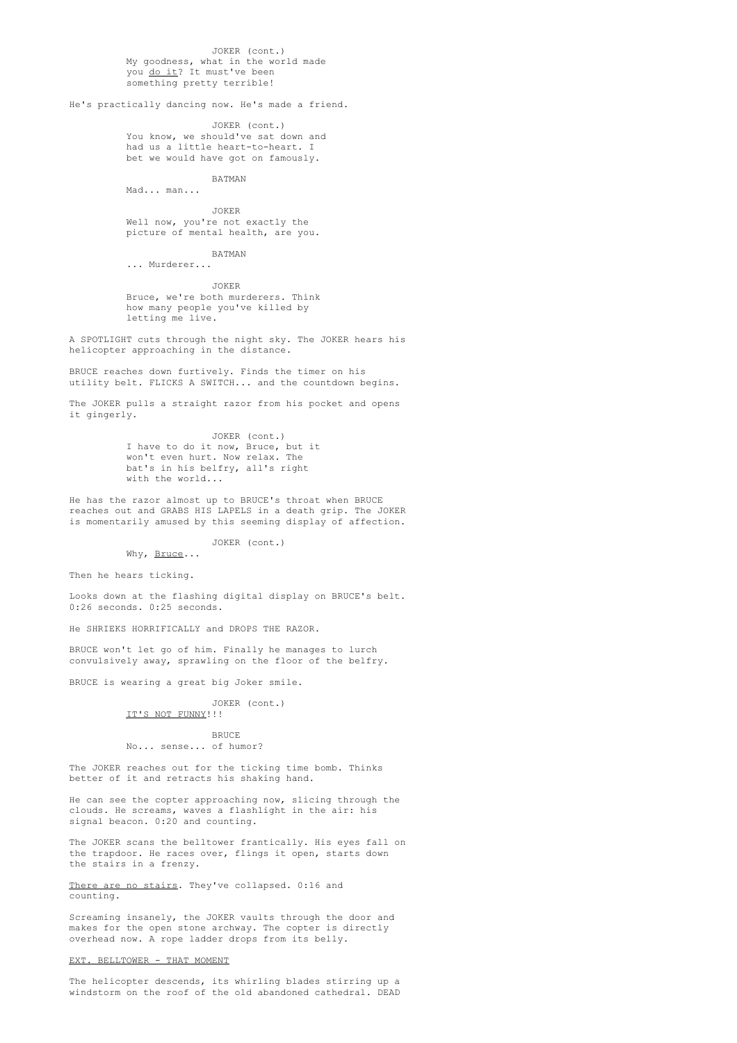JOKER (cont.) My goodness, what in the world made you do it? It must've been something pretty terrible!

He's practically dancing now. He's made a friend.

JOKER (cont.) You know, we should've sat down and had us a little heart-to-heart. I bet we would have got on famously.

BATMAN Mad... man...

JOKER Well now, you're not exactly the picture of mental health, are you.

BATMAN

... Murderer...

JOKER Bruce, we're both murderers. Think how many people you've killed by letting me live.

A SPOTLIGHT cuts through the night sky. The JOKER hears his helicopter approaching in the distance.

BRUCE reaches down furtively. Finds the timer on his utility belt. FLICKS A SWITCH... and the countdown begins.

The JOKER pulls a straight razor from his pocket and opens it gingerly.

> JOKER (cont.) I have to do it now, Bruce, but it won't even hurt. Now relax. The bat's in his belfry, all's right with the world...

He has the razor almost up to BRUCE's throat when BRUCE reaches out and GRABS HIS LAPELS in a death grip. The JOKER is momentarily amused by this seeming display of affection.

#### JOKER (cont.) Why, Bruce...

Then he hears ticking.

Looks down at the flashing digital display on BRUCE's belt. 0:26 seconds. 0:25 seconds.

He SHRIEKS HORRIFICALLY and DROPS THE RAZOR.

BRUCE won't let go of him. Finally he manages to lurch convulsively away, sprawling on the floor of the belfry.

BRUCE is wearing a great big Joker smile.

JOKER (cont.) IT'S NOT FUNNY!!!

# **BRUCE** No... sense... of humor?

The JOKER reaches out for the ticking time bomb. Thinks better of it and retracts his shaking hand.

He can see the copter approaching now, slicing through the clouds. He screams, waves a flashlight in the air: his signal beacon. 0:20 and counting.

The JOKER scans the belltower frantically. His eyes fall on the trapdoor. He races over, flings it open, starts down the stairs in a frenzy.

There are no stairs. They've collapsed. 0:16 and counting.

Screaming insanely, the JOKER vaults through the door and makes for the open stone archway. The copter is directly overhead now. A rope ladder drops from its belly.

# EXT. BELLTOWER - THAT MOMENT

The helicopter descends, its whirling blades stirring up a windstorm on the roof of the old abandoned cathedral. DEAD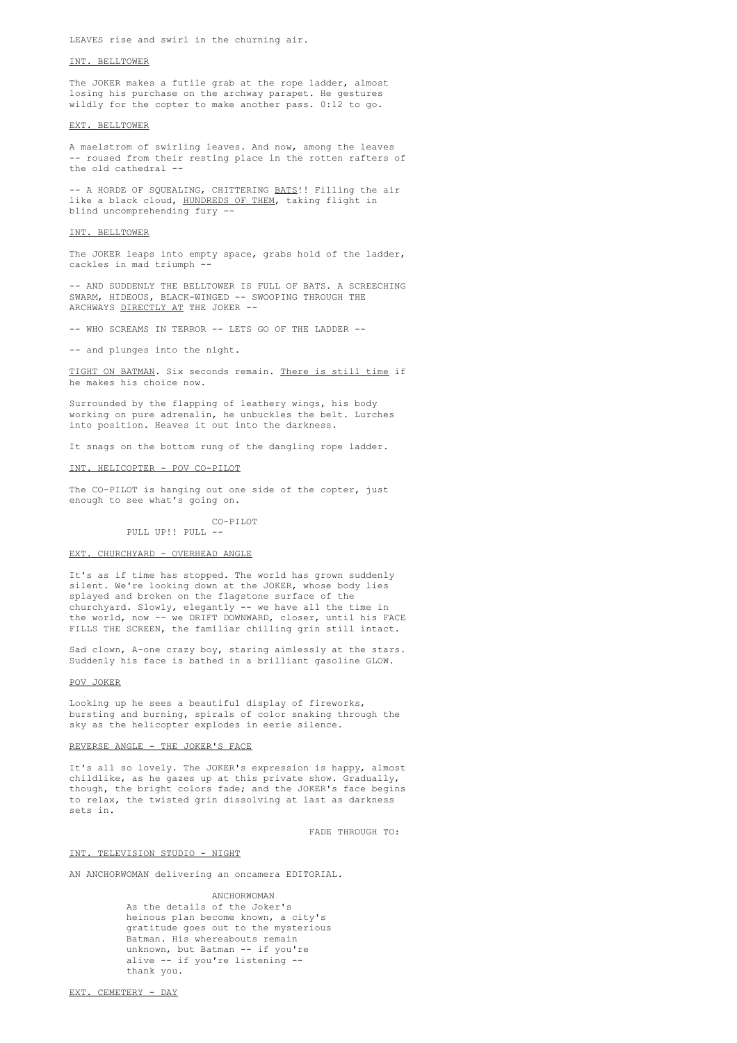LEAVES rise and swirl in the churning air.

# INT. BELLTOWER

The JOKER makes a futile grab at the rope ladder, almost losing his purchase on the archway parapet. He gestures wildly for the copter to make another pass. 0:12 to go.

#### EXT. BELLTOWER

A maelstrom of swirling leaves. And now, among the leaves -- roused from their resting place in the rotten rafters of the old cathedral --

-- A HORDE OF SOUEALING, CHITTERING BATS!! Filling the air like a black cloud, HUNDREDS OF THEM, taking flight in blind uncomprehending fury --

#### INT. BELLTOWER

The JOKER leaps into empty space, grabs hold of the ladder, cackles in mad triumph -

-- AND SUDDENLY THE BELLTOWER IS FULL OF BATS. A SCREECHING SWARM, HIDEOUS, BLACK-WINGED -- SWOOPING THROUGH THE ARCHWAYS DIRECTLY AT THE JOKER --

-- WHO SCREAMS IN TERROR -- LETS GO OF THE LADDER --

-- and plunges into the night.

TIGHT ON BATMAN. Six seconds remain. There is still time if he makes his choice now.

Surrounded by the flapping of leathery wings, his body working on pure adrenalin, he unbuckles the belt. Lurches into position. Heaves it out into the darkness.

It snags on the bottom rung of the dangling rope ladder.

#### INT. HELICOPTER - POV CO-PILOT

The CO-PILOT is hanging out one side of the copter, just enough to see what's going on.

> CO-PILOT PULL UP!! PULL --

# EXT. CHURCHYARD - OVERHEAD ANGLE

It's as if time has stopped. The world has grown suddenly silent. We're looking down at the JOKER, whose body lies splayed and broken on the flagstone surface of the churchyard. Slowly, elegantly -- we have all the time in the world, now -- we DRIFT DOWNWARD, closer, until his FACE FILLS THE SCREEN, the familiar chilling grin still intact.

Sad clown, A-one crazy boy, staring aimlessly at the stars. Suddenly his face is bathed in a brilliant gasoline GLOW.

#### POV JOKER

Looking up he sees a beautiful display of fireworks, bursting and burning, spirals of color snaking through the sky as the helicopter explodes in eerie silence.

## REVERSE ANGLE - THE JOKER'S FACE

It's all so lovely. The JOKER's expression is happy, almost childlike, as he gazes up at this private show. Gradually, though, the bright colors fade; and the JOKER's face begins to relax, the twisted grin dissolving at last as darkness sets in.

FADE THROUGH TO:

# INT. TELEVISION STUDIO - NIGHT

AN ANCHORWOMAN delivering an oncamera EDITORIAL.

# ANCHORWOMAN

As the details of the Joker's heinous plan become known, a city's gratitude goes out to the mysterious Batman. His whereabouts remain unknown, but Batman -- if you're alive -- if you're listening thank you.

EXT. CEMETERY - DAY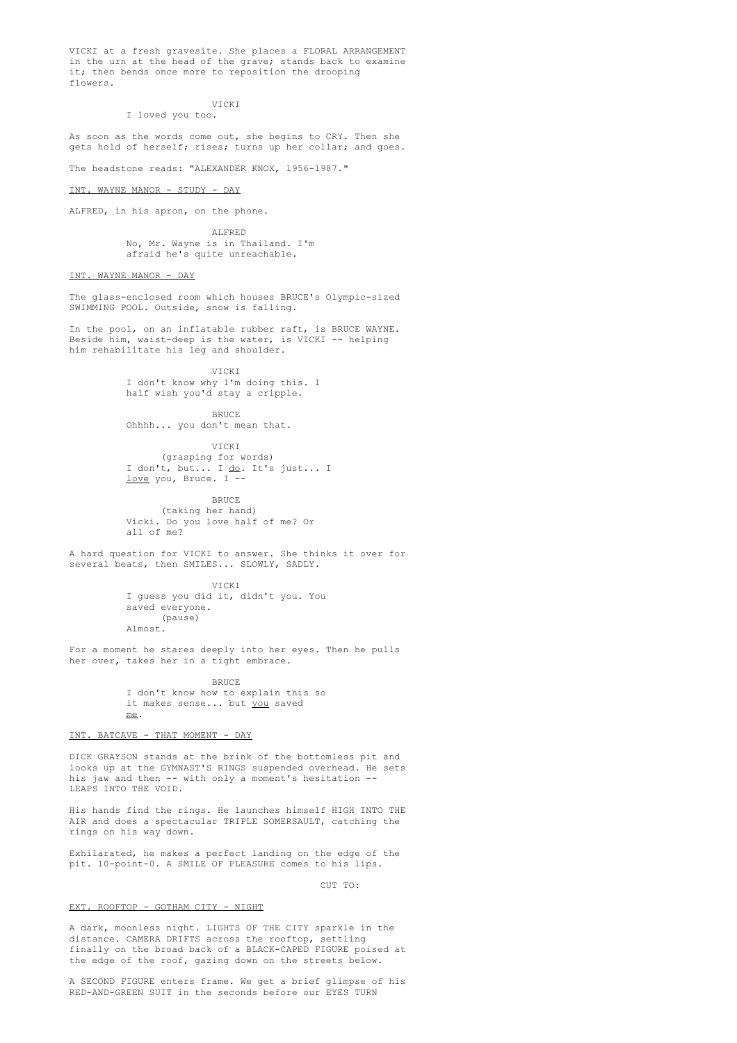VICKI at a fresh gravesite. She places a FLORAL ARRANGEMENT in the urn at the head of the grave; stands back to examine it; then bends once more to reposition the drooping flowers

### VICKI

I loved you too.

As soon as the words come out, she begins to CRY. Then she gets hold of herself; rises; turns up her collar; and goes.

The headstone reads: "ALEXANDER KNOX, 1956-1987."

INT. WAYNE MANOR - STUDY - DAY

ALFRED, in his apron, on the phone.

ALFRED No, Mr. Wayne is in Thailand. I'm afraid he's quite unreachable.

# INT. WAYNE MANOR - DAY

The glass-enclosed room which houses BRUCE's Olympic-sized SWIMMING POOL. Outside, snow is falling.

In the pool, on an inflatable rubber raft, is BRUCE WAYNE. Beside him, waist-deep is the water, is VICKI -- helping him rehabilitate his leg and shoulder.

> **VICKI** I don't know why I'm doing this. I half wish you'd stay a cripple.

> > BRUCE

Ohhhh... you don't mean that.

VICKI (grasping for words) I don't, but... I do. It's just... I love you, Bruce. I --

BRUCE (taking her hand) Vicki. Do you love half of me? Or all of me?

A hard question for VICKI to answer. She thinks it over for several beats, then SMILES... SLOWLY, SADLY.

> VICKI I guess you did it, didn't you. You saved everyone. (pause) Almost.

For a moment he stares deeply into her eyes. Then he pulls her over, takes her in a tight embrace.

> **BRUCE** I don't know how to explain this so it makes sense... but you saved me.

## INT. BATCAVE - THAT MOMENT - DAY

DICK GRAYSON stands at the brink of the bottomless pit and looks up at the GYMNAST'S RINGS suspended overhead. He sets his jaw and then -- with only a moment's hesitation --LEAPS INTO THE VOID.

His hands find the rings. He launches himself HIGH INTO THE AIR and does a spectacular TRIPLE SOMERSAULT, catching the rings on his way down.

Exhilarated, he makes a perfect landing on the edge of the pit. 10-point-0. A SMILE OF PLEASURE comes to his lips.

# $C \text{HTP}$  TO:

#### EXT. ROOFTOP - GOTHAM CITY - NIGHT

A dark, moonless night. LIGHTS OF THE CITY sparkle in the distance. CAMERA DRIFTS across the rooftop, settling finally on the broad back of a BLACK-CAPED FIGURE poised at the edge of the roof, gazing down on the streets below.

A SECOND FIGURE enters frame. We get a brief glimpse of his RED-AND-GREEN SUIT in the seconds before our EYES TURN